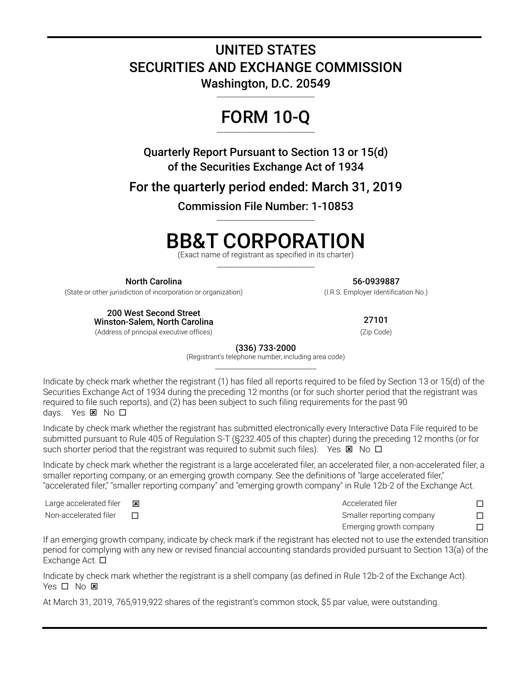# **UNITED STATES SECURITIES AND EXCHANGE COMMISSION**

**Washington, D.C. 20549**  $\overline{\phantom{a}}$  , and the set of the set of the set of the set of the set of the set of the set of the set of the set of the set of the set of the set of the set of the set of the set of the set of the set of the set of the s

## **FORM 10-Q** \_\_\_\_\_\_\_\_\_\_\_\_\_\_\_\_\_\_\_\_\_\_\_\_\_\_\_\_\_

**Quarterly Report Pursuant to Section 13 or 15(d) of the Securities Exchange Act of 1934**

**For the quarterly period ended: March 31, 2019**

**Commission File Number: 1-10853**  $\overline{\phantom{a}}$  , and the set of the set of the set of the set of the set of the set of the set of the set of the set of the set of the set of the set of the set of the set of the set of the set of the set of the set of the s

# **BB&T CORPORATION**

**(Exact name of registrant as specified in its charter) \_\_\_\_\_\_\_\_\_\_\_\_\_\_\_\_\_\_\_\_\_\_\_\_\_\_\_\_\_**

**North Carolina 56-0939887** (State or other jurisdiction of incorporation or organization) (I.R.S. Employer Identification No.)

**200 West Second Street Winston-Salem, North Carolina 27101** (Address of principal executive offices) (Zip Code)

**(336) 733-2000**

(Registrant's telephone number, including area code) \_\_\_\_\_\_\_\_\_\_\_\_\_\_\_\_\_\_\_\_\_\_\_\_\_\_\_\_\_\_

Indicate by check mark whether the registrant (1) has filed all reports required to be filed by Section 13 or 15(d) of the Securities Exchange Act of 1934 during the preceding 12 months (or for such shorter period that the registrant was required to file such reports), and (2) has been subject to such filing requirements for the past 90 days. Yes  $\boxtimes$  No  $\square$ 

Indicate by check mark whether the registrant has submitted electronically every Interactive Data File required to be submitted pursuant to Rule 405 of Regulation S-T (§232.405 of this chapter) during the preceding 12 months (or for such shorter period that the registrant was required to submit such files). Yes  $\boxtimes$  No  $\Box$ 

Indicate by check mark whether the registrant is a large accelerated filer, an accelerated filer, a non-accelerated filer, a smaller reporting company, or an emerging growth company. See the definitions of "large accelerated filer," "accelerated filer," "smaller reporting company" and "emerging growth company" in Rule 12b-2 of the Exchange Act.

Large accelerated filer  $\qquad \qquad \blacksquare$ Non-accelerated filer ¨ Smaller reporting company ¨ Emerging growth company  $\Box$ 

If an emerging growth company, indicate by check mark if the registrant has elected not to use the extended transition period for complying with any new or revised financial accounting standards provided pursuant to Section 13(a) of the Exchange Act.  $\square$ 

Indicate by check mark whether the registrant is a shell company (as defined in Rule 12b-2 of the Exchange Act). Yes  $\Box$  No  $\boxtimes$ 

At March 31, 2019, 765,919,922 shares of the registrant's common stock, \$5 par value, were outstanding.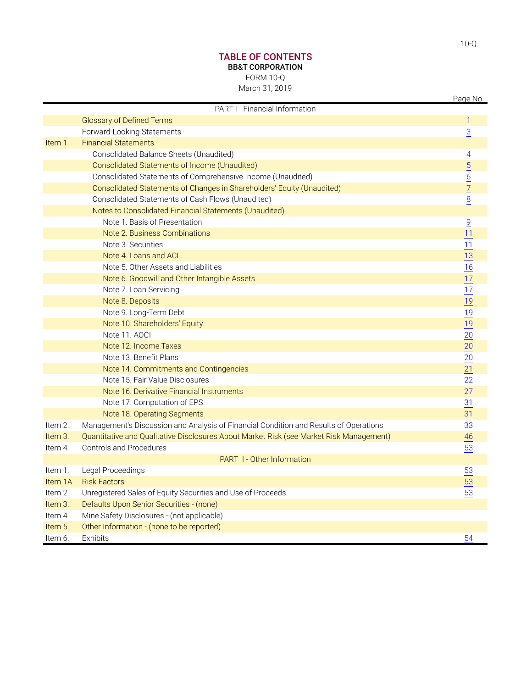## **TABLE OF CONTENTS**

**BB&T CORPORATION** FORM 10-Q

March 31, 2019

|          |                                                                                         | Page No.                                  |
|----------|-----------------------------------------------------------------------------------------|-------------------------------------------|
|          | PART I - Financial Information                                                          |                                           |
|          | <b>Glossary of Defined Terms</b>                                                        | $\overline{1}$                            |
|          | Forward-Looking Statements                                                              | 3                                         |
| Item 1.  | <b>Financial Statements</b>                                                             |                                           |
|          | Consolidated Balance Sheets (Unaudited)                                                 |                                           |
|          | Consolidated Statements of Income (Unaudited)                                           |                                           |
|          | Consolidated Statements of Comprehensive Income (Unaudited)                             |                                           |
|          | Consolidated Statements of Changes in Shareholders' Equity (Unaudited)                  | $\frac{4}{5}$ $\frac{5}{6}$ $\frac{7}{2}$ |
|          | Consolidated Statements of Cash Flows (Unaudited)                                       | $\overline{8}$                            |
|          | Notes to Consolidated Financial Statements (Unaudited)                                  |                                           |
|          | Note 1. Basis of Presentation                                                           | $\frac{9}{1}$                             |
|          | Note 2. Business Combinations                                                           | 11                                        |
|          | Note 3. Securities                                                                      | 11                                        |
|          | Note 4. Loans and ACL                                                                   | 13                                        |
|          | Note 5. Other Assets and Liabilities                                                    | 16                                        |
|          | Note 6. Goodwill and Other Intangible Assets                                            | 17                                        |
|          | Note 7. Loan Servicing                                                                  | 17                                        |
|          | Note 8. Deposits                                                                        | 19                                        |
|          | Note 9. Long-Term Debt                                                                  |                                           |
|          | Note 10. Shareholders' Equity                                                           | $\frac{19}{19}$                           |
|          | Note 11, AOCI                                                                           | $\overline{20}$                           |
|          | Note 12. Income Taxes                                                                   | 20                                        |
|          | Note 13. Benefit Plans                                                                  | 20                                        |
|          | Note 14. Commitments and Contingencies                                                  | 21                                        |
|          | Note 15. Fair Value Disclosures                                                         | $\frac{22}{27}$                           |
|          | Note 16. Derivative Financial Instruments                                               |                                           |
|          | Note 17. Computation of EPS                                                             | $\frac{31}{2}$                            |
|          | Note 18. Operating Segments                                                             | 31                                        |
| Item 2.  | Management's Discussion and Analysis of Financial Condition and Results of Operations   | 33                                        |
| Item 3.  | Quantitative and Qualitative Disclosures About Market Risk (see Market Risk Management) | 46                                        |
| Item 4.  | <b>Controls and Procedures</b>                                                          | 53                                        |
|          | PART II - Other Information                                                             |                                           |
| Item 1.  | Legal Proceedings                                                                       | 53                                        |
| Item 1A. | <b>Risk Factors</b>                                                                     | 53                                        |
| Item 2.  | Unregistered Sales of Equity Securities and Use of Proceeds                             | 53                                        |
| Item 3.  | Defaults Upon Senior Securities - (none)                                                |                                           |
| Item 4.  | Mine Safety Disclosures - (not applicable)                                              |                                           |
| Item 5.  | Other Information - (none to be reported)                                               |                                           |
| Item 6.  | Exhibits                                                                                | 54                                        |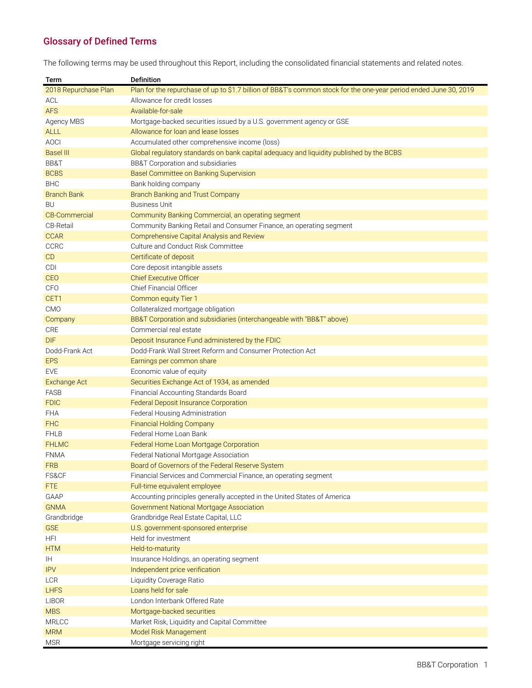## <span id="page-2-0"></span>**Glossary of Defined Terms**

The following terms may be used throughout this Report, including the consolidated financial statements and related notes.

| Term                 | Definition                                                                                                        |
|----------------------|-------------------------------------------------------------------------------------------------------------------|
| 2018 Repurchase Plan | Plan for the repurchase of up to \$1.7 billion of BB&T's common stock for the one-year period ended June 30, 2019 |
| ACL                  | Allowance for credit losses                                                                                       |
| <b>AFS</b>           | Available-for-sale                                                                                                |
| Agency MBS           | Mortgage-backed securities issued by a U.S. government agency or GSE                                              |
| <b>ALLL</b>          | Allowance for loan and lease losses                                                                               |
| <b>AOCI</b>          | Accumulated other comprehensive income (loss)                                                                     |
| <b>Basel III</b>     | Global regulatory standards on bank capital adequacy and liquidity published by the BCBS                          |
| BB&T                 | BB&T Corporation and subsidiaries                                                                                 |
| <b>BCBS</b>          | Basel Committee on Banking Supervision                                                                            |
| <b>BHC</b>           | Bank holding company                                                                                              |
| <b>Branch Bank</b>   | <b>Branch Banking and Trust Company</b>                                                                           |
| BU                   | <b>Business Unit</b>                                                                                              |
| <b>CB-Commercial</b> | Community Banking Commercial, an operating segment                                                                |
| <b>CB-Retail</b>     | Community Banking Retail and Consumer Finance, an operating segment                                               |
| <b>CCAR</b>          | Comprehensive Capital Analysis and Review                                                                         |
| CCRC                 | Culture and Conduct Risk Committee                                                                                |
| CD                   | Certificate of deposit                                                                                            |
| <b>CDI</b>           | Core deposit intangible assets                                                                                    |
| <b>CEO</b>           | <b>Chief Executive Officer</b>                                                                                    |
| <b>CFO</b>           | Chief Financial Officer                                                                                           |
| CET1                 | Common equity Tier 1                                                                                              |
| CMO                  | Collateralized mortgage obligation                                                                                |
| Company              | BB&T Corporation and subsidiaries (interchangeable with "BB&T" above)                                             |
| <b>CRE</b>           | Commercial real estate                                                                                            |
| <b>DIF</b>           | Deposit Insurance Fund administered by the FDIC                                                                   |
| Dodd-Frank Act       | Dodd-Frank Wall Street Reform and Consumer Protection Act                                                         |
| <b>EPS</b>           | Earnings per common share                                                                                         |
| <b>EVE</b>           | Economic value of equity                                                                                          |
| <b>Exchange Act</b>  | Securities Exchange Act of 1934, as amended                                                                       |
| <b>FASB</b>          | Financial Accounting Standards Board                                                                              |
| <b>FDIC</b>          | <b>Federal Deposit Insurance Corporation</b>                                                                      |
| <b>FHA</b>           | Federal Housing Administration                                                                                    |
| <b>FHC</b>           | <b>Financial Holding Company</b>                                                                                  |
| <b>FHLB</b>          | Federal Home Loan Bank                                                                                            |
| <b>FHLMC</b>         | Federal Home Loan Mortgage Corporation                                                                            |
| <b>FNMA</b>          | Federal National Mortgage Association                                                                             |
| <b>FRB</b>           | Board of Governors of the Federal Reserve System                                                                  |
| FS&CF                | Financial Services and Commercial Finance, an operating segment                                                   |
| <b>FTE</b>           | Full-time equivalent employee                                                                                     |
| GAAP                 | Accounting principles generally accepted in the United States of America                                          |
| <b>GNMA</b>          | Government National Mortgage Association                                                                          |
| Grandbridge          | Grandbridge Real Estate Capital, LLC                                                                              |
| <b>GSE</b>           | U.S. government-sponsored enterprise                                                                              |
| <b>HFI</b>           | Held for investment                                                                                               |
| <b>HTM</b>           | Held-to-maturity                                                                                                  |
| IH.                  | Insurance Holdings, an operating segment                                                                          |
| <b>IPV</b>           | Independent price verification                                                                                    |
| <b>LCR</b>           | Liquidity Coverage Ratio                                                                                          |
| <b>LHFS</b>          | Loans held for sale                                                                                               |
| <b>LIBOR</b>         | London Interbank Offered Rate                                                                                     |
| <b>MBS</b>           | Mortgage-backed securities                                                                                        |
| <b>MRLCC</b>         | Market Risk, Liquidity and Capital Committee                                                                      |
| <b>MRM</b>           | Model Risk Management                                                                                             |
| <b>MSR</b>           | Mortgage servicing right                                                                                          |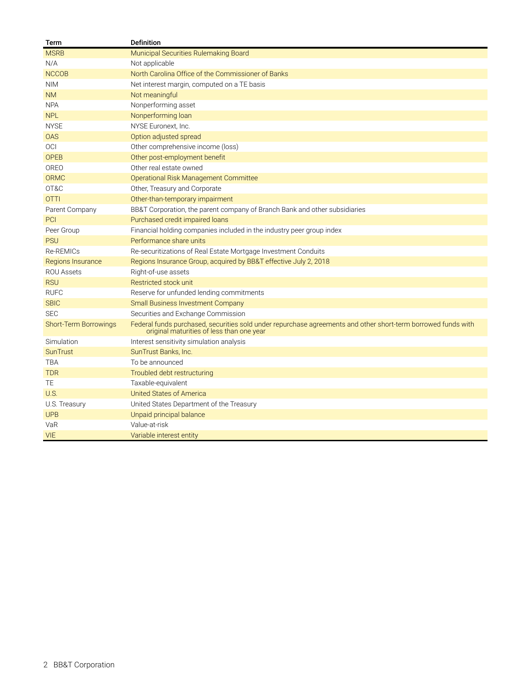| Term                         | <b>Definition</b>                                                                                                                                          |
|------------------------------|------------------------------------------------------------------------------------------------------------------------------------------------------------|
| <b>MSRB</b>                  | Municipal Securities Rulemaking Board                                                                                                                      |
| N/A                          | Not applicable                                                                                                                                             |
| <b>NCCOB</b>                 | North Carolina Office of the Commissioner of Banks                                                                                                         |
| <b>NIM</b>                   | Net interest margin, computed on a TE basis                                                                                                                |
| <b>NM</b>                    | Not meaningful                                                                                                                                             |
| <b>NPA</b>                   | Nonperforming asset                                                                                                                                        |
| <b>NPL</b>                   | Nonperforming loan                                                                                                                                         |
| <b>NYSE</b>                  | NYSE Euronext, Inc.                                                                                                                                        |
| <b>OAS</b>                   | Option adjusted spread                                                                                                                                     |
| OCI                          | Other comprehensive income (loss)                                                                                                                          |
| <b>OPEB</b>                  | Other post-employment benefit                                                                                                                              |
| OREO                         | Other real estate owned                                                                                                                                    |
| <b>ORMC</b>                  | Operational Risk Management Committee                                                                                                                      |
| OT&C                         | Other, Treasury and Corporate                                                                                                                              |
| <b>OTTI</b>                  | Other-than-temporary impairment                                                                                                                            |
| Parent Company               | BB&T Corporation, the parent company of Branch Bank and other subsidiaries                                                                                 |
| <b>PCI</b>                   | Purchased credit impaired loans                                                                                                                            |
| Peer Group                   | Financial holding companies included in the industry peer group index                                                                                      |
| <b>PSU</b>                   | Performance share units                                                                                                                                    |
| Re-REMICs                    | Re-securitizations of Real Estate Mortgage Investment Conduits                                                                                             |
| Regions Insurance            | Regions Insurance Group, acquired by BB&T effective July 2, 2018                                                                                           |
| <b>ROU Assets</b>            | Right-of-use assets                                                                                                                                        |
| <b>RSU</b>                   | Restricted stock unit                                                                                                                                      |
| <b>RUFC</b>                  | Reserve for unfunded lending commitments                                                                                                                   |
| <b>SBIC</b>                  | <b>Small Business Investment Company</b>                                                                                                                   |
| <b>SEC</b>                   | Securities and Exchange Commission                                                                                                                         |
| <b>Short-Term Borrowings</b> | Federal funds purchased, securities sold under repurchase agreements and other short-term borrowed funds with<br>original maturities of less than one year |
| Simulation                   | Interest sensitivity simulation analysis                                                                                                                   |
| <b>SunTrust</b>              | SunTrust Banks, Inc.                                                                                                                                       |
| TBA                          | To be announced                                                                                                                                            |
| <b>TDR</b>                   | Troubled debt restructuring                                                                                                                                |
| TE                           | Taxable-equivalent                                                                                                                                         |
| U.S.                         | <b>United States of America</b>                                                                                                                            |
| U.S. Treasury                | United States Department of the Treasury                                                                                                                   |
| <b>UPB</b>                   | Unpaid principal balance                                                                                                                                   |
| VaR                          | Value-at-risk                                                                                                                                              |
| <b>VIE</b>                   | Variable interest entity                                                                                                                                   |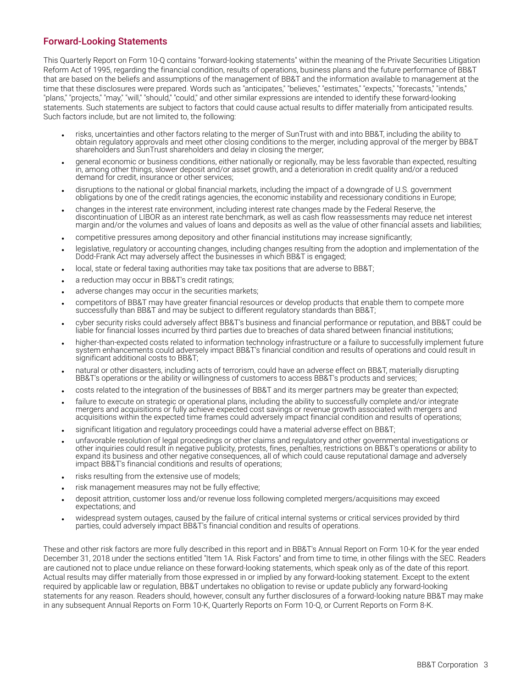## <span id="page-4-0"></span>**Forward-Looking Statements**

This Quarterly Report on Form 10-Q contains "forward-looking statements" within the meaning of the Private Securities Litigation Reform Act of 1995, regarding the financial condition, results of operations, business plans and the future performance of BB&T that are based on the beliefs and assumptions of the management of BB&T and the information available to management at the time that these disclosures were prepared. Words such as "anticipates," "believes," "estimates," expects," "forecasts," "intends," "plans," "projects," "may," "will," "should," "could," and other similar expressions are intended to identify these forward-looking statements. Such statements are subject to factors that could cause actual results to differ materially from anticipated results. Such factors include, but are not limited to, the following:

- risks, uncertainties and other factors relating to the merger of SunTrust with and into BB&T, including the ability to obtain regulatory approvals and meet other closing conditions to the merger, including approval of the merger by BB&T shareholders and SunTrust shareholders and delay in closing the merger;
- general economic or business conditions, either nationally or regionally, may be less favorable than expected, resulting in, among other things, slower deposit and/or asset growth, and a deterioration in credit quality and/or a reduced demand for credit, insurance or other services;
- disruptions to the national or global financial markets, including the impact of a downgrade of U.S. government obligations by one of the credit ratings agencies, the economic instability and recessionary conditions in Europe;
- changes in the interest rate environment, including interest rate changes made by the Federal Reserve, the discontinuation of LIBOR as an interest rate benchmark, as well as cash flow reassessments may reduce net interest margin and/or the volumes and values of loans and deposits as well as the value of other financial assets and liabilities;
- competitive pressures among depository and other financial institutions may increase significantly;
- legislative, regulatory or accounting changes, including changes resulting from the adoption and implementation of the Dodd-Frank Act may adversely affect the businesses in which BB&T is engaged;
- local, state or federal taxing authorities may take tax positions that are adverse to BB&T;
- a reduction may occur in BB&T's credit ratings;
- adverse changes may occur in the securities markets;
- competitors of BB&T may have greater financial resources or develop products that enable them to compete more successfully than BB&T and may be subject to different regulatory standards than BB&T;
- cyber security risks could adversely affect BB&T's business and financial performance or reputation, and BB&T could be liable for financial losses incurred by third parties due to breaches of data shared between financial institutions;
- higher-than-expected costs related to information technology infrastructure or a failure to successfully implement future system enhancements could adversely impact BB&T's financial condition and results of operations and could result in significant additional costs to BB&T;
- <sup>l</sup> natural or other disasters, including acts of terrorism, could have an adverse effect on BB&T, materially disrupting BB&T's operations or the ability or willingness of customers to access BB&T's products and services;
- <sup>l</sup> costs related to the integration of the businesses of BB&T and its merger partners may be greater than expected;
- failure to execute on strategic or operational plans, including the ability to successfully complete and/or integrate mergers and acquisitions or fully achieve expected cost savings or revenue growth associated with mergers and acquisitions within the expected time frames could adversely impact financial condition and results of operations;
- significant litigation and regulatory proceedings could have a material adverse effect on BB&T;
- <sup>l</sup> unfavorable resolution of legal proceedings or other claims and regulatory and other governmental investigations or other inquiries could result in negative publicity, protests, fines, penalties, restrictions on BB&T's operations or ability to expand its business and other negative consequences, all of which could cause reputational damage and adversely impact BB&T's financial conditions and results of operations;
- risks resulting from the extensive use of models;
- risk management measures may not be fully effective;
- deposit attrition, customer loss and/or revenue loss following completed mergers/acquisitions may exceed expectations; and
- widespread system outages, caused by the failure of critical internal systems or critical services provided by third parties, could adversely impact BB&T's financial condition and results of operations.

These and other risk factors are more fully described in this report and in BB&T's Annual Report on Form 10-K for the year ended December 31, 2018 under the sections entitled "Item 1A. Risk Factors" and from time to time, in other filings with the SEC. Readers are cautioned not to place undue reliance on these forward-looking statements, which speak only as of the date of this report. Actual results may differ materially from those expressed in or implied by any forward-looking statement. Except to the extent required by applicable law or regulation, BB&T undertakes no obligation to revise or update publicly any forward-looking statements for any reason. Readers should, however, consult any further disclosures of a forward-looking nature BB&T may make in any subsequent Annual Reports on Form 10‑K, Quarterly Reports on Form 10‑Q, or Current Reports on Form 8‑K.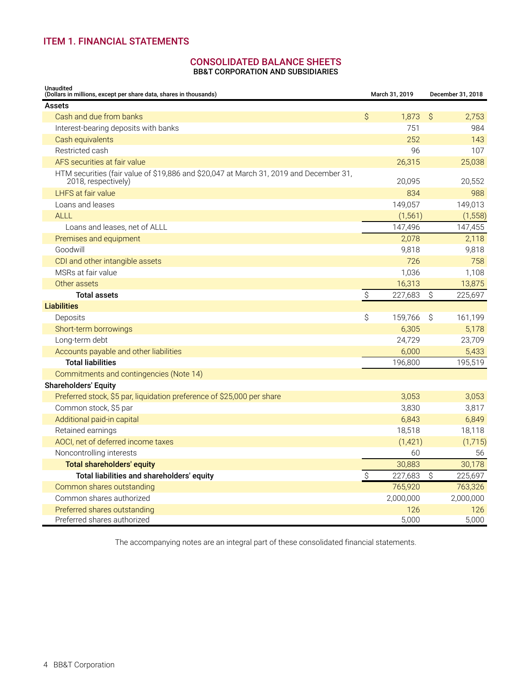## <span id="page-5-0"></span>**ITEM 1. FINANCIAL STATEMENTS**

**Unaudited**

# **CONSOLIDATED BALANCE SHEETS**

**BB&T CORPORATION AND SUBSIDIARIES**

| (Dollars in millions, except per share data, shares in thousands)                                             | March 31, 2019 |    | December 31, 2018 |
|---------------------------------------------------------------------------------------------------------------|----------------|----|-------------------|
| <b>Assets</b>                                                                                                 |                |    |                   |
| Cash and due from banks                                                                                       | \$<br>1,873    | \$ | 2,753             |
| Interest-bearing deposits with banks                                                                          | 751            |    | 984               |
| Cash equivalents                                                                                              | 252            |    | 143               |
| Restricted cash                                                                                               | 96             |    | 107               |
| AFS securities at fair value                                                                                  | 26,315         |    | 25,038            |
| HTM securities (fair value of \$19,886 and \$20,047 at March 31, 2019 and December 31,<br>2018, respectively) | 20,095         |    | 20,552            |
| LHFS at fair value                                                                                            | 834            |    | 988               |
| Loans and leases                                                                                              | 149,057        |    | 149,013           |
| <b>ALLL</b>                                                                                                   | (1, 561)       |    | (1, 558)          |
| Loans and leases, net of ALLL                                                                                 | 147,496        |    | 147,455           |
| Premises and equipment                                                                                        | 2,078          |    | 2,118             |
| Goodwill                                                                                                      | 9,818          |    | 9,818             |
| CDI and other intangible assets                                                                               | 726            |    | 758               |
| MSRs at fair value                                                                                            | 1,036          |    | 1,108             |
| Other assets                                                                                                  | 16,313         |    | 13,875            |
| <b>Total assets</b>                                                                                           | \$<br>227,683  | \$ | 225,697           |
| <b>Liabilities</b>                                                                                            |                |    |                   |
| Deposits                                                                                                      | \$<br>159,766  | S  | 161,199           |
| Short-term borrowings                                                                                         | 6,305          |    | 5,178             |
| Long-term debt                                                                                                | 24,729         |    | 23,709            |
| Accounts payable and other liabilities                                                                        | 6,000          |    | 5,433             |
| <b>Total liabilities</b>                                                                                      | 196,800        |    | 195,519           |
| Commitments and contingencies (Note 14)                                                                       |                |    |                   |
| <b>Shareholders' Equity</b>                                                                                   |                |    |                   |
| Preferred stock, \$5 par, liquidation preference of \$25,000 per share                                        | 3,053          |    | 3,053             |
| Common stock, \$5 par                                                                                         | 3,830          |    | 3,817             |
| Additional paid-in capital                                                                                    | 6,843          |    | 6,849             |
| Retained earnings                                                                                             | 18,518         |    | 18,118            |
| AOCI, net of deferred income taxes                                                                            | (1,421)        |    | (1,715)           |
| Noncontrolling interests                                                                                      | 60             |    | 56                |
| <b>Total shareholders' equity</b>                                                                             | 30,883         |    | 30.178            |
| Total liabilities and shareholders' equity                                                                    | \$<br>227,683  | \$ | 225,697           |
| Common shares outstanding                                                                                     | 765,920        |    | 763,326           |
| Common shares authorized                                                                                      | 2,000,000      |    | 2,000,000         |
| Preferred shares outstanding                                                                                  | 126            |    | 126               |
| Preferred shares authorized                                                                                   | 5,000          |    | 5,000             |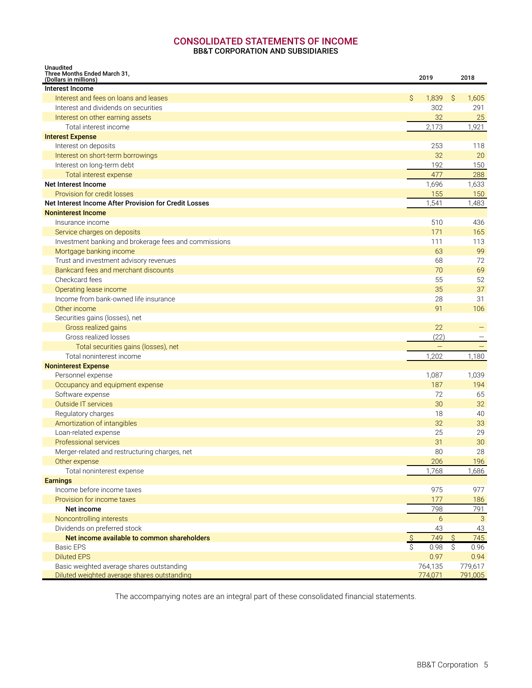## **CONSOLIDATED STATEMENTS OF INCOME**

**BB&T CORPORATION AND SUBSIDIARIES**

<span id="page-6-0"></span>

| <b>Unaudited</b><br>Three Months Ended March 31,<br>(Dollars in millions) |               | 2019              | 2018         |
|---------------------------------------------------------------------------|---------------|-------------------|--------------|
| Interest Income                                                           |               |                   |              |
| Interest and fees on loans and leases                                     | \$            | 1,839             | \$<br>1,605  |
| Interest and dividends on securities                                      |               | 302               | 291          |
| Interest on other earning assets                                          |               | 32                | 25           |
| Total interest income                                                     |               | 2,173             | 1,921        |
| <b>Interest Expense</b>                                                   |               |                   |              |
| Interest on deposits                                                      |               | 253               | 118          |
| Interest on short-term borrowings                                         |               | 32                | 20           |
| Interest on long-term debt                                                |               | 192               | 150          |
| Total interest expense                                                    |               | 477               | 288          |
| Net Interest Income                                                       |               | 1,696             | 1,633        |
| Provision for credit losses                                               |               | 155               | 150          |
| Net Interest Income After Provision for Credit Losses                     |               | 1,541             | 1,483        |
| <b>Noninterest Income</b>                                                 |               |                   |              |
| Insurance income                                                          |               | 510               | 436          |
| Service charges on deposits                                               |               | 171               | 165          |
| Investment banking and brokerage fees and commissions                     |               | 111               | 113          |
| Mortgage banking income                                                   |               | 63                | 99           |
| Trust and investment advisory revenues                                    |               | 68                | 72           |
| Bankcard fees and merchant discounts                                      |               | 70                | 69           |
| Checkcard fees                                                            |               | 55                | 52           |
| Operating lease income                                                    |               | 35                | 37           |
| Income from bank-owned life insurance                                     |               | 28                | 31           |
| Other income                                                              |               | 91                | 106          |
| Securities gains (losses), net                                            |               |                   |              |
| Gross realized gains                                                      |               | 22                |              |
| Gross realized losses                                                     |               | (22)              |              |
| Total securities gains (losses), net                                      |               | $\qquad \qquad -$ |              |
| Total noninterest income                                                  |               | 1,202             | 1,180        |
| <b>Noninterest Expense</b>                                                |               |                   |              |
| Personnel expense                                                         |               | 1,087             | 1,039        |
| Occupancy and equipment expense                                           |               | 187               | 194          |
| Software expense                                                          |               | 72                | 65           |
| Outside IT services                                                       |               | 30                | 32           |
| Regulatory charges                                                        |               | 18                | 40           |
| Amortization of intangibles                                               |               | 32                | 33           |
| Loan-related expense                                                      |               | 25                | 29           |
| Professional services                                                     |               | 31                | 30           |
| Merger-related and restructuring charges, net                             |               | 80                | 28           |
| Other expense                                                             |               | 206               | 196          |
| Total noninterest expense                                                 |               | 1,768             | 1,686        |
| <b>Earnings</b>                                                           |               |                   |              |
| Income before income taxes                                                |               | 975               | 977          |
| Provision for income taxes                                                |               | 177               | 186          |
| Net income                                                                |               | 798               | 791          |
| Noncontrolling interests                                                  |               | 6                 | $\mathbf{3}$ |
| Dividends on preferred stock                                              |               | 43                | 43           |
| Net income available to common shareholders                               | $\mathcal{S}$ | 749               | \$<br>745    |
| <b>Basic EPS</b>                                                          | Ŝ.            | 0.98              | \$<br>0.96   |
| <b>Diluted EPS</b>                                                        |               | 0.97              | 0.94         |
| Basic weighted average shares outstanding                                 |               | 764,135           | 779,617      |
| Diluted weighted average shares outstanding                               |               | 774,071           | 791,005      |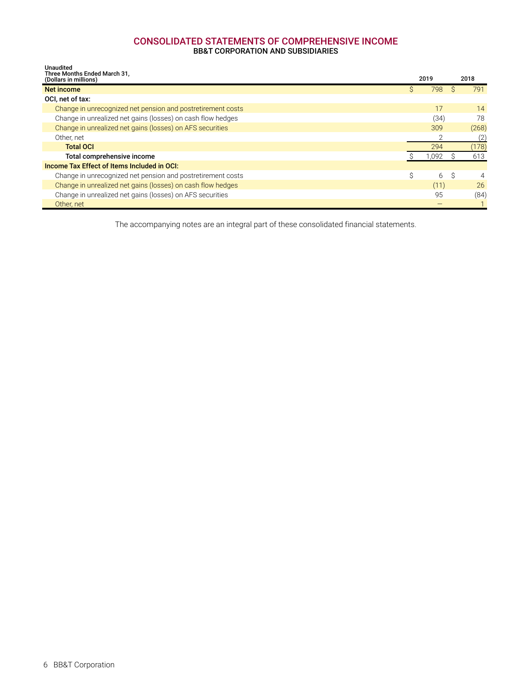#### **CONSOLIDATED STATEMENTS OF COMPREHENSIVE INCOME BB&T CORPORATION AND SUBSIDIARIES**

<span id="page-7-0"></span>**Unaudited Three Months Ended March 31,**

| Three Months Enged March 31,<br>(Dollars in millions)       |    | 2019  |    | 2018  |
|-------------------------------------------------------------|----|-------|----|-------|
| <b>Net income</b>                                           | S. | 798   |    | 791   |
| OCI, net of tax:                                            |    |       |    |       |
| Change in unrecognized net pension and postretirement costs |    | 17    |    | 14    |
| Change in unrealized net gains (losses) on cash flow hedges |    | (34)  |    | 78    |
| Change in unrealized net gains (losses) on AFS securities   |    | 309   |    | (268) |
| Other, net                                                  |    |       |    | (2)   |
| <b>Total OCI</b>                                            |    | 294   |    | (178) |
| Total comprehensive income                                  |    | 1,092 |    | 613   |
| Income Tax Effect of Items Included in OCI:                 |    |       |    |       |
| Change in unrecognized net pension and postretirement costs | Ś  | 6     | S. | 4     |
| Change in unrealized net gains (losses) on cash flow hedges |    | (11)  |    | 26    |
| Change in unrealized net gains (losses) on AFS securities   |    | 95    |    | (84)  |
| Other, net                                                  |    |       |    |       |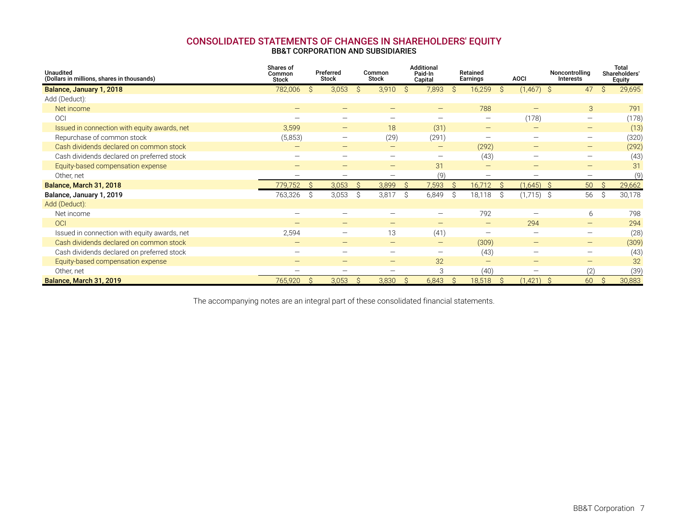#### **CONSOLIDATED STATEMENTS OF CHANGES IN SHAREHOLDERS' EQUITY BB&T CORPORATION AND SUBSIDIARIES**

<span id="page-8-0"></span>

| <b>Unaudited</b><br>(Dollars in millions, shares in thousands) | Shares of<br>Common<br><b>Stock</b> |              | Preferred<br><b>Stock</b> |              | Common<br><b>Stock</b>   |              | <b>Additional</b><br>Paid-In<br>Capital |              | <b>Retained</b><br>Earnings |    | <b>AOCI</b>                     |              | Noncontrolling<br>Interests     |    | <b>Total</b><br>Shareholders'<br><b>Equity</b> |
|----------------------------------------------------------------|-------------------------------------|--------------|---------------------------|--------------|--------------------------|--------------|-----------------------------------------|--------------|-----------------------------|----|---------------------------------|--------------|---------------------------------|----|------------------------------------------------|
| Balance, January 1, 2018                                       | 782,006                             | Ŝ.           | 3,053                     | S.           | 3,910                    | S.           | 7,893                                   | Ŝ.           | 16,259                      | Ŝ. | (1, 467)                        | <sup>S</sup> | 47                              | S. | 29,695                                         |
| Add (Deduct):                                                  |                                     |              |                           |              |                          |              |                                         |              |                             |    |                                 |              |                                 |    |                                                |
| Net income                                                     |                                     |              |                           |              | $\qquad \qquad -$        |              | $\qquad \qquad -$                       |              | 788                         |    | $\overline{\phantom{m}}$        |              | 3                               |    | 791                                            |
| OCI                                                            |                                     |              |                           |              |                          |              | -                                       |              |                             |    | (178)                           |              | $\overline{\phantom{m}}$        |    | (178)                                          |
| Issued in connection with equity awards, net                   | 3,599                               |              | $\qquad \qquad -$         |              | 18                       |              | (31)                                    |              | $\qquad \qquad -$           |    |                                 |              | $\qquad \qquad \longleftarrow$  |    | (13)                                           |
| Repurchase of common stock                                     | (5,853)                             |              |                           |              | (29)                     |              | (291)                                   |              | $\overline{\phantom{0}}$    |    | $\overline{\phantom{m}}$        |              | $\qquad \qquad -$               |    | (320)                                          |
| Cash dividends declared on common stock                        |                                     |              |                           |              |                          |              | $\hspace{0.1mm}-\hspace{0.1mm}$         |              | (292)                       |    | $\hspace{0.1mm}-\hspace{0.1mm}$ |              | $\qquad \qquad -$               |    | (292)                                          |
| Cash dividends declared on preferred stock                     |                                     |              |                           |              |                          |              | $\overline{\phantom{m}}$                |              | (43)                        |    | $\qquad \qquad -$               |              | $\hspace{0.1mm}-\hspace{0.1mm}$ |    | (43)                                           |
| Equity-based compensation expense                              |                                     |              |                           |              |                          |              | 31                                      |              |                             |    | $\overline{\phantom{m}}$        |              | $\overline{\phantom{m}}$        |    | 31                                             |
| Other, net                                                     |                                     |              |                           |              |                          |              | (9)                                     |              | $\overline{\phantom{0}}$    |    | —                               |              | $\overline{\phantom{m}}$        |    | (9)                                            |
| Balance, March 31, 2018                                        | 779,752                             | <sub>S</sub> | 3,053                     | <sub>S</sub> | 3,899                    | <sup>S</sup> | 7,593                                   | <sub>S</sub> | 16,712                      | S. | (1,645)                         | -S           | 50                              |    | 29,662                                         |
| Balance, January 1, 2019                                       | 763,326                             | Ŝ.           | 3,053                     | Ŝ.           | 3,817                    | Ŝ.           | 6,849                                   | Ŝ.           | 18,118                      | Ŝ. | (1,715)                         | Ŝ.           | 56                              | Ŝ. | 30,178                                         |
| Add (Deduct):                                                  |                                     |              |                           |              |                          |              |                                         |              |                             |    |                                 |              |                                 |    |                                                |
| Net income                                                     |                                     |              |                           |              |                          |              | $\overline{\phantom{0}}$                |              | 792                         |    |                                 |              | 6                               |    | 798                                            |
| <b>OCI</b>                                                     |                                     |              |                           |              | $\overline{\phantom{m}}$ |              | —                                       |              | $\qquad \qquad -$           |    | 294                             |              | $\overline{\phantom{m}}$        |    | 294                                            |
| Issued in connection with equity awards, net                   | 2,594                               |              |                           |              | 13                       |              | (41)                                    |              | $\overline{\phantom{0}}$    |    |                                 |              | $\overline{\phantom{m}}$        |    | (28)                                           |
| Cash dividends declared on common stock                        |                                     |              | $\overline{\phantom{m}}$  |              | $\overline{\phantom{m}}$ |              | $\hspace{0.1mm}-\hspace{0.1mm}$         |              | (309)                       |    | $\hspace{0.1mm}-\hspace{0.1mm}$ |              | $\qquad \qquad -$               |    | (309)                                          |
| Cash dividends declared on preferred stock                     |                                     |              |                           |              |                          |              | $\overline{\phantom{m}}$                |              | (43)                        |    | $\qquad \qquad -$               |              | $\overline{\phantom{m}}$        |    | (43)                                           |
| Equity-based compensation expense                              |                                     |              |                           |              | $\qquad \qquad -$        |              | 32                                      |              | $\overline{\phantom{0}}$    |    |                                 |              | $\overline{\phantom{m}}$        |    | 32                                             |
| Other, net                                                     |                                     |              |                           |              |                          |              | 3                                       |              | (40)                        |    | $\overline{\phantom{m}}$        |              | (2)                             |    | (39)                                           |
| Balance, March 31, 2019                                        | 765,920                             | Ŝ.           | 3,053                     | <sup>S</sup> | 3,830                    | <sup>S</sup> | 6,843                                   | Ŝ.           | 18,518                      | -S | (1,421)                         | S,           | 60                              |    | 30,883                                         |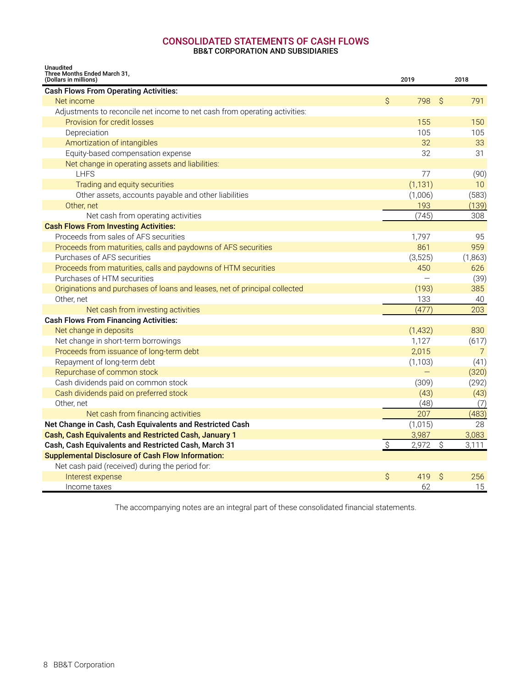## **CONSOLIDATED STATEMENTS OF CASH FLOWS**

**BB&T CORPORATION AND SUBSIDIARIES**

<span id="page-9-0"></span>

| <b>Unaudited</b><br>Three Months Ended March 31,<br>(Dollars in millions)  |                          | 2019     |                          | 2018           |
|----------------------------------------------------------------------------|--------------------------|----------|--------------------------|----------------|
| <b>Cash Flows From Operating Activities:</b>                               |                          |          |                          |                |
| Net income                                                                 | $\mathsf{S}$             | 798      | Ŝ.                       | 791            |
| Adjustments to reconcile net income to net cash from operating activities: |                          |          |                          |                |
| Provision for credit losses                                                |                          | 155      |                          | 150            |
| Depreciation                                                               |                          | 105      |                          | 105            |
| Amortization of intangibles                                                |                          | 32       |                          | 33             |
| Equity-based compensation expense                                          |                          | 32       |                          | 31             |
| Net change in operating assets and liabilities:                            |                          |          |                          |                |
| <b>I HES</b>                                                               |                          | 77       |                          | (90)           |
| Trading and equity securities                                              |                          | (1, 131) |                          | 10             |
| Other assets, accounts payable and other liabilities                       |                          | (1,006)  |                          | (583)          |
| Other, net                                                                 |                          | 193      |                          | (139)          |
| Net cash from operating activities                                         |                          | (745)    |                          | 308            |
| <b>Cash Flows From Investing Activities:</b>                               |                          |          |                          |                |
| Proceeds from sales of AFS securities                                      |                          | 1,797    |                          | 95             |
| Proceeds from maturities, calls and paydowns of AFS securities             |                          | 861      |                          | 959            |
| Purchases of AFS securities                                                |                          | (3,525)  |                          | (1,863)        |
| Proceeds from maturities, calls and paydowns of HTM securities             |                          | 450      |                          | 626            |
| Purchases of HTM securities                                                |                          |          |                          | (39)           |
| Originations and purchases of loans and leases, net of principal collected |                          | (193)    |                          | 385            |
| Other, net                                                                 |                          | 133      |                          | 40             |
| Net cash from investing activities                                         |                          | (477)    |                          | 203            |
| <b>Cash Flows From Financing Activities:</b>                               |                          |          |                          |                |
| Net change in deposits                                                     |                          | (1, 432) |                          | 830            |
| Net change in short-term borrowings                                        |                          | 1,127    |                          | (617)          |
| Proceeds from issuance of long-term debt                                   |                          | 2,015    |                          | $\overline{7}$ |
| Repayment of long-term debt                                                |                          | (1, 103) |                          | (41)           |
| Repurchase of common stock                                                 |                          |          |                          | (320)          |
| Cash dividends paid on common stock                                        |                          | (309)    |                          | (292)          |
| Cash dividends paid on preferred stock                                     |                          | (43)     |                          | (43)           |
| Other, net                                                                 |                          | (48)     |                          | (7)            |
| Net cash from financing activities                                         |                          | 207      |                          | (483)          |
| Net Change in Cash, Cash Equivalents and Restricted Cash                   |                          | (1,015)  |                          | 28             |
| Cash, Cash Equivalents and Restricted Cash, January 1                      |                          | 3,987    |                          | 3,083          |
| Cash, Cash Equivalents and Restricted Cash, March 31                       | $\overline{\mathcal{S}}$ | 2,972    | $\overline{\mathcal{S}}$ | 3,111          |
| <b>Supplemental Disclosure of Cash Flow Information:</b>                   |                          |          |                          |                |
| Net cash paid (received) during the period for:                            |                          |          |                          |                |
| Interest expense                                                           | \$                       | 419      | Ŝ.                       | 256            |
| Income taxes                                                               |                          | 62       |                          | 15             |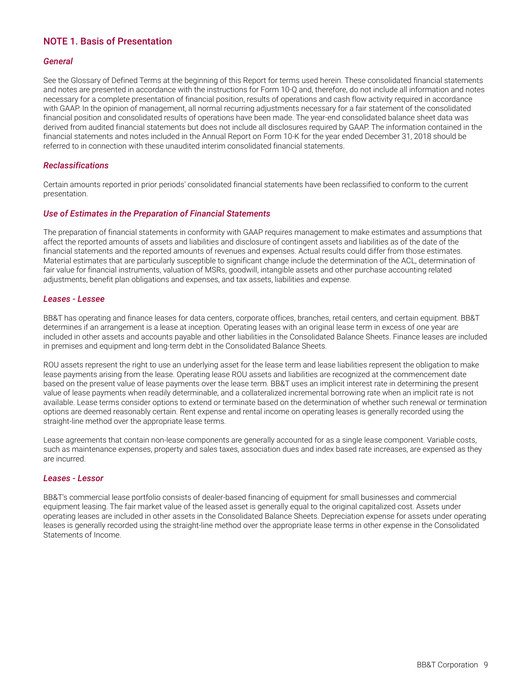## <span id="page-10-0"></span>**NOTE 1. Basis of Presentation**

#### *General*

See the Glossary of Defined Terms at the beginning of this Report for terms used herein. These consolidated financial statements and notes are presented in accordance with the instructions for Form 10-Q and, therefore, do not include all information and notes necessary for a complete presentation of financial position, results of operations and cash flow activity required in accordance with GAAP. In the opinion of management, all normal recurring adjustments necessary for a fair statement of the consolidated financial position and consolidated results of operations have been made. The year-end consolidated balance sheet data was derived from audited financial statements but does not include all disclosures required by GAAP. The information contained in the financial statements and notes included in the Annual Report on Form 10-K for the year ended December 31, 2018 should be referred to in connection with these unaudited interim consolidated financial statements.

#### *Reclassifications*

Certain amounts reported in prior periods' consolidated financial statements have been reclassified to conform to the current presentation.

#### *Use of Estimates in the Preparation of Financial Statements*

The preparation of financial statements in conformity with GAAP requires management to make estimates and assumptions that affect the reported amounts of assets and liabilities and disclosure of contingent assets and liabilities as of the date of the financial statements and the reported amounts of revenues and expenses. Actual results could differ from those estimates. Material estimates that are particularly susceptible to significant change include the determination of the ACL, determination of fair value for financial instruments, valuation of MSRs, goodwill, intangible assets and other purchase accounting related adjustments, benefit plan obligations and expenses, and tax assets, liabilities and expense.

#### *Leases - Lessee*

BB&T has operating and finance leases for data centers, corporate offices, branches, retail centers, and certain equipment. BB&T determines if an arrangement is a lease at inception. Operating leases with an original lease term in excess of one year are included in other assets and accounts payable and other liabilities in the Consolidated Balance Sheets. Finance leases are included in premises and equipment and long-term debt in the Consolidated Balance Sheets.

ROU assets represent the right to use an underlying asset for the lease term and lease liabilities represent the obligation to make lease payments arising from the lease. Operating lease ROU assets and liabilities are recognized at the commencement date based on the present value of lease payments over the lease term. BB&T uses an implicit interest rate in determining the present value of lease payments when readily determinable, and a collateralized incremental borrowing rate when an implicit rate is not available. Lease terms consider options to extend or terminate based on the determination of whether such renewal or termination options are deemed reasonably certain. Rent expense and rental income on operating leases is generally recorded using the straight-line method over the appropriate lease terms.

Lease agreements that contain non-lease components are generally accounted for as a single lease component. Variable costs, such as maintenance expenses, property and sales taxes, association dues and index based rate increases, are expensed as they are incurred.

#### *Leases - Lessor*

BB&T's commercial lease portfolio consists of dealer-based financing of equipment for small businesses and commercial equipment leasing. The fair market value of the leased asset is generally equal to the original capitalized cost. Assets under operating leases are included in other assets in the Consolidated Balance Sheets. Depreciation expense for assets under operating leases is generally recorded using the straight-line method over the appropriate lease terms in other expense in the Consolidated Statements of Income.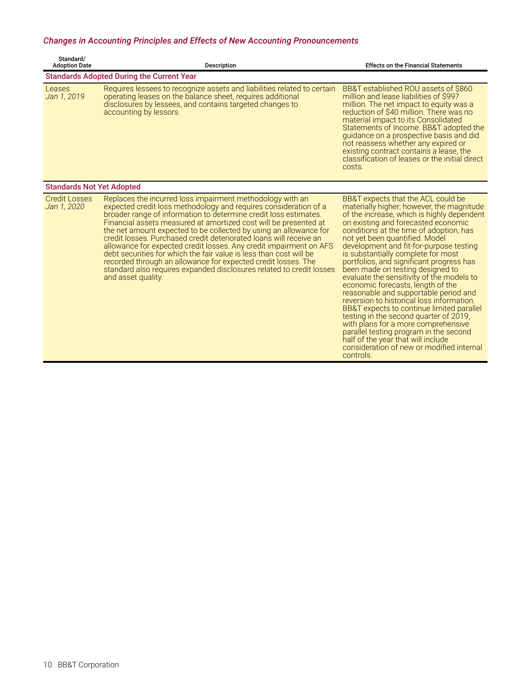## *Changes in Accounting Principles and Effects of New Accounting Pronouncements*

| Standard/<br><b>Adoption Date</b>   | Description                                                                                                                                                                                                                                                                                                                                                                                                                                                                                                                                                                                                                                                                                                                 | <b>Effects on the Financial Statements</b>                                                                                                                                                                                                                                                                                                                                                                                                                                                                                                                                                                                                                                                                                                                                                                                                                         |
|-------------------------------------|-----------------------------------------------------------------------------------------------------------------------------------------------------------------------------------------------------------------------------------------------------------------------------------------------------------------------------------------------------------------------------------------------------------------------------------------------------------------------------------------------------------------------------------------------------------------------------------------------------------------------------------------------------------------------------------------------------------------------------|--------------------------------------------------------------------------------------------------------------------------------------------------------------------------------------------------------------------------------------------------------------------------------------------------------------------------------------------------------------------------------------------------------------------------------------------------------------------------------------------------------------------------------------------------------------------------------------------------------------------------------------------------------------------------------------------------------------------------------------------------------------------------------------------------------------------------------------------------------------------|
|                                     | <b>Standards Adopted During the Current Year</b>                                                                                                                                                                                                                                                                                                                                                                                                                                                                                                                                                                                                                                                                            |                                                                                                                                                                                                                                                                                                                                                                                                                                                                                                                                                                                                                                                                                                                                                                                                                                                                    |
| Leases<br>Jan 1, 2019               | Requires lessees to recognize assets and liabilities related to certain<br>operating leases on the balance sheet, requires additional<br>disclosures by lessees, and contains targeted changes to<br>accounting by lessors.                                                                                                                                                                                                                                                                                                                                                                                                                                                                                                 | BB&T established ROU assets of \$860<br>million and lease liabilities of \$997<br>million. The net impact to equity was a<br>reduction of \$40 million. There was no<br>material impact to its Consolidated<br>Statements of Income. BB&T adopted the<br>guidance on a prospective basis and did<br>not reassess whether any expired or<br>existing contract contains a lease, the<br>classification of leases or the initial direct<br>costs.                                                                                                                                                                                                                                                                                                                                                                                                                     |
| <b>Standards Not Yet Adopted</b>    |                                                                                                                                                                                                                                                                                                                                                                                                                                                                                                                                                                                                                                                                                                                             |                                                                                                                                                                                                                                                                                                                                                                                                                                                                                                                                                                                                                                                                                                                                                                                                                                                                    |
| <b>Credit Losses</b><br>Jan 1, 2020 | Replaces the incurred loss impairment methodology with an<br>expected credit loss methodology and requires consideration of a<br>broader range of information to determine credit loss estimates.<br>Financial assets measured at amortized cost will be presented at<br>the net amount expected to be collected by using an allowance for<br>credit losses. Purchased credit deteriorated loans will receive an<br>allowance for expected credit losses. Any credit impairment on AFS<br>debt securities for which the fair value is less than cost will be<br>recorded through an allowance for expected credit losses. The<br>standard also requires expanded disclosures related to credit losses<br>and asset quality. | BB&T expects that the ACL could be<br>materially higher; however, the magnitude<br>of the increase, which is highly dependent<br>on existing and forecasted economic<br>conditions at the time of adoption, has<br>not yet been quantified. Model<br>development and fit-for-purpose testing<br>is substantially complete for most<br>portfolios, and significant progress has<br>been made on testing designed to<br>evaluate the sensitivity of the models to<br>economic forecasts, length of the<br>reasonable and supportable period and<br>reversion to historical loss information.<br>BB&T expects to continue limited parallel<br>testing in the second quarter of 2019,<br>with plans for a more comprehensive<br>parallel testing program in the second<br>half of the year that will include<br>consideration of new or modified internal<br>controls. |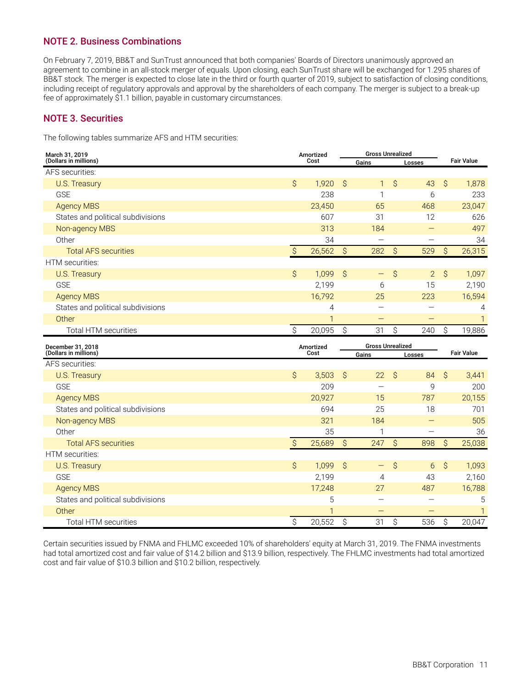## <span id="page-12-0"></span>**NOTE 2. Business Combinations**

On February 7, 2019, BB&T and SunTrust announced that both companies' Boards of Directors unanimously approved an agreement to combine in an all-stock merger of equals. Upon closing, each SunTrust share will be exchanged for 1.295 shares of BB&T stock. The merger is expected to close late in the third or fourth quarter of 2019, subject to satisfaction of closing conditions, including receipt of regulatory approvals and approval by the shareholders of each company. The merger is subject to a break-up fee of approximately \$1.1 billion, payable in customary circumstances.

## **NOTE 3. Securities**

The following tables summarize AFS and HTM securities:

| March 31, 2019                             |               | Amortized         |               | <b>Gross Unrealized</b>  |               |                          |               |                   |
|--------------------------------------------|---------------|-------------------|---------------|--------------------------|---------------|--------------------------|---------------|-------------------|
| (Dollars in millions)                      |               | Cost              |               | Gains                    |               | Losses                   |               | <b>Fair Value</b> |
| AFS securities:                            |               |                   |               |                          |               |                          |               |                   |
| U.S. Treasury                              | \$            | 1,920             | \$            | $\mathbf{1}$             | \$            | 43                       | $\mathcal{S}$ | 1,878             |
| <b>GSE</b>                                 |               | 238               |               | 1                        |               | 6                        |               | 233               |
| <b>Agency MBS</b>                          |               | 23,450            |               | 65                       |               | 468                      |               | 23,047            |
| States and political subdivisions          |               | 607               |               | 31                       |               | 12                       |               | 626               |
| Non-agency MBS                             |               | 313               |               | 184                      |               |                          |               | 497               |
| Other                                      |               | 34                |               |                          |               | $\overline{\phantom{0}}$ |               | 34                |
| <b>Total AFS securities</b>                | $\mathcal{S}$ | 26,562            | $\hat{S}$     | 282                      | $\hat{S}$     | 529                      | $\hat{S}$     | 26,315            |
| HTM securities:                            |               |                   |               |                          |               |                          |               |                   |
| <b>U.S. Treasury</b>                       | $\mathsf{S}$  | 1,099             | \$            | -                        | \$            | $\overline{2}$           | $\mathsf{S}$  | 1,097             |
| <b>GSE</b>                                 |               | 2,199             |               | 6                        |               | 15                       |               | 2,190             |
| <b>Agency MBS</b>                          |               | 16,792            |               | 25                       |               | 223                      |               | 16,594            |
| States and political subdivisions          |               | $\overline{4}$    |               | $\overline{\phantom{0}}$ |               |                          |               | 4                 |
| Other                                      |               | $\mathbf{1}$      |               |                          |               | -                        |               | $\mathbf{1}$      |
| <b>Total HTM securities</b>                | \$            | 20,095            | $\mathcal{S}$ | 31                       | \$            | 240                      | \$            | 19,886            |
|                                            |               |                   |               |                          |               |                          |               |                   |
|                                            |               |                   |               | <b>Gross Unrealized</b>  |               |                          |               |                   |
| December 31, 2018<br>(Dollars in millions) |               | Amortized<br>Cost |               | Gains                    |               | Losses                   |               | <b>Fair Value</b> |
| AFS securities:                            |               |                   |               |                          |               |                          |               |                   |
| <b>U.S. Treasury</b>                       | \$            | 3,503             | Ŝ             | 22                       | \$            | 84                       | $\mathsf{S}$  | 3,441             |
| <b>GSE</b>                                 |               | 209               |               |                          |               | 9                        |               | 200               |
| <b>Agency MBS</b>                          |               | 20,927            |               | 15                       |               | 787                      |               | 20,155            |
| States and political subdivisions          |               | 694               |               | 25                       |               | 18                       |               | 701               |
| Non-agency MBS                             |               | 321               |               | 184                      |               |                          |               | 505               |
| Other                                      |               | 35                |               | 1                        |               |                          |               | 36                |
| <b>Total AFS securities</b>                | $\mathcal{S}$ | 25,689            | $\hat{S}$     | 247                      | $\mathcal{S}$ | 898                      | $\hat{S}$     | 25,038            |
| HTM securities:                            |               |                   |               |                          |               |                          |               |                   |
| U.S. Treasury                              | $\mathsf{S}$  | 1,099             | Ŝ             | $\qquad \qquad -$        | \$            | 6                        | $\hat{S}$     | 1,093             |
| <b>GSE</b>                                 |               | 2,199             |               | 4                        |               | 43                       |               | 2,160             |
| <b>Agency MBS</b>                          |               | 17,248            |               | 27                       |               | 487                      |               | 16,788            |
| States and political subdivisions          |               | 5                 |               |                          |               |                          |               | 5                 |
| Other                                      |               | $\overline{1}$    |               |                          |               |                          |               | $\mathbf{1}$      |

Certain securities issued by FNMA and FHLMC exceeded 10% of shareholders' equity at March 31, 2019. The FNMA investments had total amortized cost and fair value of \$14.2 billion and \$13.9 billion, respectively. The FHLMC investments had total amortized cost and fair value of \$10.3 billion and \$10.2 billion, respectively.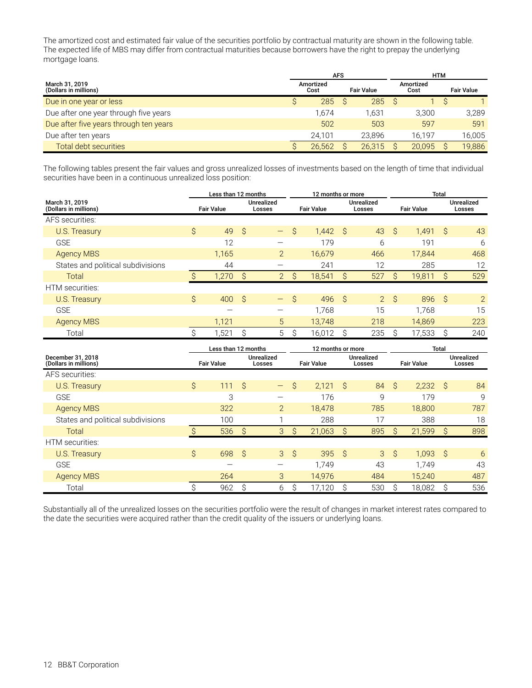The amortized cost and estimated fair value of the securities portfolio by contractual maturity are shown in the following table. The expected life of MBS may differ from contractual maturities because borrowers have the right to prepay the underlying mortgage loans.

|                                         |  |                   | <b>AFS</b> |                   |                   | <b>HTM</b> |                   |
|-----------------------------------------|--|-------------------|------------|-------------------|-------------------|------------|-------------------|
| March 31, 2019<br>(Dollars in millions) |  | Amortized<br>Cost |            | <b>Fair Value</b> | Amortized<br>Cost |            | <b>Fair Value</b> |
| Due in one year or less                 |  | 285               |            | 285               |                   |            |                   |
| Due after one year through five years   |  | 1.674             |            | .631              | 3,300             |            | 3,289             |
| Due after five years through ten years  |  | 502               |            | 503               | 597               |            | 591               |
| Due after ten years                     |  | 24.101            |            | 23.896            | 16.197            |            | 16,005            |
| <b>Total debt securities</b>            |  | 26.562            |            | 26.315            | 20,095            |            | 19,886            |

The following tables present the fair values and gross unrealized losses of investments based on the length of time that individual securities have been in a continuous unrealized loss position:

|                                            |               | Less than 12 months |               |                             |           | 12 months or more |               |                             |               |                   | <b>Total</b> |                      |
|--------------------------------------------|---------------|---------------------|---------------|-----------------------------|-----------|-------------------|---------------|-----------------------------|---------------|-------------------|--------------|----------------------|
| March 31, 2019<br>(Dollars in millions)    |               | <b>Fair Value</b>   |               | <b>Unrealized</b><br>Losses |           | <b>Fair Value</b> |               | <b>Unrealized</b><br>Losses |               | <b>Fair Value</b> |              | Unrealized<br>Losses |
| AFS securities:                            |               |                     |               |                             |           |                   |               |                             |               |                   |              |                      |
| <b>U.S. Treasury</b>                       | $\mathsf{S}$  | 49                  | $\mathcal{S}$ |                             | \$        | 1,442             | $\mathcal{S}$ | 43                          | $\mathcal{S}$ | 1,491             | $\hat{S}$    | 43                   |
| <b>GSE</b>                                 |               | 12                  |               |                             |           | 179               |               | 6                           |               | 191               |              | 6                    |
| <b>Agency MBS</b>                          |               | 1,165               |               | $\overline{2}$              |           | 16,679            |               | 466                         |               | 17,844            |              | 468                  |
| States and political subdivisions          |               | 44                  |               |                             |           | 241               |               | 12                          |               | 285               |              | 12                   |
| <b>Total</b>                               | $\mathcal{S}$ | 1,270               | $\hat{S}$     | 2 <sup>1</sup>              | $\hat{S}$ | 18,541            | $\mathcal{S}$ | 527                         | $\mathcal{S}$ | 19,811            | Ŝ            | 529                  |
| HTM securities:                            |               |                     |               |                             |           |                   |               |                             |               |                   |              |                      |
| <b>U.S. Treasury</b>                       | $\mathsf{S}$  | 400                 | $\mathcal{S}$ |                             | \$        | 496               | $\mathcal{S}$ | $\overline{2}$              | $\mathsf{S}$  | 896               | $\mathsf{S}$ | $\overline{2}$       |
| <b>GSE</b>                                 |               |                     |               |                             |           | 1,768             |               | 15                          |               | 1,768             |              | 15                   |
| <b>Agency MBS</b>                          |               | 1.121               |               | 5                           |           | 13,748            |               | 218                         |               | 14,869            |              | 223                  |
| Total                                      | $\mathsf S$   | 1,521               | \$            | 5                           | Ŝ         | 16,012            | Ŝ             | 235                         | $\mathsf S$   | 17,533            | Ŝ            | 240                  |
|                                            |               |                     |               |                             |           |                   |               |                             |               |                   |              |                      |
|                                            |               | Less than 12 months |               |                             |           | 12 months or more |               |                             |               |                   | <b>Total</b> |                      |
| December 31, 2018<br>(Dollars in millions) |               | <b>Fair Value</b>   |               | <b>Unrealized</b><br>Losses |           | <b>Fair Value</b> |               | Unrealized<br>Losses        |               | <b>Fair Value</b> |              | Unrealized<br>Losses |
| AFS securities:                            |               |                     |               |                             |           |                   |               |                             |               |                   |              |                      |
| U.S. Treasury                              | $\mathsf{S}$  | 111                 | $\mathsf{S}$  |                             | \$        | 2,121             | \$            | 84                          | $\mathcal{S}$ | 2,232             | $\hat{S}$    | 84                   |
| <b>GSE</b>                                 |               | 3                   |               |                             |           | 176               |               | $\mathsf{Q}$                |               | 179               |              | $\mathsf{Q}$         |
| <b>Agency MBS</b>                          |               | 322                 |               | $\overline{2}$              |           | 18.478            |               | 785                         |               | 18,800            |              | 787                  |
| States and political subdivisions          |               | 100                 |               | 1                           |           | 288               |               | 17                          |               | 388               |              | 18                   |
| Total                                      | $\mathcal{S}$ | 536                 | $\hat{S}$     | 3                           | Ŝ         | 21,063            | $\mathcal{S}$ | 895                         | Ŝ.            | 21,599            | Ŝ            | 898                  |
| HTM securities:                            |               |                     |               |                             |           |                   |               |                             |               |                   |              |                      |
| <b>U.S. Treasury</b>                       | $\mathsf{S}$  | 698                 | $\mathcal{S}$ | 3                           | \$        | 395               | $\mathcal{S}$ | 3                           | $\mathsf{S}$  | 1.093             | \$           | 6                    |
| <b>GSE</b>                                 |               |                     |               |                             |           | 1,749             |               | 43                          |               | 1,749             |              | 43                   |
| <b>Agency MBS</b>                          |               | 264                 |               | 3                           |           | 14,976            |               | 484                         |               | 15,240            |              | 487                  |

Substantially all of the unrealized losses on the securities portfolio were the result of changes in market interest rates compared to the date the securities were acquired rather than the credit quality of the issuers or underlying loans.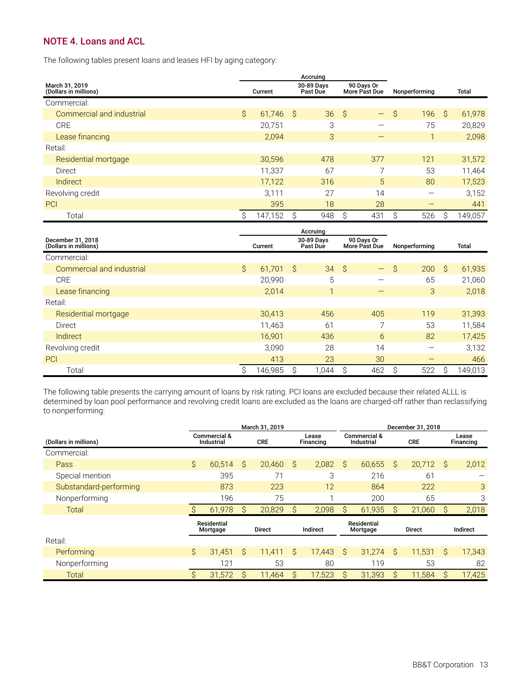## <span id="page-14-0"></span>**NOTE 4. Loans and ACL**

The following tables present loans and leases HFI by aging category:

|                                         |         |             |                        | Accruing |                             |                          |               |     |              |         |
|-----------------------------------------|---------|-------------|------------------------|----------|-----------------------------|--------------------------|---------------|-----|--------------|---------|
| March 31, 2019<br>(Dollars in millions) | Current |             | 30-89 Davs<br>Past Due |          | 90 Days Or<br>More Past Due |                          | Nonperforming |     |              | Total   |
| Commercial:                             |         |             |                        |          |                             |                          |               |     |              |         |
| Commercial and industrial               | \$      | $61,746$ \$ |                        | 36       | - Ŝ                         | $\overline{\phantom{m}}$ | \$            | 196 | <sub>S</sub> | 61,978  |
| CRE                                     |         | 20,751      |                        | 3        |                             |                          |               | 75  |              | 20,829  |
| Lease financing                         |         | 2,094       |                        | 3        |                             |                          |               |     |              | 2,098   |
| Retail:                                 |         |             |                        |          |                             |                          |               |     |              |         |
| Residential mortgage                    |         | 30,596      |                        | 478      |                             | 377                      |               | 121 |              | 31,572  |
| Direct                                  |         | 11,337      |                        | 67       |                             |                          |               | 53  |              | 11.464  |
| Indirect                                |         | 17,122      |                        | 316      |                             | 5                        |               | 80  |              | 17,523  |
| Revolving credit                        |         | 3.111       |                        | 27       |                             | 14                       |               |     |              | 3,152   |
| <b>PCI</b>                              |         | 395         |                        | 18       |                             | 28                       |               |     |              | 441     |
| Total                                   |         | 147,152     | S                      | 948      | S                           | 431                      |               | 526 | S            | 149,057 |

|                                            |           |         |    | Accruing               |                             |                   |               |     |    |         |
|--------------------------------------------|-----------|---------|----|------------------------|-----------------------------|-------------------|---------------|-----|----|---------|
| December 31, 2018<br>(Dollars in millions) |           | Current |    | 30-89 Days<br>Past Due | 90 Days Or<br>More Past Due |                   | Nonperforming |     |    | Total   |
| Commercial:                                |           |         |    |                        |                             |                   |               |     |    |         |
| Commercial and industrial                  | $\hat{S}$ | 61.701  | S, | 34                     | - \$                        | $\qquad \qquad -$ | $\mathsf{S}$  | 200 | Ŝ. | 61,935  |
| CRE                                        |           | 20,990  |    | 5                      |                             |                   |               | 65  |    | 21,060  |
| Lease financing                            |           | 2,014   |    | h                      |                             |                   |               | 3   |    | 2,018   |
| Retail:                                    |           |         |    |                        |                             |                   |               |     |    |         |
| Residential mortgage                       |           | 30,413  |    | 456                    |                             | 405               |               | 119 |    | 31,393  |
| Direct                                     |           | 11,463  |    | 61                     |                             |                   |               | 53  |    | 11,584  |
| <b>Indirect</b>                            |           | 16,901  |    | 436                    |                             | 6                 |               | 82  |    | 17,425  |
| Revolving credit                           |           | 3,090   |    | 28                     |                             | 14                |               |     |    | 3,132   |
| PCI                                        |           | 413     |    | 23                     |                             | 30                |               |     |    | 466     |
| Total                                      | ⌒         | 146,985 | S  | 1,044                  |                             | 462               |               | 522 | S  | 149,013 |

The following table presents the carrying amount of loans by risk rating. PCI loans are excluded because their related ALLL is determined by loan pool performance and revolving credit loans are excluded as the loans are charged-off rather than reclassifying to nonperforming:

|                        |    |                                       |    | March 31, 2019 |                    |        | December 31, 2018                     |        |              |          |              |                                |  |               |  |          |
|------------------------|----|---------------------------------------|----|----------------|--------------------|--------|---------------------------------------|--------|--------------|----------|--------------|--------------------------------|--|---------------|--|----------|
| (Dollars in millions)  |    | <b>Commercial &amp;</b><br>Industrial |    | <b>CRE</b>     | Lease<br>Financing |        | <b>Commercial &amp;</b><br>Industrial |        | <b>CRE</b>   |          |              | Lease<br>Financing             |  |               |  |          |
| Commercial:            |    |                                       |    |                |                    |        |                                       |        |              |          |              |                                |  |               |  |          |
| Pass                   | \$ | 60.514                                | Ŝ. | 20,460         | Ŝ                  | 2,082  | S.                                    | 60,655 | Ŝ            | 20,712   | Ŝ.           | 2,012                          |  |               |  |          |
| Special mention        |    | 395                                   |    | 71             |                    | 3      |                                       | 216    |              | 61       |              |                                |  |               |  |          |
| Substandard-performing |    | 873                                   |    | 223            |                    | 12     |                                       | 864    |              | 222      |              | 3                              |  |               |  |          |
| Nonperforming          |    | 196                                   |    | 75             |                    |        |                                       | 200    |              | 65       |              | 3                              |  |               |  |          |
| Total                  |    | 61,978                                | Ŝ  | 20,829         | Ŝ                  | 2,098  | S                                     | 61,935 | S            | 21,060   | Ŝ            | 2,018                          |  |               |  |          |
|                        |    | <b>Residential</b><br>Mortgage        |    | <b>Direct</b>  |                    |        |                                       |        |              | Indirect |              | <b>Residential</b><br>Mortgage |  | <b>Direct</b> |  | Indirect |
| Retail:                |    |                                       |    |                |                    |        |                                       |        |              |          |              |                                |  |               |  |          |
| Performing             | Ŝ. | 31.451                                | S. | 11,411         | Ŝ                  | 17.443 | <sub>S</sub>                          | 31,274 | <sup>S</sup> | 11,531   | <sup>S</sup> | 17,343                         |  |               |  |          |
| Nonperforming          |    | 121                                   |    | 53             |                    | 80     |                                       | 119    |              | 53       |              | 82                             |  |               |  |          |
| Total                  | Ŝ  | 31.572                                |    | 11.464         | S                  | 17.523 | S                                     | 31,393 | S            | 11,584   | S            | 17,425                         |  |               |  |          |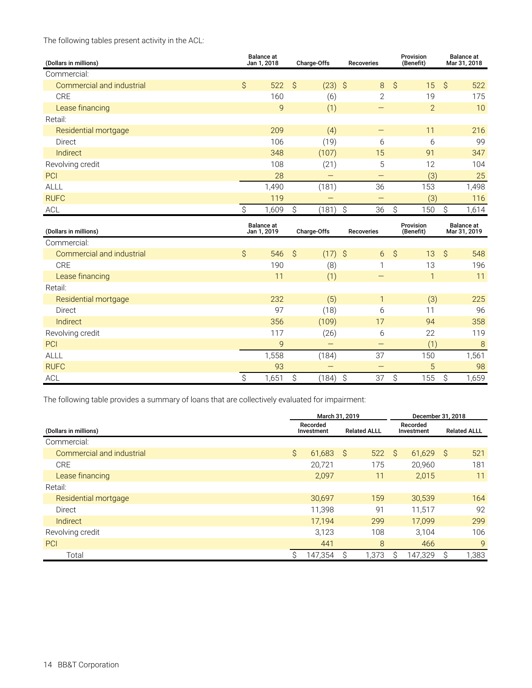The following tables present activity in the ACL:

| (Dollars in millions)     | <b>Balance</b> at<br>Jan 1, 2018 |                                  |               | Charge-Offs |     | <b>Recoveries</b> | Provision<br>(Benefit) |                | <b>Balance</b> at<br>Mar 31, 2018 |       |
|---------------------------|----------------------------------|----------------------------------|---------------|-------------|-----|-------------------|------------------------|----------------|-----------------------------------|-------|
| Commercial:               |                                  |                                  |               |             |     |                   |                        |                |                                   |       |
| Commercial and industrial | $\hat{S}$                        | 522                              | $\mathcal{S}$ | (23)        | -\$ | 8                 | $\mathcal{S}$          | 15             | Ŝ.                                | 522   |
| <b>CRE</b>                |                                  | 160                              |               | (6)         |     | $\overline{2}$    |                        | 19             |                                   | 175   |
| Lease financing           |                                  | 9                                |               | (1)         |     | —                 |                        | $\overline{2}$ |                                   | 10    |
| Retail:                   |                                  |                                  |               |             |     |                   |                        |                |                                   |       |
| Residential mortgage      |                                  | 209                              |               | (4)         |     |                   |                        | 11             |                                   | 216   |
| Direct                    |                                  | 106                              |               | (19)        |     | 6                 |                        | 6              |                                   | 99    |
| Indirect                  |                                  | 348                              |               | (107)       |     | 15                |                        | 91             |                                   | 347   |
| Revolving credit          |                                  | 108                              |               | (21)        |     | 5                 |                        | 12             |                                   | 104   |
| PCI                       |                                  | 28                               |               | -           |     | -                 |                        | (3)            |                                   | 25    |
| <b>ALLL</b>               |                                  | 1,490                            |               | (181)       |     | 36                |                        | 153            |                                   | 1,498 |
| <b>RUFC</b>               |                                  | 119                              |               |             |     |                   |                        | (3)            |                                   | 116   |
| ACL                       | $\mathsf S$                      | 1,609                            | \$            | $(181)$ \$  |     | 36                | \$                     | 150            | \$                                | 1,614 |
| (Dollars in millions)     |                                  | <b>Balance</b> at<br>Jan 1, 2019 | Charge-Offs   |             |     | <b>Recoveries</b> | Provision<br>(Benefit) |                | <b>Balance</b> at<br>Mar 31, 2019 |       |
| Commercial:               |                                  |                                  |               |             |     |                   |                        |                |                                   |       |
| Commercial and industrial | $\mathsf{S}$                     | 546                              | $\mathcal{S}$ | (17)        | S,  | 6                 | $\mathcal{S}$          | 13             | $\mathcal{S}$                     | 548   |
| CRE                       |                                  | 190                              |               | (8)         |     | 1                 |                        | 13             |                                   | 196   |
| Lease financing           |                                  | 11                               |               | (1)         |     |                   |                        |                |                                   | 11    |
| Retail:                   |                                  |                                  |               |             |     |                   |                        |                |                                   |       |
| Residential mortgage      |                                  | 232                              |               | (5)         |     |                   |                        | (3)            |                                   | 225   |
| Direct                    |                                  | 97                               |               | (18)        |     | 6                 |                        | 11             |                                   | 96    |
| Indirect                  |                                  | 356                              |               | (109)       |     | 17                |                        | 94             |                                   | 358   |

|                      |       | ヽーノ   |    |     |           |
|----------------------|-------|-------|----|-----|-----------|
| Lease financing      | 11    | (1)   |    |     | 11        |
| Retail:              |       |       |    |     |           |
| Residential mortgage | 232   | (5)   |    | (3) | 225       |
| Direct               | 97    | (18)  | 6  |     | 96        |
| Indirect             | 356   | (109) | 17 | 94  | 358       |
| Revolving credit     | 117   | (26)  | 6  | 22  | 119       |
| PCI                  | 9     |       |    |     | 8         |
| <b>ALLL</b>          | 1,558 | (184) | 37 | 150 | 1,561     |
| <b>RUFC</b>          | 93    |       |    | 5   | 98        |
| ACL                  | .651  | (184) | 37 | 155 | ,659<br>S |

The following table provides a summary of loans that are collectively evaluated for impairment:

|                           |           | March 31, 2019         |    |                     | December 31, 2018 |                        |    |                     |  |
|---------------------------|-----------|------------------------|----|---------------------|-------------------|------------------------|----|---------------------|--|
| (Dollars in millions)     |           | Recorded<br>Investment |    | <b>Related ALLL</b> |                   | Recorded<br>Investment |    | <b>Related ALLL</b> |  |
| Commercial:               |           |                        |    |                     |                   |                        |    |                     |  |
| Commercial and industrial | $\hat{S}$ | 61,683                 | S. | 522                 | S.                | 61,629                 | -S | 521                 |  |
| <b>CRE</b>                |           | 20,721                 |    | 175                 |                   | 20,960                 |    | 181                 |  |
| Lease financing           |           | 2,097                  |    | 11                  |                   | 2,015                  |    | 11                  |  |
| Retail:                   |           |                        |    |                     |                   |                        |    |                     |  |
| Residential mortgage      |           | 30,697                 |    | 159                 |                   | 30,539                 |    | 164                 |  |
| Direct                    |           | 11.398                 |    | 91                  |                   | 11.517                 |    | 92                  |  |
| Indirect                  |           | 17,194                 |    | 299                 |                   | 17,099                 |    | 299                 |  |
| Revolving credit          |           | 3,123                  |    | 108                 |                   | 3,104                  |    | 106                 |  |
| PCI                       |           | 441                    |    | 8                   |                   | 466                    |    | 9                   |  |
| Total                     | Ŝ         | 147,354                |    | 1,373               |                   | 147,329                | S  | 1,383               |  |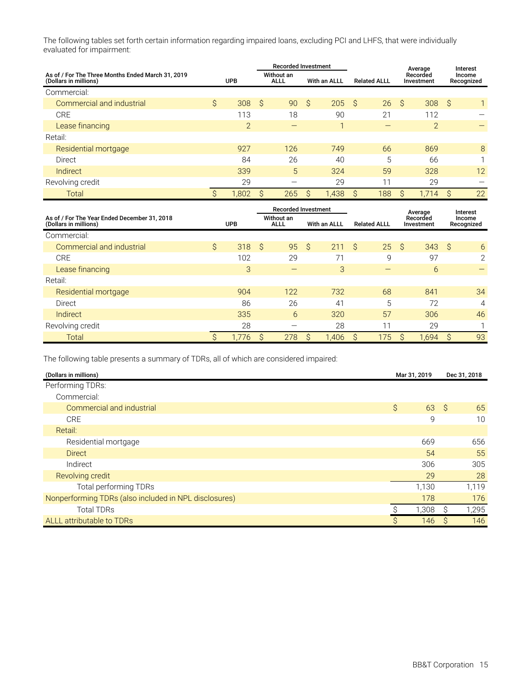The following tables set forth certain information regarding impaired loans, excluding PCI and LHFS, that were individually evaluated for impairment:

|                                                                            |    |                |    | <b>Recorded Investment</b> |              |              |                     |     |                        | Average        | Interest             |    |
|----------------------------------------------------------------------------|----|----------------|----|----------------------------|--------------|--------------|---------------------|-----|------------------------|----------------|----------------------|----|
| As of / For The Three Months Ended March 31, 2019<br>(Dollars in millions) |    | <b>UPB</b>     |    | Without an<br><b>ALLL</b>  |              | With an ALLL | <b>Related ALLL</b> |     | Recorded<br>Investment |                | Income<br>Recognized |    |
| Commercial:                                                                |    |                |    |                            |              |              |                     |     |                        |                |                      |    |
| Commercial and industrial                                                  | Ŝ. | 308            | -Ŝ | 90                         | <sub>S</sub> | 205          | - Ŝ                 | 26  | S.                     | 308            | Ŝ                    |    |
| <b>CRE</b>                                                                 |    | 113            |    | 18                         |              | 90           |                     | 21  |                        | 112            |                      |    |
| Lease financing                                                            |    | $\overline{2}$ |    |                            |              | ٠            |                     |     |                        | $\overline{2}$ |                      |    |
| Retail:                                                                    |    |                |    |                            |              |              |                     |     |                        |                |                      |    |
| Residential mortgage                                                       |    | 927            |    | 126                        |              | 749          |                     | 66  |                        | 869            |                      | 8  |
| Direct                                                                     |    | 84             |    | 26                         |              | 40           |                     | 5   |                        | 66             |                      |    |
| Indirect                                                                   |    | 339            |    | 5                          |              | 324          |                     | 59  |                        | 328            |                      | 12 |
| Revolving credit                                                           |    | 29             |    |                            |              | 29           |                     |     |                        | 29             |                      |    |
| Total                                                                      | S  | 1,802          |    | 265                        | S            | 1,438        | S                   | 188 | S                      | 1.714          | <sub>S</sub>         | 22 |

|                                                                       |   |            |    | <b>Recorded Investment</b> |    |              |                     |     |                        | Average | Interest             |                |
|-----------------------------------------------------------------------|---|------------|----|----------------------------|----|--------------|---------------------|-----|------------------------|---------|----------------------|----------------|
| As of / For The Year Ended December 31, 2018<br>(Dollars in millions) |   | <b>UPB</b> |    | Without an<br><b>ALLL</b>  |    | With an ALLL | <b>Related ALLL</b> |     | Recorded<br>Investment |         | Income<br>Recognized |                |
| Commercial:                                                           |   |            |    |                            |    |              |                     |     |                        |         |                      |                |
| Commercial and industrial                                             | Ŝ | 318        | -Ŝ | 95                         | S. | 211          | Ŝ                   | 25  | Ŝ                      | 343     | -Ŝ                   | 6              |
| CRE                                                                   |   | 102        |    | 29                         |    | 71           |                     | 9   |                        | 97      |                      | $\overline{2}$ |
| Lease financing                                                       |   | 3          |    |                            |    | 3            |                     |     |                        | 6       |                      |                |
| Retail:                                                               |   |            |    |                            |    |              |                     |     |                        |         |                      |                |
| Residential mortgage                                                  |   | 904        |    | 122                        |    | 732          |                     | 68  |                        | 841     |                      | 34             |
| Direct                                                                |   | 86         |    | 26                         |    | 41           |                     | 5   |                        | 72      |                      | 4              |
| Indirect                                                              |   | 335        |    | 6                          |    | 320          |                     | 57  |                        | 306     |                      | 46             |
| Revolving credit                                                      |   | 28         |    |                            |    | 28           |                     | 11  |                        | 29      |                      |                |
| Total                                                                 | Ś | 1,776      | S  | 278                        | S  | 1.406        |                     | 175 | S                      | 1,694   | <sub>S</sub>         | 93             |

The following table presents a summary of TDRs, all of which are considered impaired:

| (Dollars in millions)                                 | Mar 31, 2019 |              |   | Dec 31, 2018 |  |
|-------------------------------------------------------|--------------|--------------|---|--------------|--|
| Performing TDRs:                                      |              |              |   |              |  |
| Commercial:                                           |              |              |   |              |  |
| Commercial and industrial                             | $\hat{S}$    | $63 \quad $$ |   | 65           |  |
| <b>CRE</b>                                            |              | 9            |   | 10           |  |
| Retail:                                               |              |              |   |              |  |
| Residential mortgage                                  |              | 669          |   | 656          |  |
| <b>Direct</b>                                         |              | 54           |   | 55           |  |
| Indirect                                              |              | 306          |   | 305          |  |
| Revolving credit                                      |              | 29           |   | 28           |  |
| <b>Total performing TDRs</b>                          |              | 1,130        |   | 1,119        |  |
| Nonperforming TDRs (also included in NPL disclosures) |              | 178          |   | 176          |  |
| <b>Total TDRs</b>                                     |              | 1,308        | S | 1,295        |  |
| ALLL attributable to TDRs                             | Ŝ            | 146          | S | 146          |  |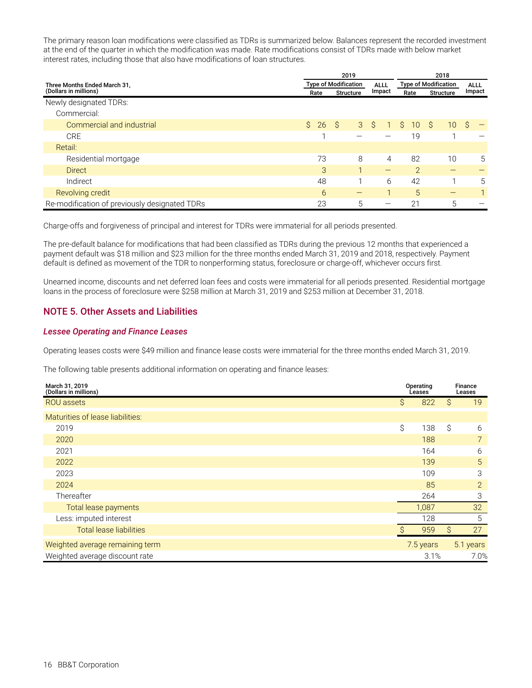<span id="page-17-0"></span>The primary reason loan modifications were classified as TDRs is summarized below. Balances represent the recorded investment at the end of the quarter in which the modification was made. Rate modifications consist of TDRs made with below market interest rates, including those that also have modifications of loan structures.

|                                               |                | 2019                        |               | 2018           |                             |             |  |  |  |
|-----------------------------------------------|----------------|-----------------------------|---------------|----------------|-----------------------------|-------------|--|--|--|
| Three Months Ended March 31,                  |                | <b>Type of Modification</b> | <b>ALLL</b>   |                | <b>Type of Modification</b> | <b>ALLL</b> |  |  |  |
| (Dollars in millions)                         | Rate           | <b>Structure</b>            | Impact        | Rate           | <b>Structure</b>            | Impact      |  |  |  |
| Newly designated TDRs:                        |                |                             |               |                |                             |             |  |  |  |
| Commercial:                                   |                |                             |               |                |                             |             |  |  |  |
| Commercial and industrial                     | $\frac{1}{26}$ | 3<br>-Ŝ                     | $\mathcal{S}$ | Ŝ.<br>10       | 10 <sup>°</sup><br>Ŝ.       | Ŝ           |  |  |  |
| <b>CRE</b>                                    |                |                             |               | 19             |                             |             |  |  |  |
| Retail:                                       |                |                             |               |                |                             |             |  |  |  |
| Residential mortgage                          | 73             | 8                           | 4             | 82             | 10                          | 5           |  |  |  |
| <b>Direct</b>                                 | 3              | 1                           | —             | $\overline{2}$ |                             |             |  |  |  |
| Indirect                                      | 48             |                             | 6             | 42             |                             | 5           |  |  |  |
| Revolving credit                              | 6              | —                           |               | 5              |                             |             |  |  |  |
| Re-modification of previously designated TDRs | 23             | 5                           | —             | 21             | 5                           |             |  |  |  |

Charge-offs and forgiveness of principal and interest for TDRs were immaterial for all periods presented.

The pre-default balance for modifications that had been classified as TDRs during the previous 12 months that experienced a payment default was \$18 million and \$23 million for the three months ended March 31, 2019 and 2018, respectively. Payment default is defined as movement of the TDR to nonperforming status, foreclosure or charge-off, whichever occurs first.

Unearned income, discounts and net deferred loan fees and costs were immaterial for all periods presented. Residential mortgage loans in the process of foreclosure were \$258 million at March 31, 2019 and \$253 million at December 31, 2018.

## **NOTE 5. Other Assets and Liabilities**

#### *Lessee Operating and Finance Leases*

Operating leases costs were \$49 million and finance lease costs were immaterial for the three months ended March 31, 2019.

The following table presents additional information on operating and finance leases:

| March 31, 2019<br>(Dollars in millions) | Operating<br>Leases |               | Finance<br>Leases |
|-----------------------------------------|---------------------|---------------|-------------------|
| ROU assets                              | \$<br>822           | Ŝ.            | 19                |
| Maturities of lease liabilities:        |                     |               |                   |
| 2019                                    | \$<br>138           | \$            | 6                 |
| 2020                                    | 188                 |               | $\overline{7}$    |
| 2021                                    | 164                 |               | 6                 |
| 2022                                    | 139                 |               | 5                 |
| 2023                                    | 109                 |               | 3                 |
| 2024                                    | 85                  |               | $\overline{2}$    |
| Thereafter                              | 264                 |               | 3                 |
| Total lease payments                    | 1,087               |               | 32                |
| Less: imputed interest                  | 128                 |               | 5                 |
| <b>Total lease liabilities</b>          | Ŝ<br>959            | $\mathcal{S}$ | 27                |
| Weighted average remaining term         | 7.5 years           |               | 5.1 years         |
| Weighted average discount rate          | 3.1%                |               | 7.0%              |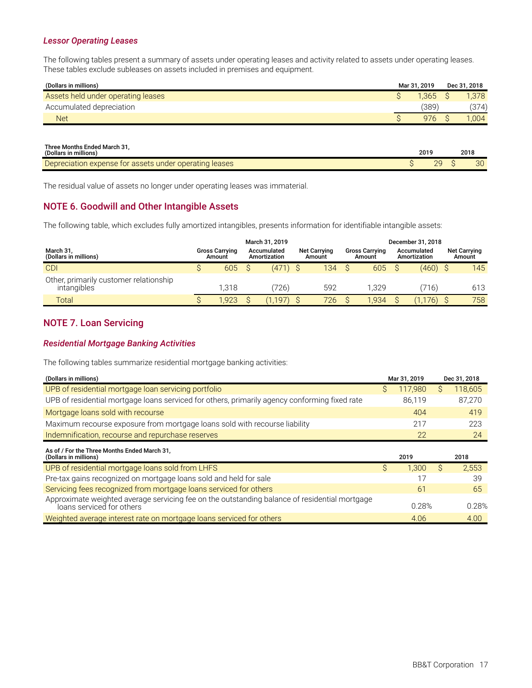## <span id="page-18-0"></span>*Lessor Operating Leases*

The following tables present a summary of assets under operating leases and activity related to assets under operating leases. These tables exclude subleases on assets included in premises and equipment.

| (Dollars in millions)              | Mar 31, 2019 | Dec 31, 2018 |
|------------------------------------|--------------|--------------|
| Assets held under operating leases | 1.365        | .378         |
| Accumulated depreciation           | (389`        | (374)        |
| <b>Net</b>                         | 976          | .004         |

| Three Months Ended March 31.                 |  |
|----------------------------------------------|--|
| $\sqrt{N}$ all and the neighbound $\sqrt{N}$ |  |

| (Dollars in millions)                                  | 2019 |                 | 2018 |
|--------------------------------------------------------|------|-----------------|------|
| Depreciation expense for assets under operating leases |      | 20<br><u>. </u> | 30   |

The residual value of assets no longer under operating leases was immaterial.

## **NOTE 6. Goodwill and Other Intangible Assets**

The following table, which excludes fully amortized intangibles, presents information for identifiable intangible assets:

|                                                       |                                                                |  | March 31, 2019                |  |                                 | December 31, 2018 |       |                             |                               |  |     |  |
|-------------------------------------------------------|----------------------------------------------------------------|--|-------------------------------|--|---------------------------------|-------------------|-------|-----------------------------|-------------------------------|--|-----|--|
| March 31,<br>(Dollars in millions)                    | <b>Gross Carrying</b><br>Accumulated<br>Amortization<br>Amount |  | <b>Net Carrying</b><br>Amount |  | <b>Gross Carrying</b><br>Amount |                   |       | Accumulated<br>Amortization | <b>Net Carrying</b><br>Amount |  |     |  |
| <b>CDI</b>                                            | 605                                                            |  | $(471)$ \$                    |  | 134                             |                   | 605   |                             | (460)                         |  | 145 |  |
| Other, primarily customer relationship<br>intangibles | 1.318                                                          |  | 726)                          |  | 592                             |                   | 1.329 |                             | 716)                          |  | 613 |  |
| Total                                                 | 1.923                                                          |  | 97                            |  | 726                             |                   | 1.934 |                             | (6)                           |  | 758 |  |

## **NOTE 7. Loan Servicing**

#### *Residential Mortgage Banking Activities*

The following tables summarize residential mortgage banking activities:

| (Dollars in millions)                                                                                                      |   | Mar 31, 2019 |   | Dec 31, 2018 |
|----------------------------------------------------------------------------------------------------------------------------|---|--------------|---|--------------|
| UPB of residential mortgage loan servicing portfolio                                                                       | S | 117,980      | S | 118,605      |
| UPB of residential mortgage loans serviced for others, primarily agency conforming fixed rate                              |   | 86.119       |   | 87.270       |
| Mortgage loans sold with recourse                                                                                          |   | 404          |   | 419          |
| Maximum recourse exposure from mortgage loans sold with recourse liability                                                 |   | 217          |   | 223          |
| Indemnification, recourse and repurchase reserves                                                                          |   | 22           |   | 24           |
| As of / For the Three Months Ended March 31,<br>(Dollars in millions)                                                      |   | 2019         |   | 2018         |
| UPB of residential mortgage loans sold from LHFS                                                                           | Ś | 1.300        | S | 2,553        |
| Pre-tax gains recognized on mortgage loans sold and held for sale                                                          |   | 17           |   | 39           |
| Servicing fees recognized from mortgage loans serviced for others                                                          |   | 61           |   | 65           |
| Approximate weighted average servicing fee on the outstanding balance of residential mortgage<br>loans serviced for others |   | 0.28%        |   | 0.28%        |
| Weighted average interest rate on mortgage loans serviced for others                                                       |   | 4.06         |   | 4.00         |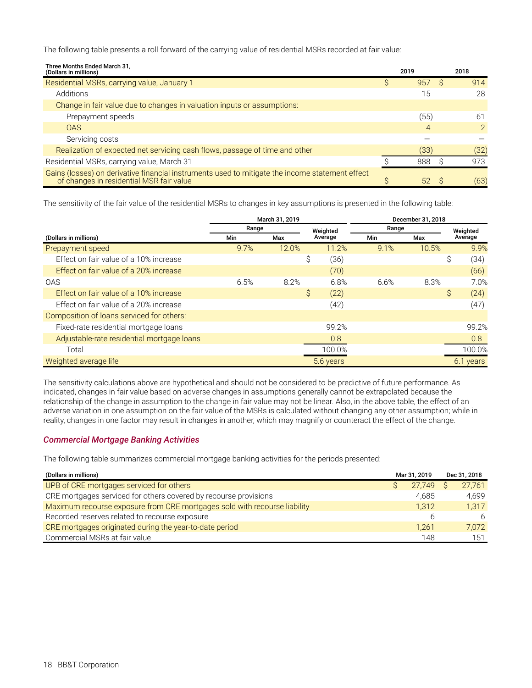The following table presents a roll forward of the carrying value of residential MSRs recorded at fair value:

| Three Months Ended March 31,<br>(Dollars in millions)                                                                                       |   | 2019 | 2018          |
|---------------------------------------------------------------------------------------------------------------------------------------------|---|------|---------------|
| Residential MSRs, carrying value, January 1                                                                                                 | S | 957  | 914           |
| Additions                                                                                                                                   |   | 15   | 28            |
| Change in fair value due to changes in valuation inputs or assumptions:                                                                     |   |      |               |
| Prepayment speeds                                                                                                                           |   | (55) | 61            |
| <b>OAS</b>                                                                                                                                  |   | 4    | $\mathcal{P}$ |
| Servicing costs                                                                                                                             |   |      |               |
| Realization of expected net servicing cash flows, passage of time and other                                                                 |   | (33) | (32)          |
| Residential MSRs, carrying value, March 31                                                                                                  |   | 888  | 973           |
| Gains (losses) on derivative financial instruments used to mitigate the income statement effect<br>of changes in residential MSR fair value | S | 52   | (63)          |

The sensitivity of the fair value of the residential MSRs to changes in key assumptions is presented in the following table:

|                                            |       | March 31, 2019 |    | December 31, 2018 |       |       |    |           |
|--------------------------------------------|-------|----------------|----|-------------------|-------|-------|----|-----------|
|                                            | Range |                |    | Weighted          | Range |       |    | Weighted  |
| (Dollars in millions)                      | Min   | Max            |    | Average           | Min   | Max   |    | Average   |
| Prepayment speed                           | 9.7%  | 12.0%          |    | 11.2%             | 9.1%  | 10.5% |    | 9.9%      |
| Effect on fair value of a 10% increase     |       |                | \$ | (36)              |       |       | \$ | (34)      |
| Effect on fair value of a 20% increase     |       |                |    | (70)              |       |       |    | (66)      |
| <b>OAS</b>                                 | 6.5%  | 8.2%           |    | 6.8%              | 6.6%  | 8.3%  |    | 7.0%      |
| Effect on fair value of a 10% increase     |       |                | \$ | (22)              |       |       | \$ | (24)      |
| Effect on fair value of a 20% increase     |       |                |    | (42)              |       |       |    | (47)      |
| Composition of loans serviced for others:  |       |                |    |                   |       |       |    |           |
| Fixed-rate residential mortgage loans      |       |                |    | 99.2%             |       |       |    | 99.2%     |
| Adjustable-rate residential mortgage loans |       |                |    | 0.8               |       |       |    | 0.8       |
| Total                                      |       |                |    | 100.0%            |       |       |    | 100.0%    |
| Weighted average life                      |       |                |    | 5.6 years         |       |       |    | 6.1 years |

The sensitivity calculations above are hypothetical and should not be considered to be predictive of future performance. As indicated, changes in fair value based on adverse changes in assumptions generally cannot be extrapolated because the relationship of the change in assumption to the change in fair value may not be linear. Also, in the above table, the effect of an adverse variation in one assumption on the fair value of the MSRs is calculated without changing any other assumption; while in reality, changes in one factor may result in changes in another, which may magnify or counteract the effect of the change.

#### *Commercial Mortgage Banking Activities*

The following table summarizes commercial mortgage banking activities for the periods presented:

| (Dollars in millions)                                                     | Mar 31, 2019 | Dec 31, 2018 |
|---------------------------------------------------------------------------|--------------|--------------|
| UPB of CRE mortgages serviced for others                                  | 27.749       | 27.761       |
| CRE mortgages serviced for others covered by recourse provisions          | 4.685        | 4,699        |
| Maximum recourse exposure from CRE mortgages sold with recourse liability | 1.312        | 1,317        |
| Recorded reserves related to recourse exposure                            |              | 6            |
| CRE mortgages originated during the year-to-date period                   | 1.261        | 7.072        |
| Commercial MSRs at fair value                                             | 148          | 151          |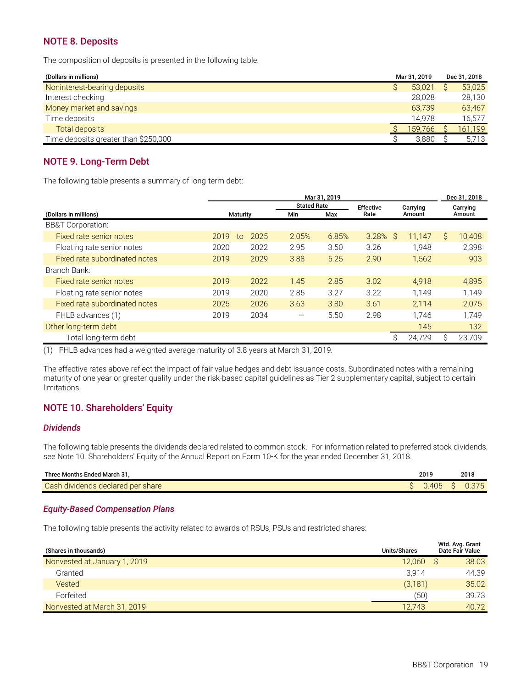## <span id="page-20-0"></span>**NOTE 8. Deposits**

The composition of deposits is presented in the following table:

| (Dollars in millions)                | Mar 31, 2019 |         | Dec 31, 2018 |
|--------------------------------------|--------------|---------|--------------|
| Noninterest-bearing deposits         |              | 53,021  | 53,025       |
| Interest checking                    |              | 28.028  | 28,130       |
| Money market and savings             |              | 63.739  | 63,467       |
| Time deposits                        |              | 14.978  | 16,577       |
| Total deposits                       |              | 159.766 | 161,199      |
| Time deposits greater than \$250,000 |              | 3,880   | 5,713        |

## **NOTE 9. Long-Term Debt**

The following table presents a summary of long-term debt:

|                               | Mar 31, 2019 |            |                    |       |                  |   |          |   |          |
|-------------------------------|--------------|------------|--------------------|-------|------------------|---|----------|---|----------|
|                               |              |            | <b>Stated Rate</b> |       | <b>Effective</b> |   | Carrying |   | Carrying |
| (Dollars in millions)         |              | Maturity   | Min                | Max   | Rate             |   | Amount   |   | Amount   |
| <b>BB&amp;T</b> Corporation:  |              |            |                    |       |                  |   |          |   |          |
| Fixed rate senior notes       | 2019         | 2025<br>to | 2.05%              | 6.85% | 3.28%            | Ŝ | 11.147   | Ŝ | 10,408   |
| Floating rate senior notes    | 2020         | 2022       | 2.95               | 3.50  | 3.26             |   | 1.948    |   | 2,398    |
| Fixed rate subordinated notes | 2019         | 2029       | 3.88               | 5.25  | 2.90             |   | 1.562    |   | 903      |
| Branch Bank:                  |              |            |                    |       |                  |   |          |   |          |
| Fixed rate senior notes       | 2019         | 2022       | 1.45               | 2.85  | 3.02             |   | 4.918    |   | 4.895    |
| Floating rate senior notes    | 2019         | 2020       | 2.85               | 3.27  | 3.22             |   | 1.149    |   | 1.149    |
| Fixed rate subordinated notes | 2025         | 2026       | 3.63               | 3.80  | 3.61             |   | 2.114    |   | 2,075    |
| FHLB advances (1)             | 2019         | 2034       |                    | 5.50  | 2.98             |   | 1.746    |   | 1.749    |
| Other long-term debt          |              |            |                    |       |                  |   | 145      |   | 132      |
| Total long-term debt          |              |            |                    |       |                  |   | 24,729   |   | 23.709   |

(1) FHLB advances had a weighted average maturity of 3.8 years at March 31, 2019.

The effective rates above reflect the impact of fair value hedges and debt issuance costs. Subordinated notes with a remaining maturity of one year or greater qualify under the risk-based capital guidelines as Tier 2 supplementary capital, subject to certain limitations.

## **NOTE 10. Shareholders' Equity**

#### *Dividends*

The following table presents the dividends declared related to common stock. For information related to preferred stock dividends, see Note 10. Shareholders' Equity of the Annual Report on Form 10-K for the year ended December 31, 2018.

| Three Months Ended March 31,      | 2019       | 2018                                               |
|-----------------------------------|------------|----------------------------------------------------|
| Cash dividends declared per share | .405<br>U. | $\sim$ $ -$<br>$\overline{\phantom{a}}$<br>U.J / J |

#### *Equity-Based Compensation Plans*

The following table presents the activity related to awards of RSUs, PSUs and restricted shares:

| (Shares in thousands)        | Units/Shares | Wtd. Avg. Grant<br>Date Fair Value |
|------------------------------|--------------|------------------------------------|
| Nonvested at January 1, 2019 | 12.060       | 38.03                              |
| Granted                      | 3.914        | 44.39                              |
| Vested                       | (3, 181)     | 35.02                              |
| Forfeited                    | (50)         | 39.73                              |
| Nonvested at March 31, 2019  | 12.743       | 40.72                              |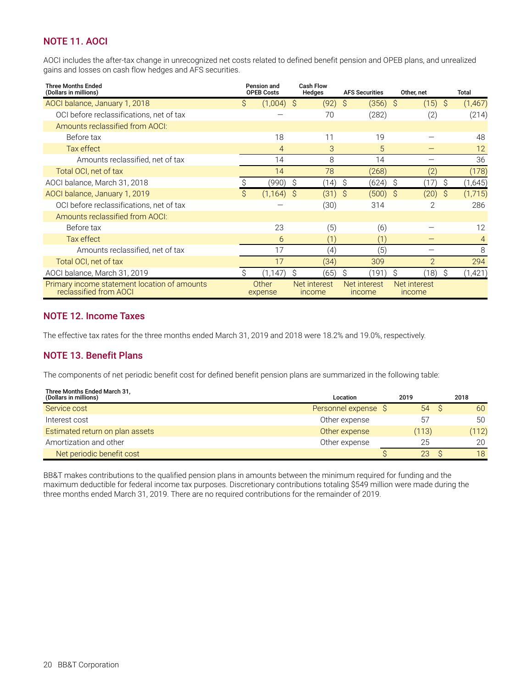## <span id="page-21-0"></span>**NOTE 11. AOCI**

AOCI includes the after-tax change in unrecognized net costs related to defined benefit pension and OPEB plans, and unrealized gains and losses on cash flow hedges and AFS securities.

| <b>Three Months Ended</b><br>(Dollars in millions)                     |              | Pension and<br><b>OPEB Costs</b> |    | <b>Cash Flow</b><br>Hedges | <b>AFS Securities</b> |                        | Other, net |                        |      | <b>Total</b>      |
|------------------------------------------------------------------------|--------------|----------------------------------|----|----------------------------|-----------------------|------------------------|------------|------------------------|------|-------------------|
| AOCI balance, January 1, 2018                                          | Ś.           | (1,004)                          | -Ŝ | (92)                       | Ŝ.                    | (356)                  | S.         | $(15)$ \$              |      | (1,467)           |
| OCI before reclassifications, net of tax                               |              |                                  |    | 70                         |                       | (282)                  |            | (2)                    |      | (214)             |
| Amounts reclassified from AOCI:                                        |              |                                  |    |                            |                       |                        |            |                        |      |                   |
| Before tax                                                             |              | 18                               |    | 11                         |                       | 19                     |            |                        |      | 48                |
| Tax effect                                                             |              | $\overline{4}$                   |    | 3                          |                       | 5                      |            |                        |      | $12 \overline{ }$ |
| Amounts reclassified, net of tax                                       |              | 14                               |    | 8                          |                       | 14                     |            |                        |      | 36                |
| Total OCI, net of tax                                                  |              | 14                               |    | 78                         |                       | (268)                  |            | (2)                    |      | (178)             |
| AOCI balance, March 31, 2018                                           |              | (990)                            | Ŝ  | (14)                       | S,                    | (624)                  | Ŝ.         | (17)                   | \$   | (1,645)           |
| AOCI balance, January 1, 2019                                          | $\mathsf{S}$ | (1, 164)                         | -Ŝ | (31)                       | $\mathcal{S}$         | (500)                  | Ŝ          | (20)                   | S.   | (1,715)           |
| OCI before reclassifications, net of tax                               |              |                                  |    | (30)                       |                       | 314                    |            | $\overline{2}$         |      | 286               |
| Amounts reclassified from AOCI:                                        |              |                                  |    |                            |                       |                        |            |                        |      |                   |
| Before tax                                                             |              | 23                               |    | (5)                        |                       | (6)                    |            |                        |      | 12                |
| Tax effect                                                             |              | 6                                |    | (1)                        |                       | (1)                    |            |                        |      | $\overline{4}$    |
| Amounts reclassified, net of tax                                       |              | 17                               |    | (4)                        |                       | (5)                    |            |                        |      | 8                 |
| Total OCI, net of tax                                                  |              | 17                               |    | (34)                       |                       | 309                    |            | $\overline{2}$         |      | 294               |
| AOCI balance, March 31, 2019                                           |              | (1, 147)                         | S  | (65)                       | Ŝ                     | (191)                  | Ŝ          | (18)                   | - \$ | (1,421)           |
| Primary income statement location of amounts<br>reclassified from AOCI |              | Other<br>expense                 |    | Net interest<br>income     |                       | Net interest<br>income |            | Net interest<br>income |      |                   |

## **NOTE 12. Income Taxes**

The effective tax rates for the three months ended March 31, 2019 and 2018 were 18.2% and 19.0%, respectively.

## **NOTE 13. Benefit Plans**

The components of net periodic benefit cost for defined benefit pension plans are summarized in the following table:

| Three Months Ended March 31,<br>(Dollars in millions) | Location             | 2019  | 2018  |
|-------------------------------------------------------|----------------------|-------|-------|
| Service cost                                          | Personnel expense \$ | 54    | 60    |
| Interest cost                                         | Other expense        | 57    | 50    |
| Estimated return on plan assets                       | Other expense        | (113) | (112) |
| Amortization and other                                | Other expense        | 25    | 20    |
| Net periodic benefit cost                             |                      | 23    | 18    |

BB&T makes contributions to the qualified pension plans in amounts between the minimum required for funding and the maximum deductible for federal income tax purposes. Discretionary contributions totaling \$549 million were made during the three months ended March 31, 2019. There are no required contributions for the remainder of 2019.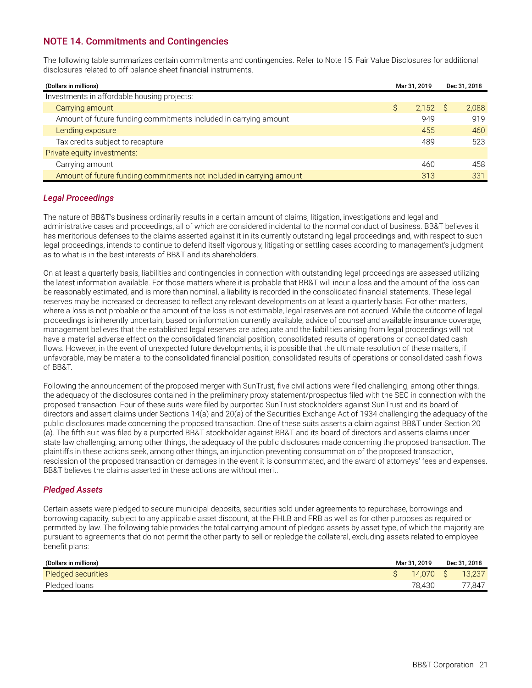## <span id="page-22-0"></span>**NOTE 14. Commitments and Contingencies**

The following table summarizes certain commitments and contingencies. Refer to Note 15. Fair Value Disclosures for additional disclosures related to off-balance sheet financial instruments.

| (Dollars in millions)                                                | Mar 31, 2019 | Dec 31, 2018 |
|----------------------------------------------------------------------|--------------|--------------|
| Investments in affordable housing projects:                          |              |              |
| Carrying amount                                                      | 2.152 S      | 2.088        |
| Amount of future funding commitments included in carrying amount     | 949          | 919          |
| Lending exposure                                                     | 455          | 460          |
| Tax credits subject to recapture                                     | 489          | 523          |
| Private equity investments:                                          |              |              |
| Carrying amount                                                      | 460          | 458          |
| Amount of future funding commitments not included in carrying amount | 313          | 331          |

#### *Legal Proceedings*

The nature of BB&T's business ordinarily results in a certain amount of claims, litigation, investigations and legal and administrative cases and proceedings, all of which are considered incidental to the normal conduct of business. BB&T believes it has meritorious defenses to the claims asserted against it in its currently outstanding legal proceedings and, with respect to such legal proceedings, intends to continue to defend itself vigorously, litigating or settling cases according to management's judgment as to what is in the best interests of BB&T and its shareholders.

On at least a quarterly basis, liabilities and contingencies in connection with outstanding legal proceedings are assessed utilizing the latest information available. For those matters where it is probable that BB&T will incur a loss and the amount of the loss can be reasonably estimated, and is more than nominal, a liability is recorded in the consolidated financial statements. These legal reserves may be increased or decreased to reflect any relevant developments on at least a quarterly basis. For other matters, where a loss is not probable or the amount of the loss is not estimable, legal reserves are not accrued. While the outcome of legal proceedings is inherently uncertain, based on information currently available, advice of counsel and available insurance coverage, management believes that the established legal reserves are adequate and the liabilities arising from legal proceedings will not have a material adverse effect on the consolidated financial position, consolidated results of operations or consolidated cash flows. However, in the event of unexpected future developments, it is possible that the ultimate resolution of these matters, if unfavorable, may be material to the consolidated financial position, consolidated results of operations or consolidated cash flows of BB&T.

Following the announcement of the proposed merger with SunTrust, five civil actions were filed challenging, among other things, the adequacy of the disclosures contained in the preliminary proxy statement/prospectus filed with the SEC in connection with the proposed transaction. Four of these suits were filed by purported SunTrust stockholders against SunTrust and its board of directors and assert claims under Sections 14(a) and 20(a) of the Securities Exchange Act of 1934 challenging the adequacy of the public disclosures made concerning the proposed transaction. One of these suits asserts a claim against BB&T under Section 20 (a). The fifth suit was filed by a purported BB&T stockholder against BB&T and its board of directors and asserts claims under state law challenging, among other things, the adequacy of the public disclosures made concerning the proposed transaction. The plaintiffs in these actions seek, among other things, an injunction preventing consummation of the proposed transaction, rescission of the proposed transaction or damages in the event it is consummated, and the award of attorneys' fees and expenses. BB&T believes the claims asserted in these actions are without merit.

## *Pledged Assets*

Certain assets were pledged to secure municipal deposits, securities sold under agreements to repurchase, borrowings and borrowing capacity, subject to any applicable asset discount, at the FHLB and FRB as well as for other purposes as required or permitted by law. The following table provides the total carrying amount of pledged assets by asset type, of which the majority are pursuant to agreements that do not permit the other party to sell or repledge the collateral, excluding assets related to employee benefit plans:

| (Dollars in millions)     | Mar 31, 2019 | Dec 31, 2018 |
|---------------------------|--------------|--------------|
| <b>Pledged securities</b> | 4.070        | 13,237       |
| Pledged loans             | 78.430       | 77,847       |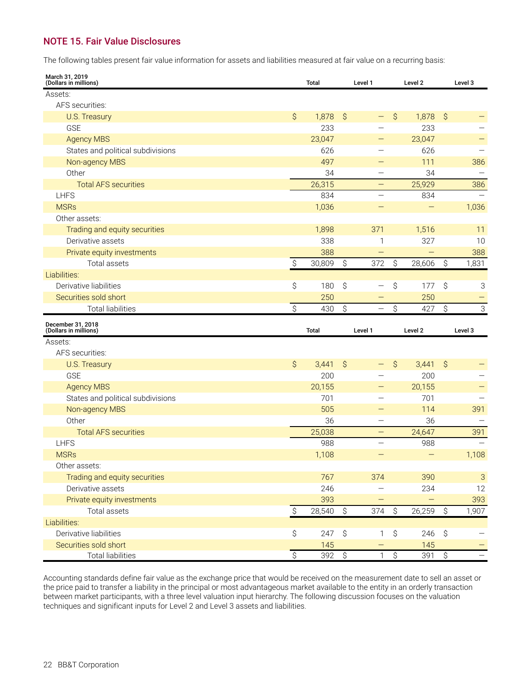## <span id="page-23-0"></span>**NOTE 15. Fair Value Disclosures**

The following tables present fair value information for assets and liabilities measured at fair value on a recurring basis:

| March 31, 2019<br>(Dollars in millions) |           | Total         |                     | Level 1                  |                     | Level 2                  |                     | Level 3                   |
|-----------------------------------------|-----------|---------------|---------------------|--------------------------|---------------------|--------------------------|---------------------|---------------------------|
| Assets:                                 |           |               |                     |                          |                     |                          |                     |                           |
| AFS securities:                         |           |               |                     |                          |                     |                          |                     |                           |
| U.S. Treasury                           | $\hat{S}$ | 1,878         | $\mathcal{S}$       | $\overline{\phantom{m}}$ | $\hat{S}$           | 1,878                    | $\hat{\mathcal{S}}$ |                           |
| <b>GSE</b>                              |           | 233           |                     |                          |                     | 233                      |                     |                           |
| <b>Agency MBS</b>                       |           | 23,047        |                     |                          |                     | 23,047                   |                     |                           |
| States and political subdivisions       |           | 626           |                     |                          |                     | 626                      |                     |                           |
| Non-agency MBS                          |           | 497           |                     |                          |                     | 111                      |                     | 386                       |
| Other                                   |           | 34            |                     |                          |                     | 34                       |                     |                           |
| <b>Total AFS securities</b>             |           | 26,315        |                     |                          |                     | 25,929                   |                     | 386                       |
| <b>LHFS</b>                             |           | 834           |                     |                          |                     | 834                      |                     |                           |
| <b>MSRs</b>                             |           | 1,036         |                     |                          |                     |                          |                     | 1,036                     |
| Other assets:                           |           |               |                     |                          |                     |                          |                     |                           |
| Trading and equity securities           |           | 1,898         |                     | 371                      |                     | 1,516                    |                     | 11                        |
| Derivative assets                       |           | 338           |                     | 1                        |                     | 327                      |                     | 10                        |
| Private equity investments              |           | 388           |                     |                          |                     |                          |                     | 388                       |
| Total assets                            | \$        | 30,809        | $\hat{\mathcal{S}}$ | 372                      | \$                  | 28,606                   | \$                  | 1,831                     |
| Liabilities:                            |           |               |                     |                          |                     |                          |                     |                           |
| Derivative liabilities                  | \$        | 180           | $\hat{\mathcal{S}}$ | $\qquad \qquad -$        | \$                  | 177                      | \$                  | $\ensuremath{\mathsf{3}}$ |
| Securities sold short                   |           | 250           |                     |                          |                     | 250                      |                     | $\qquad \qquad -$         |
| <b>Total liabilities</b>                | \$        | 430           | $\hat{\mathcal{S}}$ | $\overline{\phantom{0}}$ | \$                  | 427                      | $\hat{\mathcal{S}}$ | $\ensuremath{\mathsf{3}}$ |
|                                         |           |               |                     |                          |                     |                          |                     |                           |
| December 31, 2018                       |           |               |                     |                          |                     |                          |                     |                           |
| (Dollars in millions)                   |           | Total         |                     | Level 1                  |                     | Level 2                  |                     | Level 3                   |
| Assets:                                 |           |               |                     |                          |                     |                          |                     |                           |
| AFS securities:                         |           |               | Ŝ                   | —                        |                     |                          |                     |                           |
| U.S. Treasury<br><b>GSE</b>             | \$        | 3,441<br>200  |                     |                          | $\hat{\mathcal{S}}$ | 3,441                    | $\mathsf{S}$        |                           |
|                                         |           |               |                     |                          |                     | 200                      |                     |                           |
| <b>Agency MBS</b>                       |           | 20,155<br>701 |                     |                          |                     | 20,155<br>701            |                     |                           |
| States and political subdivisions       |           | 505           |                     |                          |                     | 114                      |                     | 391                       |
| Non-agency MBS<br>Other                 |           | 36            |                     |                          |                     | 36                       |                     |                           |
| <b>Total AFS securities</b>             |           | 25,038        |                     |                          |                     | 24,647                   |                     | 391                       |
| <b>LHFS</b>                             |           | 988           |                     | $\overline{\phantom{0}}$ |                     | 988                      |                     |                           |
| <b>MSRs</b>                             |           | 1,108         |                     |                          |                     | -                        |                     | 1,108                     |
| Other assets:                           |           |               |                     |                          |                     |                          |                     |                           |
| Trading and equity securities           |           | 767           |                     | 374                      |                     | 390                      |                     | $\mathbf{3}$              |
| Derivative assets                       |           | 246           |                     |                          |                     | 234                      |                     | 12                        |
| Private equity investments              |           | 393           |                     |                          |                     | $\overline{\phantom{0}}$ |                     | 393                       |
| Total assets                            | \$        | 28,540        | $\zeta$             | 374                      | \$                  | 26,259                   | \$                  | 1,907                     |
| Liabilities:                            |           |               |                     |                          |                     |                          |                     |                           |
| Derivative liabilities                  | \$        | 247           | $\hat{\mathcal{S}}$ | 1                        | \$                  | 246                      | \$                  |                           |
| Securities sold short                   |           | 145           |                     |                          |                     | 145                      |                     |                           |

Accounting standards define fair value as the exchange price that would be received on the measurement date to sell an asset or the price paid to transfer a liability in the principal or most advantageous market available to the entity in an orderly transaction between market participants, with a three level valuation input hierarchy. The following discussion focuses on the valuation techniques and significant inputs for Level 2 and Level 3 assets and liabilities.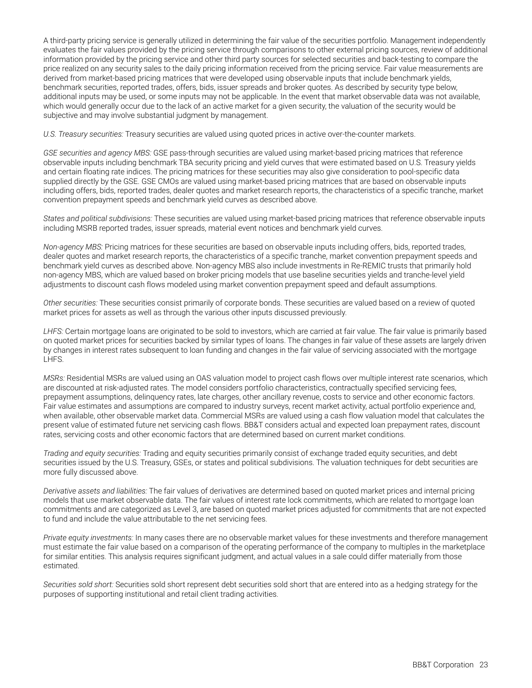A third-party pricing service is generally utilized in determining the fair value of the securities portfolio. Management independently evaluates the fair values provided by the pricing service through comparisons to other external pricing sources, review of additional information provided by the pricing service and other third party sources for selected securities and back-testing to compare the price realized on any security sales to the daily pricing information received from the pricing service. Fair value measurements are derived from market-based pricing matrices that were developed using observable inputs that include benchmark yields, benchmark securities, reported trades, offers, bids, issuer spreads and broker quotes. As described by security type below, additional inputs may be used, or some inputs may not be applicable. In the event that market observable data was not available, which would generally occur due to the lack of an active market for a given security, the valuation of the security would be subjective and may involve substantial judgment by management.

*U.S. Treasury securities:* Treasury securities are valued using quoted prices in active over-the-counter markets.

*GSE securities and agency MBS:* GSE pass-through securities are valued using market-based pricing matrices that reference observable inputs including benchmark TBA security pricing and yield curves that were estimated based on U.S. Treasury yields and certain floating rate indices. The pricing matrices for these securities may also give consideration to pool-specific data supplied directly by the GSE. GSE CMOs are valued using market-based pricing matrices that are based on observable inputs including offers, bids, reported trades, dealer quotes and market research reports, the characteristics of a specific tranche, market convention prepayment speeds and benchmark yield curves as described above.

*States and political subdivisions:* These securities are valued using market-based pricing matrices that reference observable inputs including MSRB reported trades, issuer spreads, material event notices and benchmark yield curves.

*Non-agency MBS:* Pricing matrices for these securities are based on observable inputs including offers, bids, reported trades, dealer quotes and market research reports, the characteristics of a specific tranche, market convention prepayment speeds and benchmark yield curves as described above. Non-agency MBS also include investments in Re-REMIC trusts that primarily hold non-agency MBS, which are valued based on broker pricing models that use baseline securities yields and tranche-level yield adjustments to discount cash flows modeled using market convention prepayment speed and default assumptions.

*Other securities:* These securities consist primarily of corporate bonds. These securities are valued based on a review of quoted market prices for assets as well as through the various other inputs discussed previously.

*LHFS:* Certain mortgage loans are originated to be sold to investors, which are carried at fair value. The fair value is primarily based on quoted market prices for securities backed by similar types of loans. The changes in fair value of these assets are largely driven by changes in interest rates subsequent to loan funding and changes in the fair value of servicing associated with the mortgage LHFS.

*MSRs:* Residential MSRs are valued using an OAS valuation model to project cash flows over multiple interest rate scenarios, which are discounted at risk-adjusted rates. The model considers portfolio characteristics, contractually specified servicing fees, prepayment assumptions, delinquency rates, late charges, other ancillary revenue, costs to service and other economic factors. Fair value estimates and assumptions are compared to industry surveys, recent market activity, actual portfolio experience and, when available, other observable market data. Commercial MSRs are valued using a cash flow valuation model that calculates the present value of estimated future net servicing cash flows. BB&T considers actual and expected loan prepayment rates, discount rates, servicing costs and other economic factors that are determined based on current market conditions.

*Trading and equity securities:* Trading and equity securities primarily consist of exchange traded equity securities, and debt securities issued by the U.S. Treasury, GSEs, or states and political subdivisions. The valuation techniques for debt securities are more fully discussed above.

*Derivative assets and liabilities:* The fair values of derivatives are determined based on quoted market prices and internal pricing models that use market observable data. The fair values of interest rate lock commitments, which are related to mortgage loan commitments and are categorized as Level 3, are based on quoted market prices adjusted for commitments that are not expected to fund and include the value attributable to the net servicing fees.

*Private equity investments:* In many cases there are no observable market values for these investments and therefore management must estimate the fair value based on a comparison of the operating performance of the company to multiples in the marketplace for similar entities. This analysis requires significant judgment, and actual values in a sale could differ materially from those estimated.

*Securities sold short:* Securities sold short represent debt securities sold short that are entered into as a hedging strategy for the purposes of supporting institutional and retail client trading activities.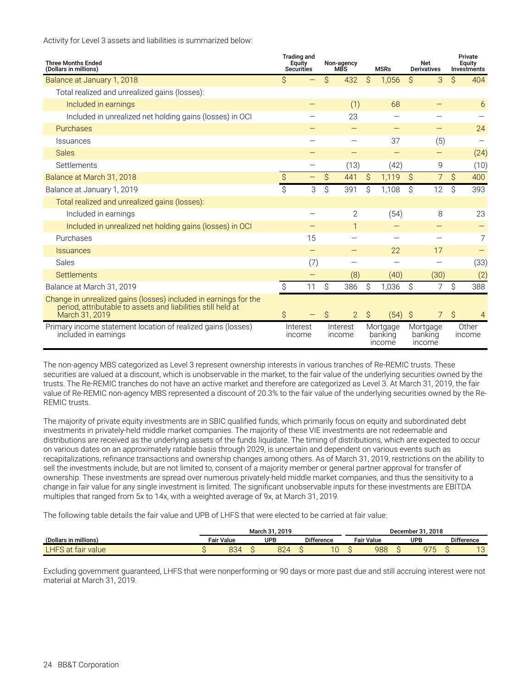Activity for Level 3 assets and liabilities is summarized below:

| <b>Three Months Ended</b><br>(Dollars in millions)                                                                                                 |           | <b>Trading and</b><br>Equity<br><b>Securities</b> |               | Non-agency<br><b>MBS</b> |               | <b>MSRs</b>                   | <b>Net</b><br><b>Derivatives</b> |                |    | Private<br>Equity<br><b>Investments</b> |
|----------------------------------------------------------------------------------------------------------------------------------------------------|-----------|---------------------------------------------------|---------------|--------------------------|---------------|-------------------------------|----------------------------------|----------------|----|-----------------------------------------|
| Balance at January 1, 2018                                                                                                                         | Ŝ         |                                                   | Ś             | 432                      | Ŝ.            | 1,056                         | Ŝ.                               | 3              | Ś. | 404                                     |
| Total realized and unrealized gains (losses):                                                                                                      |           |                                                   |               |                          |               |                               |                                  |                |    |                                         |
| Included in earnings                                                                                                                               |           |                                                   |               | (1)                      |               | 68                            |                                  |                |    | 6                                       |
| Included in unrealized net holding gains (losses) in OCI                                                                                           |           |                                                   |               | 23                       |               |                               |                                  |                |    |                                         |
| Purchases                                                                                                                                          |           |                                                   |               |                          |               |                               |                                  |                |    | 24                                      |
| Issuances                                                                                                                                          |           |                                                   |               |                          |               | 37                            |                                  | (5)            |    |                                         |
| <b>Sales</b>                                                                                                                                       |           |                                                   |               |                          |               |                               |                                  |                |    | (24)                                    |
| Settlements                                                                                                                                        |           |                                                   |               | (13)                     |               | (42)                          |                                  | 9              |    | (10)                                    |
| Balance at March 31, 2018                                                                                                                          | \$        |                                                   | Ŝ             | 441                      | \$            | 1,119                         | \$                               | $\overline{7}$ | \$ | 400                                     |
| Balance at January 1, 2019                                                                                                                         | Ś         | 3                                                 | $\mathcal{S}$ | 391                      | Ś             | 1,108                         | $\mathsf S$                      | 12             | Ś  | 393                                     |
| Total realized and unrealized gains (losses):                                                                                                      |           |                                                   |               |                          |               |                               |                                  |                |    |                                         |
| Included in earnings                                                                                                                               |           |                                                   |               | $\overline{2}$           |               | (54)                          |                                  | 8              |    | 23                                      |
| Included in unrealized net holding gains (losses) in OCI                                                                                           |           | $\qquad \qquad -$                                 |               | $\mathbf{1}$             |               |                               |                                  | -              |    |                                         |
| Purchases                                                                                                                                          |           | 15                                                |               |                          |               |                               |                                  |                |    | 7                                       |
| <b>Issuances</b>                                                                                                                                   |           | $\qquad \qquad -$                                 |               |                          |               | 22                            |                                  | 17             |    |                                         |
| Sales                                                                                                                                              |           | (7)                                               |               |                          |               |                               |                                  |                |    | (33)                                    |
| <b>Settlements</b>                                                                                                                                 |           |                                                   |               | (8)                      |               | (40)                          |                                  | (30)           |    | (2)                                     |
| Balance at March 31, 2019                                                                                                                          | $\hat{S}$ | 11                                                | Ŝ.            | 386                      | Ŝ             | 1,036                         | Ŝ.                               | 7              | Ŝ  | 388                                     |
| Change in unrealized gains (losses) included in earnings for the<br>period, attributable to assets and liabilities still held at<br>March 31, 2019 | \$        |                                                   | Ŝ             | $\overline{2}$           | $\mathcal{S}$ | (54)                          | $\mathcal{S}$                    | $\overline{7}$ | Ŝ  | $\overline{4}$                          |
| Primary income statement location of realized gains (losses)<br>included in earnings                                                               |           | Interest<br>income                                |               | Interest<br>income       |               | Mortgage<br>banking<br>income | Mortgage<br>banking<br>income    |                |    | Other<br>income                         |

The non-agency MBS categorized as Level 3 represent ownership interests in various tranches of Re-REMIC trusts. These securities are valued at a discount, which is unobservable in the market, to the fair value of the underlying securities owned by the trusts. The Re-REMIC tranches do not have an active market and therefore are categorized as Level 3. At March 31, 2019, the fair value of Re-REMIC non-agency MBS represented a discount of 20.3% to the fair value of the underlying securities owned by the Re-REMIC trusts.

The majority of private equity investments are in SBIC qualified funds, which primarily focus on equity and subordinated debt investments in privately-held middle market companies. The majority of these VIE investments are not redeemable and distributions are received as the underlying assets of the funds liquidate. The timing of distributions, which are expected to occur on various dates on an approximately ratable basis through 2029, is uncertain and dependent on various events such as recapitalizations, refinance transactions and ownership changes among others. As of March 31, 2019, restrictions on the ability to sell the investments include, but are not limited to, consent of a majority member or general partner approval for transfer of ownership. These investments are spread over numerous privately-held middle market companies, and thus the sensitivity to a change in fair value for any single investment is limited. The significant unobservable inputs for these investments are EBITDA multiples that ranged from 5x to 14x, with a weighted average of 9x, at March 31, 2019.

The following table details the fair value and UPB of LHFS that were elected to be carried at fair value:

|                            | March 31.<br>2019 |                   |  |                       |  | December 31<br>. 2018 |  |                   |  |                      |  |                        |
|----------------------------|-------------------|-------------------|--|-----------------------|--|-----------------------|--|-------------------|--|----------------------|--|------------------------|
| (Dollars in millions)      |                   | <b>Fair Value</b> |  | UPB                   |  | <b>Difference</b>     |  | <b>Fair Value</b> |  | UPF                  |  | <b>Difference</b>      |
| HFF<br>at<br>value<br>fair |                   | nn<br>υυ          |  | O <sub>O</sub><br>J24 |  | 10                    |  | 988               |  | $\sim$ $\sim$ $\sim$ |  | $\overline{10}$<br>. U |

Excluding government guaranteed, LHFS that were nonperforming or 90 days or more past due and still accruing interest were not material at March 31, 2019.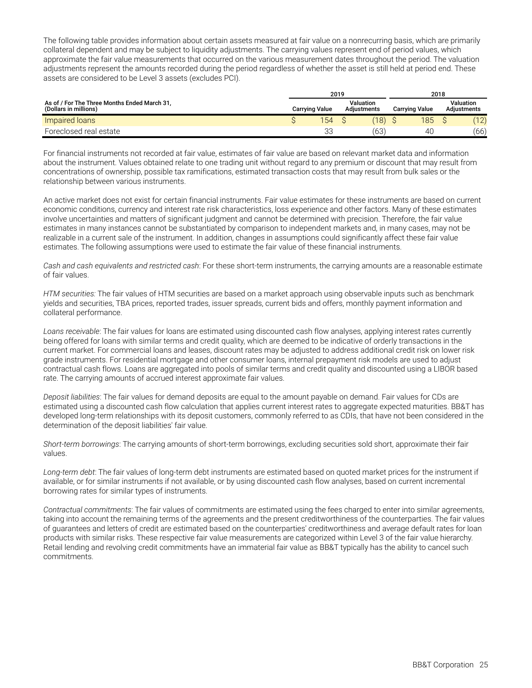The following table provides information about certain assets measured at fair value on a nonrecurring basis, which are primarily collateral dependent and may be subject to liquidity adjustments. The carrying values represent end of period values, which approximate the fair value measurements that occurred on the various measurement dates throughout the period. The valuation adjustments represent the amounts recorded during the period regardless of whether the asset is still held at period end. These assets are considered to be Level 3 assets (excludes PCI).

|                                                                       | 2019 |                       |  |                                 |  |                       | 2018                            |      |
|-----------------------------------------------------------------------|------|-----------------------|--|---------------------------------|--|-----------------------|---------------------------------|------|
| As of / For The Three Months Ended March 31,<br>(Dollars in millions) |      | <b>Carrying Value</b> |  | Valuation<br><b>Adiustments</b> |  | <b>Carrying Value</b> | Valuation<br><b>Adiustments</b> |      |
| Impaired loans                                                        |      | 154                   |  | (18)                            |  | 185                   |                                 | (12) |
| Foreclosed real estate                                                |      | 33                    |  | 63                              |  | 40                    |                                 | (66) |

For financial instruments not recorded at fair value, estimates of fair value are based on relevant market data and information about the instrument. Values obtained relate to one trading unit without regard to any premium or discount that may result from concentrations of ownership, possible tax ramifications, estimated transaction costs that may result from bulk sales or the relationship between various instruments.

An active market does not exist for certain financial instruments. Fair value estimates for these instruments are based on current economic conditions, currency and interest rate risk characteristics, loss experience and other factors. Many of these estimates involve uncertainties and matters of significant judgment and cannot be determined with precision. Therefore, the fair value estimates in many instances cannot be substantiated by comparison to independent markets and, in many cases, may not be realizable in a current sale of the instrument. In addition, changes in assumptions could significantly affect these fair value estimates. The following assumptions were used to estimate the fair value of these financial instruments.

*Cash and cash equivalents and restricted cash*: For these short-term instruments, the carrying amounts are a reasonable estimate of fair values.

*HTM securities:* The fair values of HTM securities are based on a market approach using observable inputs such as benchmark yields and securities, TBA prices, reported trades, issuer spreads, current bids and offers, monthly payment information and collateral performance.

*Loans receivable*: The fair values for loans are estimated using discounted cash flow analyses, applying interest rates currently being offered for loans with similar terms and credit quality, which are deemed to be indicative of orderly transactions in the current market. For commercial loans and leases, discount rates may be adjusted to address additional credit risk on lower risk grade instruments. For residential mortgage and other consumer loans, internal prepayment risk models are used to adjust contractual cash flows. Loans are aggregated into pools of similar terms and credit quality and discounted using a LIBOR based rate. The carrying amounts of accrued interest approximate fair values.

*Deposit liabilities*: The fair values for demand deposits are equal to the amount payable on demand. Fair values for CDs are estimated using a discounted cash flow calculation that applies current interest rates to aggregate expected maturities. BB&T has developed long-term relationships with its deposit customers, commonly referred to as CDIs, that have not been considered in the determination of the deposit liabilities' fair value.

*Short-term borrowings*: The carrying amounts of short-term borrowings, excluding securities sold short, approximate their fair values.

*Long-term debt*: The fair values of long-term debt instruments are estimated based on quoted market prices for the instrument if available, or for similar instruments if not available, or by using discounted cash flow analyses, based on current incremental borrowing rates for similar types of instruments.

*Contractual commitments*: The fair values of commitments are estimated using the fees charged to enter into similar agreements, taking into account the remaining terms of the agreements and the present creditworthiness of the counterparties. The fair values of guarantees and letters of credit are estimated based on the counterparties' creditworthiness and average default rates for loan products with similar risks. These respective fair value measurements are categorized within Level 3 of the fair value hierarchy. Retail lending and revolving credit commitments have an immaterial fair value as BB&T typically has the ability to cancel such commitments.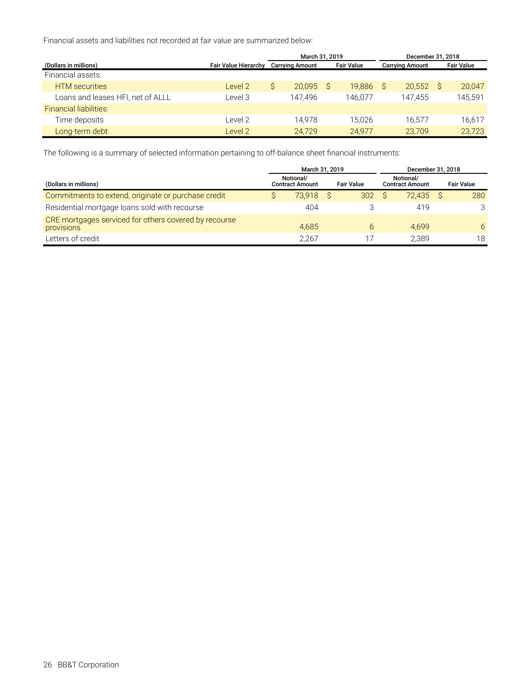Financial assets and liabilities not recorded at fair value are summarized below:

|                                   |                      | March 31, 2019                              |  |         |  | December 31, 2018 |  |                        |  |  |  |  |  |                   |
|-----------------------------------|----------------------|---------------------------------------------|--|---------|--|-------------------|--|------------------------|--|--|--|--|--|-------------------|
| (Dollars in millions)             | Fair Value Hierarchy | <b>Fair Value</b><br><b>Carrying Amount</b> |  |         |  |                   |  | <b>Carrying Amount</b> |  |  |  |  |  | <b>Fair Value</b> |
| Financial assets:                 |                      |                                             |  |         |  |                   |  |                        |  |  |  |  |  |                   |
| <b>HTM</b> securities             | Level 2              | 20.095                                      |  | 19.886  |  | 20.552            |  | 20,047                 |  |  |  |  |  |                   |
| Loans and leases HFI, net of ALLL | Level 3              | 147.496                                     |  | 146.077 |  | 147.455           |  | 145,591                |  |  |  |  |  |                   |
| <b>Financial liabilities:</b>     |                      |                                             |  |         |  |                   |  |                        |  |  |  |  |  |                   |
| Time deposits                     | Level 2              | 14.978                                      |  | 15.026  |  | 16.577            |  | 16,617                 |  |  |  |  |  |                   |
| Long-term debt                    | Level 2              | 24.729                                      |  | 24.977  |  | 23.709            |  | 23,723                 |  |  |  |  |  |                   |

The following is a summary of selected information pertaining to off-balance sheet financial instruments:

|                                                                     | March 31, 2019                                           |  |     |                                     | December 31, 2018 |                   |     |
|---------------------------------------------------------------------|----------------------------------------------------------|--|-----|-------------------------------------|-------------------|-------------------|-----|
| (Dollars in millions)                                               | Notional/<br><b>Fair Value</b><br><b>Contract Amount</b> |  |     | Notional/<br><b>Contract Amount</b> |                   | <b>Fair Value</b> |     |
| Commitments to extend, originate or purchase credit                 | 73.918                                                   |  | 302 |                                     | 72.435 S          |                   | 280 |
| Residential mortgage loans sold with recourse                       | 404                                                      |  |     |                                     | 419               |                   | 3   |
| CRE mortgages serviced for others covered by recourse<br>provisions | 4.685                                                    |  | 6   |                                     | 4.699             |                   | 6   |
| Letters of credit                                                   | 2.267                                                    |  |     |                                     | 2.389             |                   | 18  |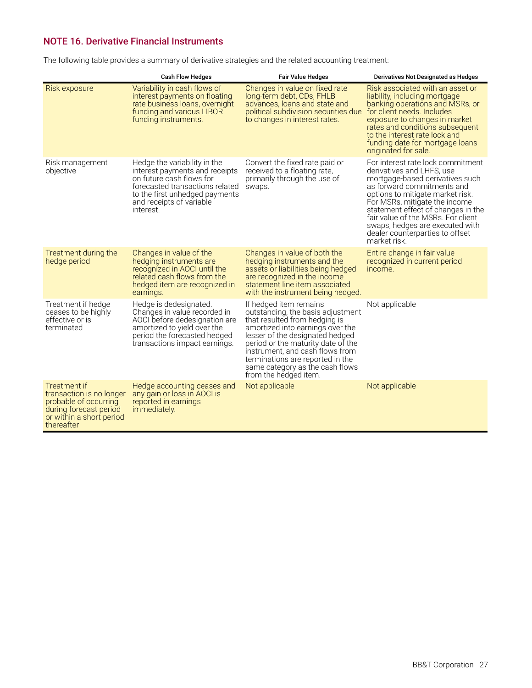## <span id="page-28-0"></span>**NOTE 16. Derivative Financial Instruments**

The following table provides a summary of derivative strategies and the related accounting treatment:

|                                                                                                                                              | <b>Cash Flow Hedges</b>                                                                                                                                                                                  | <b>Fair Value Hedges</b>                                                                                                                                                                                                                                                                                                                     | Derivatives Not Designated as Hedges                                                                                                                                                                                                                                                                                                                                   |
|----------------------------------------------------------------------------------------------------------------------------------------------|----------------------------------------------------------------------------------------------------------------------------------------------------------------------------------------------------------|----------------------------------------------------------------------------------------------------------------------------------------------------------------------------------------------------------------------------------------------------------------------------------------------------------------------------------------------|------------------------------------------------------------------------------------------------------------------------------------------------------------------------------------------------------------------------------------------------------------------------------------------------------------------------------------------------------------------------|
| Risk exposure                                                                                                                                | Variability in cash flows of<br>interest payments on floating<br>rate business loans, overnight<br>funding and various LIBOR<br>funding instruments.                                                     | Changes in value on fixed rate<br>long-term debt, CDs, FHLB<br>advances, loans and state and<br>political subdivision securities due<br>to changes in interest rates.                                                                                                                                                                        | Risk associated with an asset or<br>liability, including mortgage<br>banking operations and MSRs, or<br>for client needs. Includes<br>exposure to changes in market<br>rates and conditions subsequent<br>to the interest rate lock and<br>funding date for mortgage loans<br>originated for sale.                                                                     |
| Risk management<br>objective                                                                                                                 | Hedge the variability in the<br>interest payments and receipts<br>on future cash flows for<br>forecasted transactions related<br>to the first unhedged payments<br>and receipts of variable<br>interest. | Convert the fixed rate paid or<br>received to a floating rate,<br>primarily through the use of<br>swaps.                                                                                                                                                                                                                                     | For interest rate lock commitment<br>derivatives and LHFS, use<br>mortgage-based derivatives such<br>as forward commitments and<br>options to mitigate market risk.<br>For MSRs, mitigate the income<br>statement effect of changes in the<br>fair value of the MSRs. For client<br>swaps, hedges are executed with<br>dealer counterparties to offset<br>market risk. |
| Treatment during the<br>hedge period                                                                                                         | Changes in value of the<br>hedging instruments are<br>recognized in AOCI until the<br>related cash flows from the<br>hedged item are recognized in<br>earnings.                                          | Changes in value of both the<br>hedging instruments and the<br>assets or liabilities being hedged<br>are recognized in the income<br>statement line item associated<br>with the instrument being hedged.                                                                                                                                     | Entire change in fair value<br>recognized in current period<br>income.                                                                                                                                                                                                                                                                                                 |
| Treatment if hedge<br>ceases to be highly<br>effective or is<br>terminated                                                                   | Hedge is dedesignated.<br>Changes in value recorded in<br>AOCI before dedesignation are<br>amortized to yield over the<br>period the forecasted hedged<br>transactions impact earnings.                  | If hedged item remains<br>outstanding, the basis adjustment<br>that resulted from hedging is<br>amortized into earnings over the<br>lesser of the designated hedged<br>period or the maturity date of the<br>instrument, and cash flows from<br>terminations are reported in the<br>same category as the cash flows<br>from the hedged item. | Not applicable                                                                                                                                                                                                                                                                                                                                                         |
| <b>Treatment if</b><br>transaction is no longer<br>probable of occurring<br>during forecast period<br>or within a short period<br>thereafter | Hedge accounting ceases and<br>any gain or loss in AOCI is<br>reported in earnings<br>immediately.                                                                                                       | Not applicable                                                                                                                                                                                                                                                                                                                               | Not applicable                                                                                                                                                                                                                                                                                                                                                         |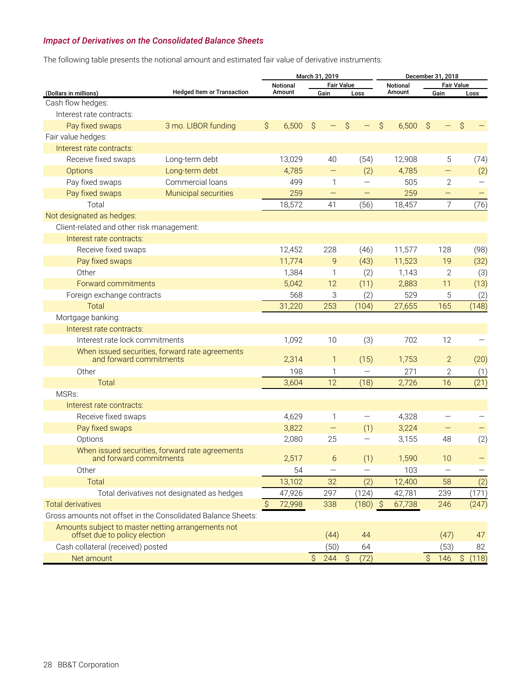## *Impact of Derivatives on the Consolidated Balance Sheets*

The following table presents the notional amount and estimated fair value of derivative instruments:

|                                                                                     |                                                 |               |          |               | March 31, 2019    |                     |                          | December 31, 2018 |          |              |                   |              |       |
|-------------------------------------------------------------------------------------|-------------------------------------------------|---------------|----------|---------------|-------------------|---------------------|--------------------------|-------------------|----------|--------------|-------------------|--------------|-------|
|                                                                                     |                                                 |               | Notional |               | <b>Fair Value</b> |                     |                          |                   | Notional |              | <b>Fair Value</b> |              |       |
| (Dollars in millions)                                                               | <b>Hedged Item or Transaction</b>               |               | Amount   |               | Gain              |                     | Loss                     |                   | Amount   |              | Gain              |              | Loss  |
| Cash flow hedges:                                                                   |                                                 |               |          |               |                   |                     |                          |                   |          |              |                   |              |       |
| Interest rate contracts:                                                            |                                                 |               |          |               |                   |                     |                          |                   |          |              |                   |              |       |
| Pay fixed swaps                                                                     | 3 mo. LIBOR funding                             | \$            | 6,500    | Ŝ             |                   | Ŝ                   |                          | Ŝ                 | 6,500    | Ŝ            |                   | $\varsigma$  |       |
| Fair value hedges:                                                                  |                                                 |               |          |               |                   |                     |                          |                   |          |              |                   |              |       |
| Interest rate contracts:                                                            |                                                 |               |          |               |                   |                     |                          |                   |          |              |                   |              |       |
| Receive fixed swaps                                                                 | Long-term debt                                  |               | 13,029   |               | 40                |                     | (54)                     |                   | 12,908   |              | 5                 |              | (74)  |
| <b>Options</b>                                                                      | Long-term debt                                  |               | 4,785    |               |                   |                     | (2)                      |                   | 4,785    |              |                   |              | (2)   |
| Pay fixed swaps                                                                     | Commercial loans                                |               | 499      |               | $\mathbf{1}$      |                     |                          |                   | 505      |              | $\overline{2}$    |              |       |
| Pay fixed swaps                                                                     | Municipal securities                            |               | 259      |               | -                 |                     | -                        |                   | 259      |              | -                 |              |       |
| Total                                                                               |                                                 |               | 18,572   |               | 41                |                     | (56)                     |                   | 18,457   |              | $\overline{7}$    |              | (76)  |
| Not designated as hedges:                                                           |                                                 |               |          |               |                   |                     |                          |                   |          |              |                   |              |       |
| Client-related and other risk management:                                           |                                                 |               |          |               |                   |                     |                          |                   |          |              |                   |              |       |
| Interest rate contracts:                                                            |                                                 |               |          |               |                   |                     |                          |                   |          |              |                   |              |       |
| Receive fixed swaps                                                                 |                                                 |               | 12,452   |               | 228               |                     | (46)                     |                   | 11,577   |              | 128               |              | (98)  |
| Pay fixed swaps                                                                     |                                                 |               | 11,774   |               | 9                 |                     | (43)                     |                   | 11,523   |              | 19                |              | (32)  |
| Other                                                                               |                                                 |               | 1,384    |               | 1                 |                     | (2)                      |                   | 1,143    |              | 2                 |              | (3)   |
| Forward commitments                                                                 |                                                 |               | 5,042    |               | 12                |                     | (11)                     |                   | 2,883    |              | 11                |              | (13)  |
| Foreign exchange contracts                                                          |                                                 |               | 568      |               | 3                 |                     | (2)                      |                   | 529      |              | 5                 |              | (2)   |
| Total                                                                               |                                                 |               | 31,220   |               | 253               |                     | (104)                    |                   | 27,655   |              | 165               |              | (148) |
| Mortgage banking:                                                                   |                                                 |               |          |               |                   |                     |                          |                   |          |              |                   |              |       |
| Interest rate contracts:                                                            |                                                 |               |          |               |                   |                     |                          |                   |          |              |                   |              |       |
| Interest rate lock commitments                                                      |                                                 |               | 1,092    |               | 10                |                     | (3)                      |                   | 702      |              | 12                |              |       |
|                                                                                     | When issued securities, forward rate agreements |               |          |               |                   |                     |                          |                   |          |              |                   |              |       |
| and forward commitments                                                             |                                                 |               | 2,314    |               | $\mathbf{1}$      |                     | (15)                     |                   | 1,753    |              | $\overline{2}$    |              | (20)  |
| Other                                                                               |                                                 |               | 198      |               | 1                 |                     | $\equiv$                 |                   | 271      |              | 2                 |              | (1)   |
| Total                                                                               |                                                 |               | 3,604    |               | 12                |                     | (18)                     |                   | 2,726    |              | 16                |              | (21)  |
| MSRs:                                                                               |                                                 |               |          |               |                   |                     |                          |                   |          |              |                   |              |       |
| Interest rate contracts:                                                            |                                                 |               |          |               |                   |                     |                          |                   |          |              |                   |              |       |
| Receive fixed swaps                                                                 |                                                 |               | 4,629    |               | 1                 |                     | -                        |                   | 4,328    |              |                   |              |       |
| Pay fixed swaps                                                                     |                                                 |               | 3,822    |               |                   |                     | (1)                      |                   | 3,224    |              |                   |              |       |
| Options                                                                             |                                                 |               | 2,080    |               | 25                |                     |                          |                   | 3,155    |              | 48                |              | (2)   |
| and forward commitments                                                             | When issued securities, forward rate agreements |               | 2,517    |               | 6                 |                     | (1)                      |                   | 1,590    |              | 10                |              |       |
| Other                                                                               |                                                 |               | 54       |               |                   |                     | $\overline{\phantom{0}}$ |                   | 103      |              |                   |              |       |
| Total                                                                               |                                                 |               | 13,102   |               | 32                |                     | (2)                      |                   | 12,400   |              | 58                |              | (2)   |
|                                                                                     | Total derivatives not designated as hedges      |               | 47,926   |               | 297               |                     | (124)                    |                   | 42,781   |              | 239               |              | (171) |
| <b>Total derivatives</b>                                                            |                                                 | $\mathcal{S}$ | 72,998   |               | 338               |                     | $(180)$ \$               |                   | 67,738   |              | 246               |              | (247) |
| Gross amounts not offset in the Consolidated Balance Sheets:                        |                                                 |               |          |               |                   |                     |                          |                   |          |              |                   |              |       |
| Amounts subject to master netting arrangements not<br>offset due to policy election |                                                 |               |          |               | (44)              |                     | 44                       |                   |          |              | (47)              |              | 47    |
| Cash collateral (received) posted                                                   |                                                 |               |          |               | (50)              |                     | 64                       |                   |          |              | (53)              |              | 82    |
| Net amount                                                                          |                                                 |               |          | $\mathcal{S}$ | 244               | $\hat{\mathcal{S}}$ | (72)                     |                   |          | $\mathsf{S}$ | 146               | $\mathsf{S}$ | (118) |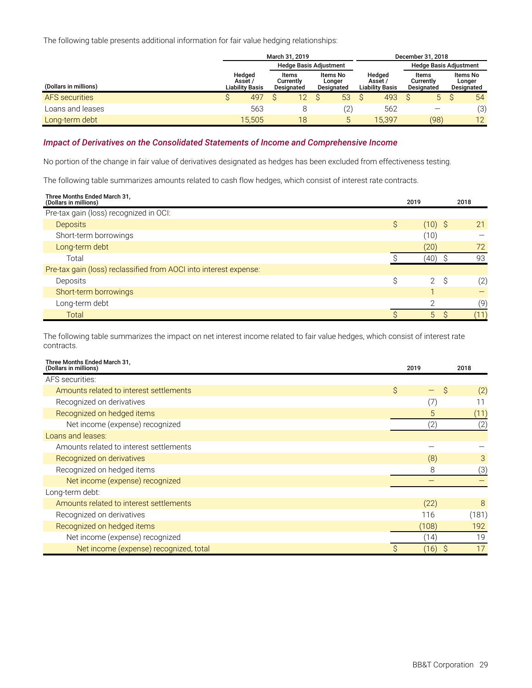The following table presents additional information for fair value hedging relationships:

|                       |                                             | March 31, 2019                   |                                  | December 31, 2018                           |                                  |                                  |  |  |  |  |
|-----------------------|---------------------------------------------|----------------------------------|----------------------------------|---------------------------------------------|----------------------------------|----------------------------------|--|--|--|--|
|                       | <b>Hedge Basis Adjustment</b>               |                                  |                                  |                                             |                                  | <b>Hedge Basis Adjustment</b>    |  |  |  |  |
| (Dollars in millions) | Hedged<br>Asset /<br><b>Liability Basis</b> | Items<br>Currently<br>Designated | Items No<br>Longer<br>Designated | Hedged<br>Asset /<br><b>Liability Basis</b> | Items<br>Currently<br>Designated | Items No<br>Longer<br>Designated |  |  |  |  |
| AFS securities        | 497                                         | 12                               | 53                               | 493                                         | 5                                | 54                               |  |  |  |  |
| Loans and leases      | 563                                         | 8                                | (2)                              | 562                                         |                                  | (3)                              |  |  |  |  |
| Long-term debt        | 15,505                                      | 18                               | 5                                | 15.397                                      | (98)                             | 12                               |  |  |  |  |

#### *Impact of Derivatives on the Consolidated Statements of Income and Comprehensive Income*

No portion of the change in fair value of derivatives designated as hedges has been excluded from effectiveness testing.

The following table summarizes amounts related to cash flow hedges, which consist of interest rate contracts.

| Three Months Ended March 31,<br>(Dollars in millions)             |    | 2019      | 2018 |
|-------------------------------------------------------------------|----|-----------|------|
| Pre-tax gain (loss) recognized in OCI:                            |    |           |      |
| <b>Deposits</b>                                                   | Ŝ. | $(10)$ \$ | 21   |
| Short-term borrowings                                             |    | (10)      |      |
| Long-term debt                                                    |    | (20)      | 72   |
| Total                                                             |    | (40)      | 93   |
| Pre-tax gain (loss) reclassified from AOCI into interest expense: |    |           |      |
| Deposits                                                          | S  | 2         | (2)  |
| Short-term borrowings                                             |    |           |      |
| Long-term debt                                                    |    | ∩         | (9)  |
| Total                                                             |    | 5         | 11   |

The following table summarizes the impact on net interest income related to fair value hedges, which consist of interest rate contracts.

| Three Months Ended March 31,<br>(Dollars in millions) | 2019                              | 2018      |
|-------------------------------------------------------|-----------------------------------|-----------|
| AFS securities:                                       |                                   |           |
| Amounts related to interest settlements               | $\mathsf{S}$<br>$\qquad \qquad -$ | S.<br>(2) |
| Recognized on derivatives                             | (7                                | 11        |
| Recognized on hedged items                            | 5                                 | (11)      |
| Net income (expense) recognized                       | (2)                               | (2)       |
| Loans and leases:                                     |                                   |           |
| Amounts related to interest settlements               |                                   |           |
| Recognized on derivatives                             | (8)                               | 3         |
| Recognized on hedged items                            | 8                                 | (3)       |
| Net income (expense) recognized                       |                                   |           |
| Long-term debt:                                       |                                   |           |
| Amounts related to interest settlements               | (22)                              | 8         |
| Recognized on derivatives                             | 116                               | (181)     |
| Recognized on hedged items                            | (108)                             | 192       |
| Net income (expense) recognized                       | (14)                              | 19        |
| Net income (expense) recognized, total                | (16)                              | 17<br>-Ŝ  |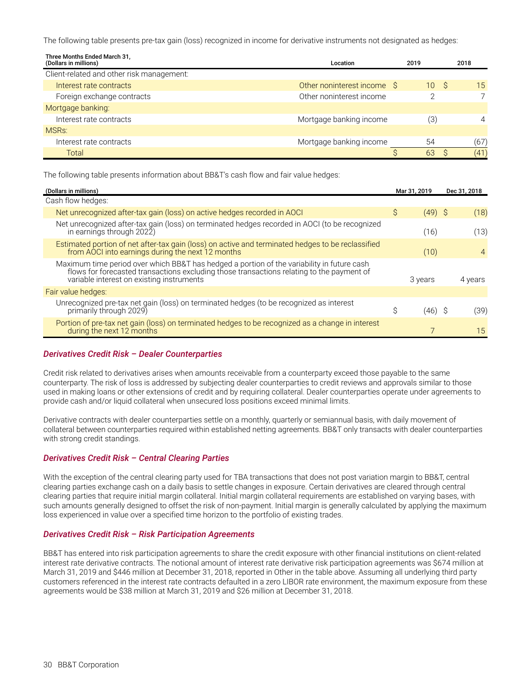The following table presents pre-tax gain (loss) recognized in income for derivative instruments not designated as hedges:

| Three Months Ended March 31,<br>(Dollars in millions) | Location                    |     |    | 2018           |
|-------------------------------------------------------|-----------------------------|-----|----|----------------|
| Client-related and other risk management:             |                             |     |    |                |
| Interest rate contracts                               | Other noninterest income \$ | 10S |    | 15             |
| Foreign exchange contracts                            | Other noninterest income    | ⌒   |    |                |
| Mortgage banking:                                     |                             |     |    |                |
| Interest rate contracts                               | Mortgage banking income     | (3) |    | $\overline{4}$ |
| <b>MSRs:</b>                                          |                             |     |    |                |
| Interest rate contracts                               | Mortgage banking income     | 54  |    | (67)           |
| Total                                                 |                             | 63  | S. | (41)           |
|                                                       |                             |     |    |                |

The following table presents information about BB&T's cash flow and fair value hedges:

| (Dollars in millions)                                                                                                                                                                                                                |   | Mar 31, 2019 | Dec 31, 2018   |
|--------------------------------------------------------------------------------------------------------------------------------------------------------------------------------------------------------------------------------------|---|--------------|----------------|
| Cash flow hedges:                                                                                                                                                                                                                    |   |              |                |
| Net unrecognized after-tax gain (loss) on active hedges recorded in AOCI                                                                                                                                                             | S | $(49)$ \$    | (18)           |
| Net unrecognized after-tax gain (loss) on terminated hedges recorded in AOCI (to be recognized<br>in earnings through 2022)                                                                                                          |   | (16)         | (13)           |
| Estimated portion of net after-tax gain (loss) on active and terminated hedges to be reclassified<br>from AOCI into earnings during the next 12 months                                                                               |   | (10)         | $\overline{4}$ |
| Maximum time period over which BB&T has hedged a portion of the variability in future cash<br>flows for forecasted transactions excluding those transactions relating to the payment of<br>variable interest on existing instruments |   | 3 years      | 4 years        |
| Fair value hedges:                                                                                                                                                                                                                   |   |              |                |
| Unrecognized pre-tax net gain (loss) on terminated hedges (to be recognized as interest<br>primarily through 2029)                                                                                                                   | S | (46)         | (39)           |
| Portion of pre-tax net gain (loss) on terminated hedges to be recognized as a change in interest<br>during the next 12 months                                                                                                        |   |              | 15             |

#### *Derivatives Credit Risk – Dealer Counterparties*

Credit risk related to derivatives arises when amounts receivable from a counterparty exceed those payable to the same counterparty. The risk of loss is addressed by subjecting dealer counterparties to credit reviews and approvals similar to those used in making loans or other extensions of credit and by requiring collateral. Dealer counterparties operate under agreements to provide cash and/or liquid collateral when unsecured loss positions exceed minimal limits.

Derivative contracts with dealer counterparties settle on a monthly, quarterly or semiannual basis, with daily movement of collateral between counterparties required within established netting agreements. BB&T only transacts with dealer counterparties with strong credit standings.

#### *Derivatives Credit Risk – Central Clearing Parties*

With the exception of the central clearing party used for TBA transactions that does not post variation margin to BB&T, central clearing parties exchange cash on a daily basis to settle changes in exposure. Certain derivatives are cleared through central clearing parties that require initial margin collateral. Initial margin collateral requirements are established on varying bases, with such amounts generally designed to offset the risk of non-payment. Initial margin is generally calculated by applying the maximum loss experienced in value over a specified time horizon to the portfolio of existing trades.

#### *Derivatives Credit Risk – Risk Participation Agreements*

BB&T has entered into risk participation agreements to share the credit exposure with other financial institutions on client-related interest rate derivative contracts. The notional amount of interest rate derivative risk participation agreements was \$674 million at March 31, 2019 and \$446 million at December 31, 2018, reported in Other in the table above. Assuming all underlying third party customers referenced in the interest rate contracts defaulted in a zero LIBOR rate environment, the maximum exposure from these agreements would be \$38 million at March 31, 2019 and \$26 million at December 31, 2018.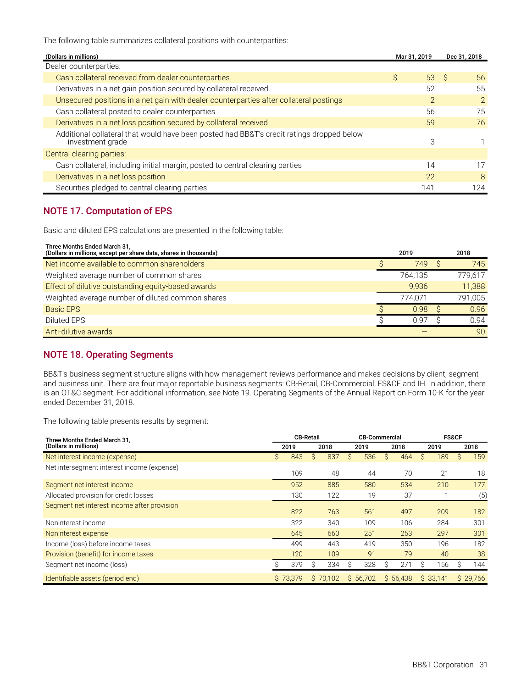<span id="page-32-0"></span>The following table summarizes collateral positions with counterparties:

| (Dollars in millions)                                                                                         | Mar 31, 2019   | Dec 31, 2018          |
|---------------------------------------------------------------------------------------------------------------|----------------|-----------------------|
| Dealer counterparties:                                                                                        |                |                       |
| Cash collateral received from dealer counterparties                                                           | S.             | 53 <sup>°</sup><br>56 |
| Derivatives in a net gain position secured by collateral received                                             | 52             | 55                    |
| Unsecured positions in a net gain with dealer counterparties after collateral postings                        | $\overline{2}$ | $\overline{2}$        |
| Cash collateral posted to dealer counterparties                                                               | 56             | 75                    |
| Derivatives in a net loss position secured by collateral received                                             | 59             | 76                    |
| Additional collateral that would have been posted had BB&T's credit ratings dropped below<br>investment grade | 3              |                       |
| Central clearing parties:                                                                                     |                |                       |
| Cash collateral, including initial margin, posted to central clearing parties                                 | 14             | 17                    |
| Derivatives in a net loss position                                                                            | 22             | 8                     |
| Securities pledged to central clearing parties                                                                | 141            | 124                   |

## **NOTE 17. Computation of EPS**

Basic and diluted EPS calculations are presented in the following table:

| Three Months Ended March 31,<br>(Dollars in millions, except per share data, shares in thousands) | 2019    | 2018    |
|---------------------------------------------------------------------------------------------------|---------|---------|
| Net income available to common shareholders                                                       | 749     | 745     |
| Weighted average number of common shares                                                          | 764,135 | 779.617 |
| Effect of dilutive outstanding equity-based awards                                                | 9.936   | 11,388  |
| Weighted average number of diluted common shares                                                  | 774.071 | 791,005 |
| <b>Basic EPS</b>                                                                                  | 0.98    | 0.96    |
| Diluted EPS                                                                                       | 0.97    | 0.94    |
| Anti-dilutive awards                                                                              |         | 90      |

## **NOTE 18. Operating Segments**

BB&T's business segment structure aligns with how management reviews performance and makes decisions by client, segment and business unit. There are four major reportable business segments: CB-Retail, CB-Commercial, FS&CF and IH. In addition, there is an OT&C segment. For additional information, see Note 19. Operating Segments of the Annual Report on Form 10-K for the year ended December 31, 2018.

The following table presents results by segment:

| Three Months Ended March 31,                | <b>CB-Retail</b> |              |   | <b>CB-Commercial</b> |   |          |   | <b>FS&amp;CF</b> |   |          |   |          |
|---------------------------------------------|------------------|--------------|---|----------------------|---|----------|---|------------------|---|----------|---|----------|
| (Dollars in millions)                       |                  | 2018<br>2019 |   | 2019                 |   | 2018     |   | 2019             |   | 2018     |   |          |
| Net interest income (expense)               | Ŝ                | 843          | S | 837                  | S | 536      | Ŝ | 464              | S | 189      | S | 159      |
| Net intersegment interest income (expense)  |                  | 109          |   | 48                   |   | 44       |   | 70               |   | 21       |   | 18       |
| Segment net interest income                 |                  | 952          |   | 885                  |   | 580      |   | 534              |   | 210      |   | 177      |
| Allocated provision for credit losses       |                  | 130          |   | 122                  |   | 19       |   | 37               |   |          |   | (5)      |
| Segment net interest income after provision |                  | 822          |   | 763                  |   | 561      |   | 497              |   | 209      |   | 182      |
| Noninterest income                          |                  | 322          |   | 340                  |   | 109      |   | 106              |   | 284      |   | 301      |
| Noninterest expense                         |                  | 645          |   | 660                  |   | 251      |   | 253              |   | 297      |   | 301      |
| Income (loss) before income taxes           |                  | 499          |   | 443                  |   | 419      |   | 350              |   | 196      |   | 182      |
| Provision (benefit) for income taxes        |                  | 120          |   | 109                  |   | 91       |   | 79               |   | 40       |   | 38       |
| Segment net income (loss)                   |                  | 379          | S | 334                  |   | 328      | S | 271              |   | . 56     |   | 144      |
| Identifiable assets (period end)            |                  | S 73.379     |   | \$70.102             |   | \$56.702 |   | \$56,438         |   | \$33.141 |   | \$29.766 |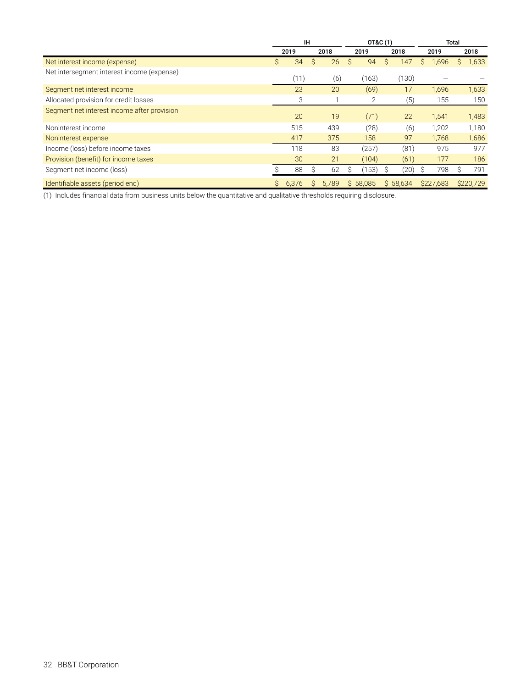|                                             | ΙH |       |      |       | OT&C (1) |          |      |          |      | <b>Total</b> |      |           |
|---------------------------------------------|----|-------|------|-------|----------|----------|------|----------|------|--------------|------|-----------|
|                                             |    | 2019  | 2018 |       | 2019     |          | 2018 |          | 2019 |              | 2018 |           |
| Net interest income (expense)               | Ŝ  | 34    | Ŝ    | 26    | Ŝ        | 94       | S    | 147      | S.   | 1,696        | S    | 1,633     |
| Net intersegment interest income (expense)  |    | (11)  |      | (6)   |          | (163)    |      | (130)    |      |              |      |           |
| Segment net interest income                 |    | 23    |      | 20    |          | (69)     |      | 17       |      | 1,696        |      | 1,633     |
| Allocated provision for credit losses       |    | 3     |      |       |          | 2        |      | (5)      |      | 155          |      | 150       |
| Segment net interest income after provision |    | 20    |      | 19    |          | (71)     |      | 22       |      | 1,541        |      | 1,483     |
| Noninterest income                          |    | 515   |      | 439   |          | (28)     |      | (6)      |      | 1,202        |      | 1,180     |
| Noninterest expense                         |    | 417   |      | 375   |          | 158      |      | 97       |      | 1.768        |      | 1,686     |
| Income (loss) before income taxes           |    | 118   |      | 83    |          | (257)    |      | (81)     |      | 975          |      | 977       |
| Provision (benefit) for income taxes        |    | 30    |      | 21    |          | (104)    |      | (61)     |      | 177          |      | 186       |
| Segment net income (loss)                   |    | 88    |      | 62    | S        | (153)    | -S   | (20)     |      | 798          |      | 791       |
| Identifiable assets (period end)            | Ŝ. | 6,376 | Ś    | 5,789 |          | \$58,085 |      | \$58,634 |      | \$227,683    |      | \$220,729 |

(1) Includes financial data from business units below the quantitative and qualitative thresholds requiring disclosure.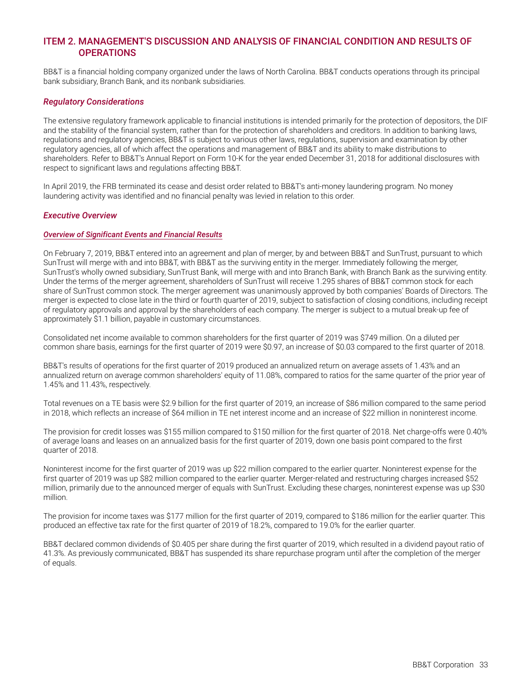## <span id="page-34-0"></span>**ITEM 2. MANAGEMENT'S DISCUSSION AND ANALYSIS OF FINANCIAL CONDITION AND RESULTS OF OPERATIONS**

BB&T is a financial holding company organized under the laws of North Carolina. BB&T conducts operations through its principal bank subsidiary, Branch Bank, and its nonbank subsidiaries.

#### *Regulatory Considerations*

The extensive regulatory framework applicable to financial institutions is intended primarily for the protection of depositors, the DIF and the stability of the financial system, rather than for the protection of shareholders and creditors. In addition to banking laws, regulations and regulatory agencies, BB&T is subject to various other laws, regulations, supervision and examination by other regulatory agencies, all of which affect the operations and management of BB&T and its ability to make distributions to shareholders. Refer to BB&T's Annual Report on Form 10-K for the year ended December 31, 2018 for additional disclosures with respect to significant laws and regulations affecting BB&T.

In April 2019, the FRB terminated its cease and desist order related to BB&T's anti-money laundering program. No money laundering activity was identified and no financial penalty was levied in relation to this order.

#### *Executive Overview*

#### *Overview of Significant Events and Financial Results*

On February 7, 2019, BB&T entered into an agreement and plan of merger, by and between BB&T and SunTrust, pursuant to which SunTrust will merge with and into BB&T, with BB&T as the surviving entity in the merger. Immediately following the merger, SunTrust's wholly owned subsidiary, SunTrust Bank, will merge with and into Branch Bank, with Branch Bank as the surviving entity. Under the terms of the merger agreement, shareholders of SunTrust will receive 1.295 shares of BB&T common stock for each share of SunTrust common stock. The merger agreement was unanimously approved by both companies' Boards of Directors. The merger is expected to close late in the third or fourth quarter of 2019, subject to satisfaction of closing conditions, including receipt of regulatory approvals and approval by the shareholders of each company. The merger is subject to a mutual break-up fee of approximately \$1.1 billion, payable in customary circumstances.

Consolidated net income available to common shareholders for the first quarter of 2019 was \$749 million. On a diluted per common share basis, earnings for the first quarter of 2019 were \$0.97, an increase of \$0.03 compared to the first quarter of 2018.

BB&T's results of operations for the first quarter of 2019 produced an annualized return on average assets of 1.43% and an annualized return on average common shareholders' equity of 11.08%, compared to ratios for the same quarter of the prior year of 1.45% and 11.43%, respectively.

Total revenues on a TE basis were \$2.9 billion for the first quarter of 2019, an increase of \$86 million compared to the same period in 2018, which reflects an increase of \$64 million in TE net interest income and an increase of \$22 million in noninterest income.

The provision for credit losses was \$155 million compared to \$150 million for the first quarter of 2018. Net charge-offs were 0.40% of average loans and leases on an annualized basis for the first quarter of 2019, down one basis point compared to the first quarter of 2018.

Noninterest income for the first quarter of 2019 was up \$22 million compared to the earlier quarter. Noninterest expense for the first quarter of 2019 was up \$82 million compared to the earlier quarter. Merger-related and restructuring charges increased \$52 million, primarily due to the announced merger of equals with SunTrust. Excluding these charges, noninterest expense was up \$30 million.

The provision for income taxes was \$177 million for the first quarter of 2019, compared to \$186 million for the earlier quarter. This produced an effective tax rate for the first quarter of 2019 of 18.2%, compared to 19.0% for the earlier quarter.

BB&T declared common dividends of \$0.405 per share during the first quarter of 2019, which resulted in a dividend payout ratio of 41.3%. As previously communicated, BB&T has suspended its share repurchase program until after the completion of the merger of equals.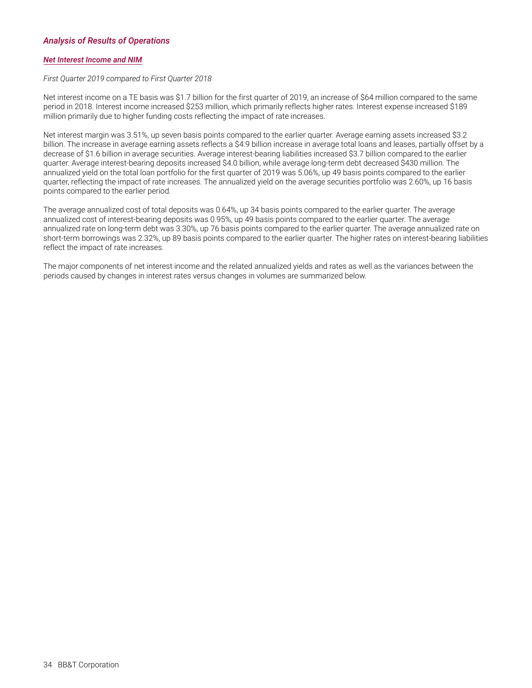#### *Analysis of Results of Operations*

#### *Net Interest Income and NIM*

#### *First Quarter 2019 compared to First Quarter 2018*

Net interest income on a TE basis was \$1.7 billion for the first quarter of 2019, an increase of \$64 million compared to the same period in 2018. Interest income increased \$253 million, which primarily reflects higher rates. Interest expense increased \$189 million primarily due to higher funding costs reflecting the impact of rate increases.

Net interest margin was 3.51%, up seven basis points compared to the earlier quarter. Average earning assets increased \$3.2 billion. The increase in average earning assets reflects a \$4.9 billion increase in average total loans and leases, partially offset by a decrease of \$1.6 billion in average securities. Average interest-bearing liabilities increased \$3.7 billion compared to the earlier quarter. Average interest-bearing deposits increased \$4.0 billion, while average long-term debt decreased \$430 million. The annualized yield on the total loan portfolio for the first quarter of 2019 was 5.06%, up 49 basis points compared to the earlier quarter, reflecting the impact of rate increases. The annualized yield on the average securities portfolio was 2.60%, up 16 basis points compared to the earlier period.

The average annualized cost of total deposits was 0.64%, up 34 basis points compared to the earlier quarter. The average annualized cost of interest-bearing deposits was 0.95%, up 49 basis points compared to the earlier quarter. The average annualized rate on long-term debt was 3.30%, up 76 basis points compared to the earlier quarter. The average annualized rate on short-term borrowings was 2.32%, up 89 basis points compared to the earlier quarter. The higher rates on interest-bearing liabilities reflect the impact of rate increases.

The major components of net interest income and the related annualized yields and rates as well as the variances between the periods caused by changes in interest rates versus changes in volumes are summarized below.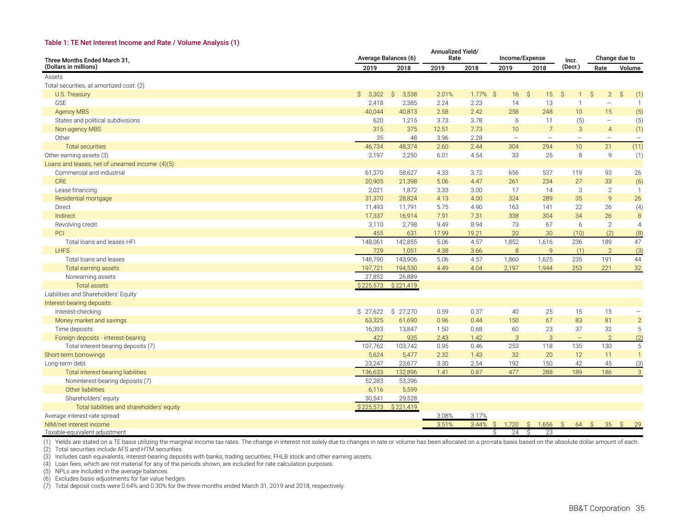#### **Table 1: TE Net Interest Income and Rate / Volume Analysis (1)**

| Three Months Ended March 31,                     |             | Average Balances (6)   |       | Annualized Yield/<br>Rate | Income/Expense           |                          | Incr.             |                          | Change due to                   |
|--------------------------------------------------|-------------|------------------------|-------|---------------------------|--------------------------|--------------------------|-------------------|--------------------------|---------------------------------|
| (Dollars in millions)                            | 2019        | 2018                   | 2019  | 2018                      | 2019                     | 2018                     | (Decr.)           | Rate                     | Volume                          |
| Assets                                           |             |                        |       |                           |                          |                          |                   |                          |                                 |
| Total securities, at amortized cost: (2)         |             |                        |       |                           |                          |                          |                   |                          |                                 |
| U.S. Treasury                                    | S.<br>3,302 | 3,538<br>$\mathcal{S}$ | 2.01% | $1.77%$ \$                | 16                       | S.<br>15                 | Ŝ.                | Ŝ.<br>$\overline{2}$     | Ŝ.<br>(1)                       |
| <b>GSE</b>                                       | 2,418       | 2,385                  | 2.24  | 2.23                      | 14                       | 13                       | $\overline{1}$    | $\overline{\phantom{0}}$ | 1                               |
| <b>Agency MBS</b>                                | 40,044      | 40,813                 | 2.58  | 2.42                      | 258                      | 248                      | 10                | 15                       | (5)                             |
| States and political subdivisions                | 620         | 1,215                  | 3.73  | 3.78                      | 6                        | 11                       | (5)               | $\overline{\phantom{m}}$ | (5)                             |
| Non-agency MBS                                   | 315         | 375                    | 12.51 | 7.73                      | 10                       | $\overline{7}$           | 3                 | $\overline{4}$           | (1)                             |
| Other                                            | 35          | 48                     | 3.96  | 2.28                      | $\overline{\phantom{m}}$ | $\overline{\phantom{0}}$ |                   | $\overline{\phantom{0}}$ | $\overbrace{\phantom{1232211}}$ |
| <b>Total securities</b>                          | 46,734      | 48,374                 | 2.60  | 2.44                      | 304                      | 294                      | 10                | 21                       | (11)                            |
| Other earning assets (3)                         | 2,197       | 2,250                  | 6.01  | 4.54                      | 33                       | 25                       | 8                 | 9                        | (1)                             |
| Loans and leases, net of unearned income: (4)(5) |             |                        |       |                           |                          |                          |                   |                          |                                 |
| Commercial and industrial                        | 61,370      | 58,627                 | 4.33  | 3.72                      | 656                      | 537                      | 119               | 93                       | 26                              |
| CRE                                              | 20,905      | 21,398                 | 5.06  | 4.47                      | 261                      | 234                      | 27                | 33                       | (6)                             |
| Lease financing                                  | 2,021       | 1,872                  | 3.33  | 3.00                      | 17                       | 14                       | 3                 | $\overline{2}$           | $\mathbf{1}$                    |
| Residential mortgage                             | 31,370      | 28,824                 | 4.13  | 4.00                      | 324                      | 289                      | 35                | 9                        | 26                              |
| Direct                                           | 11,493      | 11,791                 | 5.75  | 4.90                      | 163                      | 141                      | 22                | 26                       | (4)                             |
| Indirect                                         | 17,337      | 16,914                 | 7.91  | 7.31                      | 338                      | 304                      | 34                | 26                       | $\,8\,$                         |
| Revolving credit                                 | 3,110       | 2,798                  | 9.49  | 8.94                      | 73                       | 67                       | 6                 | $\overline{2}$           | $\overline{4}$                  |
| PCI                                              | 455         | 631                    | 17.99 | 19.21                     | 20                       | 30                       | (10)              | (2)                      | (8)                             |
| Total loans and leases HFI                       | 148,061     | 142,855                | 5.06  | 4.57                      | 1,852                    | 1,616                    | 236               | 189                      | 47                              |
| <b>LHFS</b>                                      | 729         | 1,051                  | 4.38  | 3.66                      | 8                        | Q                        | (1)               | $\mathcal{P}$            | (3)                             |
| Total loans and leases                           | 148,790     | 143,906                | 5.06  | 4.57                      | 1,860                    | 1,625                    | 235               | 191                      | 44                              |
| Total earning assets                             | 197,721     | 194,530                | 4.49  | 4.04                      | 2,197                    | 1,944                    | 253               | 221                      | 32                              |
| Nonearning assets                                | 27,852      | 26,889                 |       |                           |                          |                          |                   |                          |                                 |
| <b>Total assets</b>                              | \$225,573   | \$221,419              |       |                           |                          |                          |                   |                          |                                 |
| Liabilities and Shareholders' Equity             |             |                        |       |                           |                          |                          |                   |                          |                                 |
| Interest-bearing deposits:                       |             |                        |       |                           |                          |                          |                   |                          |                                 |
| Interest-checking                                | \$27,622    | \$27,270               | 0.59  | 0.37                      | 40                       | 25                       | 15                | 15                       |                                 |
| Money market and savings                         | 63,325      | 61,690                 | 0.96  | 0.44                      | 150                      | 67                       | 83                | 81                       | $\overline{2}$                  |
| Time deposits                                    | 16,393      | 13,847                 | 1.50  | 0.68                      | 60                       | 23                       | 37                | 32                       | 5                               |
| Foreign deposits - interest-bearing              | 422         | 935                    | 2.43  | 1.42                      | 3                        | 3                        | $\qquad \qquad -$ | $\overline{2}$           | (2)                             |
| Total interest-bearing deposits (7)              | 107,762     | 103,742                | 0.95  | 0.46                      | 253                      | 118                      | 135               | 130                      | 5                               |
| Short-term borrowings                            | 5,624       | 5,477                  | 2.32  | 1.43                      | 32                       | 20                       | 12                | 11                       | $\overline{1}$                  |
| Long-term debt                                   | 23,247      | 23,677                 | 3.30  | 2.54                      | 192                      | 150                      | 42                | 45                       | (3)                             |
| Total interest-bearing liabilities               | 136,633     | 132,896                | 1.41  | 0.87                      | 477                      | 288                      | 189               | 186                      | $\sqrt{3}$                      |
| Noninterest-bearing deposits (7)                 | 52,283      | 53,396                 |       |                           |                          |                          |                   |                          |                                 |
| Other liabilities                                | 6,116       | 5,599                  |       |                           |                          |                          |                   |                          |                                 |
| Shareholders' equity                             | 30,541      | 29,528                 |       |                           |                          |                          |                   |                          |                                 |
| Total liabilities and shareholders' equity       | \$225,573   | \$221,419              |       |                           |                          |                          |                   |                          |                                 |
| Average interest-rate spread                     |             |                        | 3.08% | 3.17%                     |                          |                          |                   |                          |                                 |
| NIM/net interest income                          |             |                        | 3.51% | 3.44%                     |                          | $$1,720$ $$1,656$        | S.<br>64S         | 35                       | S.<br>29                        |
| Taxable-equivalent adjustment                    |             |                        |       |                           | 24S<br>Ŝ.                | 23                       |                   |                          |                                 |

(1) Yields are stated on a TE basis utilizing the marginal income tax rates. The change in interest not solely due to changes in rate or volume has been allocated on a pro-rata basis based on the absolute dollar amount of

(2) Total securities include AFS and HTM securities.

(3) Includes cash equivalents, interest-bearing deposits with banks, trading securities, FHLB stock and other earning assets.

(4) Loan fees, which are not material for any of the periods shown, are included for rate calculation purposes.

(5) NPLs are included in the average balances.

(6) Excludes basis adjustments for fair value hedges.

(7) Total deposit costs were 0.64% and 0.30% for the three months ended March 31, 2019 and 2018, respectively.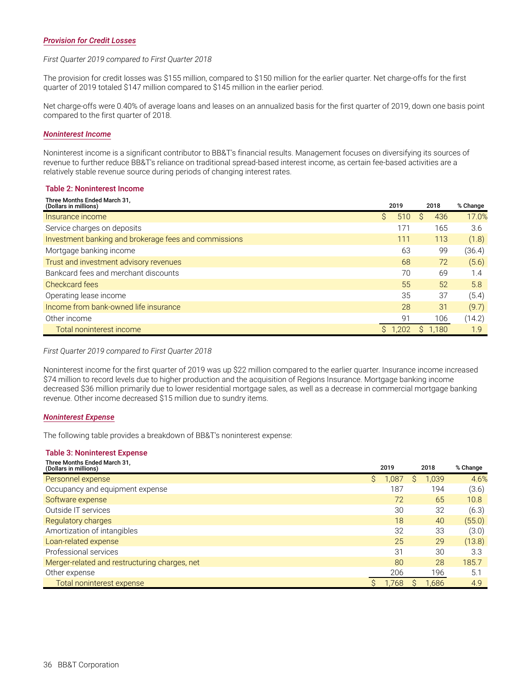#### *Provision for Credit Losses*

#### *First Quarter 2019 compared to First Quarter 2018*

The provision for credit losses was \$155 million, compared to \$150 million for the earlier quarter. Net charge-offs for the first quarter of 2019 totaled \$147 million compared to \$145 million in the earlier period.

Net charge-offs were 0.40% of average loans and leases on an annualized basis for the first quarter of 2019, down one basis point compared to the first quarter of 2018.

#### *Noninterest Income*

Noninterest income is a significant contributor to BB&T's financial results. Management focuses on diversifying its sources of revenue to further reduce BB&T's reliance on traditional spread-based interest income, as certain fee-based activities are a relatively stable revenue source during periods of changing interest rates.

#### **Table 2: Noninterest Income**

| Three Months Ended March 31,<br>(Dollars in millions) | 2019     | 2018     | % Change |
|-------------------------------------------------------|----------|----------|----------|
| Insurance income                                      | S<br>510 | 436<br>S | 17.0%    |
| Service charges on deposits                           | 171      | 165      | 3.6      |
| Investment banking and brokerage fees and commissions | 111      | 113      | (1.8)    |
| Mortgage banking income                               | 63       | 99       | (36.4)   |
| Trust and investment advisory revenues                | 68       | 72       | (5.6)    |
| Bankcard fees and merchant discounts                  | 70       | 69       | 1.4      |
| Checkcard fees                                        | 55       | 52       | 5.8      |
| Operating lease income                                | 35       | 37       | (5.4)    |
| Income from bank-owned life insurance                 | 28       | 31       | (9.7)    |
| Other income                                          | 91       | 106      | (14.2)   |
| Total noninterest income                              | 1,202    | 1.180    | 1.9      |

#### *First Quarter 2019 compared to First Quarter 2018*

Noninterest income for the first quarter of 2019 was up \$22 million compared to the earlier quarter. Insurance income increased \$74 million to record levels due to higher production and the acquisition of Regions Insurance. Mortgage banking income decreased \$36 million primarily due to lower residential mortgage sales, as well as a decrease in commercial mortgage banking revenue. Other income decreased \$15 million due to sundry items.

#### *Noninterest Expense*

**Table 3: Noninterest Expense**

The following table provides a breakdown of BB&T's noninterest expense:

| Table 3: Noninterest Expense                          |   |      |   |       |          |
|-------------------------------------------------------|---|------|---|-------|----------|
| Three Months Ended March 31,<br>(Dollars in millions) |   | 2019 |   | 2018  | % Change |
| Personnel expense                                     | S | .087 | S | 1,039 | 4.6%     |
| Occupancy and equipment expense                       |   | 187  |   | 194   | (3.6)    |
| Software expense                                      |   | 72   |   | 65    | 10.8     |
| Outside IT services                                   |   | 30   |   | 32    | (6.3)    |
| Regulatory charges                                    |   | 18   |   | 40    | (55.0)   |
| Amortization of intangibles                           |   | 32   |   | 33    | (3.0)    |
| Loan-related expense                                  |   | 25   |   | 29    | (13.8)   |
| Professional services                                 |   | 31   |   | 30    | 3.3      |
| Merger-related and restructuring charges, net         |   | 80   |   | 28    | 185.7    |
| Other expense                                         |   | 206  |   | 196   | 5.1      |
| Total noninterest expense                             |   | .768 |   | 1,686 | 4.9      |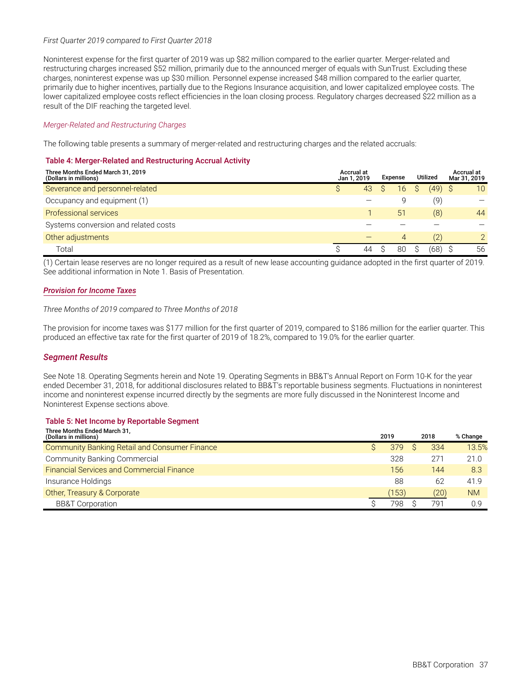#### *First Quarter 2019 compared to First Quarter 2018*

Noninterest expense for the first quarter of 2019 was up \$82 million compared to the earlier quarter. Merger-related and restructuring charges increased \$52 million, primarily due to the announced merger of equals with SunTrust. Excluding these charges, noninterest expense was up \$30 million. Personnel expense increased \$48 million compared to the earlier quarter, primarily due to higher incentives, partially due to the Regions Insurance acquisition, and lower capitalized employee costs. The lower capitalized employee costs reflect efficiencies in the loan closing process. Regulatory charges decreased \$22 million as a result of the DIF reaching the targeted level.

#### *Merger-Related and Restructuring Charges*

The following table presents a summary of merger-related and restructuring charges and the related accruals:

#### **Table 4: Merger-Related and Restructuring Accrual Activity**

| Three Months Ended March 31, 2019<br>(Dollars in millions) | Accrual at<br>Jan 1, 2019 |    |   | Expense |              | Utilized  | Accrual at<br>Mar 31, 2019 |                |  |
|------------------------------------------------------------|---------------------------|----|---|---------|--------------|-----------|----------------------------|----------------|--|
| Severance and personnel-related                            |                           | 43 | Ŝ | 16      | <sub>S</sub> | $(49)$ \$ |                            | 10             |  |
| Occupancy and equipment (1)                                |                           |    |   |         |              | (9)       |                            |                |  |
| <b>Professional services</b>                               |                           |    |   | 51      |              | (8)       |                            | 44             |  |
| Systems conversion and related costs                       |                           |    |   |         |              |           |                            |                |  |
| Other adjustments                                          |                           |    |   | 4       |              | (2)       |                            | $\overline{2}$ |  |
| Total                                                      |                           | 44 |   | 80      |              | (68)      |                            | 56             |  |

(1) Certain lease reserves are no longer required as a result of new lease accounting guidance adopted in the first quarter of 2019. See additional information in Note 1. Basis of Presentation.

#### *Provision for Income Taxes*

#### *Three Months of 2019 compared to Three Months of 2018*

The provision for income taxes was \$177 million for the first quarter of 2019, compared to \$186 million for the earlier quarter. This produced an effective tax rate for the first quarter of 2019 of 18.2%, compared to 19.0% for the earlier quarter.

#### *Segment Results*

See Note 18. Operating Segments herein and Note 19. Operating Segments in BB&T's Annual Report on Form 10-K for the year ended December 31, 2018, for additional disclosures related to BB&T's reportable business segments. Fluctuations in noninterest income and noninterest expense incurred directly by the segments are more fully discussed in the Noninterest Income and Noninterest Expense sections above.

#### **Table 5: Net Income by Reportable Segment Three Months Ended March 31,**

| Three Months Ended March 31,<br>(Dollars in millions) | 2019 |       |  | 2018 | % Change  |  |  |
|-------------------------------------------------------|------|-------|--|------|-----------|--|--|
| Community Banking Retail and Consumer Finance         |      | 379   |  | 334  | 13.5%     |  |  |
| Community Banking Commercial                          |      | 328   |  | 271  | 21.0      |  |  |
| <b>Financial Services and Commercial Finance</b>      |      | 156   |  | 144  | 8.3       |  |  |
| Insurance Holdings                                    |      | 88    |  | 62   | 41.9      |  |  |
| Other, Treasury & Corporate                           |      | (153) |  | (20) | <b>NM</b> |  |  |
| <b>BB&amp;T</b> Corporation                           |      | 798   |  | 791  | 0.9       |  |  |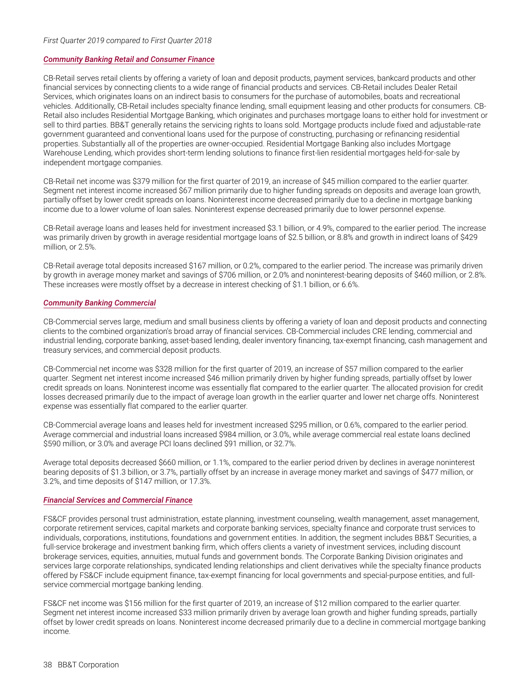#### *Community Banking Retail and Consumer Finance*

CB-Retail serves retail clients by offering a variety of loan and deposit products, payment services, bankcard products and other financial services by connecting clients to a wide range of financial products and services. CB-Retail includes Dealer Retail Services, which originates loans on an indirect basis to consumers for the purchase of automobiles, boats and recreational vehicles. Additionally, CB-Retail includes specialty finance lending, small equipment leasing and other products for consumers. CB-Retail also includes Residential Mortgage Banking, which originates and purchases mortgage loans to either hold for investment or sell to third parties. BB&T generally retains the servicing rights to loans sold. Mortgage products include fixed and adjustable-rate government guaranteed and conventional loans used for the purpose of constructing, purchasing or refinancing residential properties. Substantially all of the properties are owner-occupied. Residential Mortgage Banking also includes Mortgage Warehouse Lending, which provides short-term lending solutions to finance first-lien residential mortgages held-for-sale by independent mortgage companies.

CB-Retail net income was \$379 million for the first quarter of 2019, an increase of \$45 million compared to the earlier quarter. Segment net interest income increased \$67 million primarily due to higher funding spreads on deposits and average loan growth, partially offset by lower credit spreads on loans. Noninterest income decreased primarily due to a decline in mortgage banking income due to a lower volume of loan sales. Noninterest expense decreased primarily due to lower personnel expense.

CB-Retail average loans and leases held for investment increased \$3.1 billion, or 4.9%, compared to the earlier period. The increase was primarily driven by growth in average residential mortgage loans of \$2.5 billion, or 8.8% and growth in indirect loans of \$429 million, or 2.5%.

CB-Retail average total deposits increased \$167 million, or 0.2%, compared to the earlier period. The increase was primarily driven by growth in average money market and savings of \$706 million, or 2.0% and noninterest-bearing deposits of \$460 million, or 2.8%. These increases were mostly offset by a decrease in interest checking of \$1.1 billion, or 6.6%.

#### *Community Banking Commercial*

CB-Commercial serves large, medium and small business clients by offering a variety of loan and deposit products and connecting clients to the combined organization's broad array of financial services. CB-Commercial includes CRE lending, commercial and industrial lending, corporate banking, asset-based lending, dealer inventory financing, tax-exempt financing, cash management and treasury services, and commercial deposit products.

CB-Commercial net income was \$328 million for the first quarter of 2019, an increase of \$57 million compared to the earlier quarter. Segment net interest income increased \$46 million primarily driven by higher funding spreads, partially offset by lower credit spreads on loans. Noninterest income was essentially flat compared to the earlier quarter. The allocated provision for credit losses decreased primarily due to the impact of average loan growth in the earlier quarter and lower net charge offs. Noninterest expense was essentially flat compared to the earlier quarter.

CB-Commercial average loans and leases held for investment increased \$295 million, or 0.6%, compared to the earlier period. Average commercial and industrial loans increased \$984 million, or 3.0%, while average commercial real estate loans declined \$590 million, or 3.0% and average PCI loans declined \$91 million, or 32.7%.

Average total deposits decreased \$660 million, or 1.1%, compared to the earlier period driven by declines in average noninterest bearing deposits of \$1.3 billion, or 3.7%, partially offset by an increase in average money market and savings of \$477 million, or 3.2%, and time deposits of \$147 million, or 17.3%.

#### *Financial Services and Commercial Finance*

FS&CF provides personal trust administration, estate planning, investment counseling, wealth management, asset management, corporate retirement services, capital markets and corporate banking services, specialty finance and corporate trust services to individuals, corporations, institutions, foundations and government entities. In addition, the segment includes BB&T Securities, a full-service brokerage and investment banking firm, which offers clients a variety of investment services, including discount brokerage services, equities, annuities, mutual funds and government bonds. The Corporate Banking Division originates and services large corporate relationships, syndicated lending relationships and client derivatives while the specialty finance products offered by FS&CF include equipment finance, tax-exempt financing for local governments and special-purpose entities, and fullservice commercial mortgage banking lending.

FS&CF net income was \$156 million for the first quarter of 2019, an increase of \$12 million compared to the earlier quarter. Segment net interest income increased \$33 million primarily driven by average loan growth and higher funding spreads, partially offset by lower credit spreads on loans. Noninterest income decreased primarily due to a decline in commercial mortgage banking income.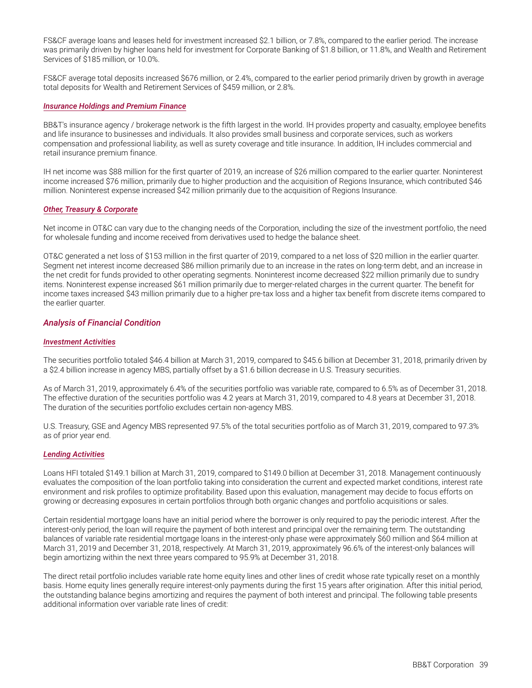FS&CF average loans and leases held for investment increased \$2.1 billion, or 7.8%, compared to the earlier period. The increase was primarily driven by higher loans held for investment for Corporate Banking of \$1.8 billion, or 11.8%, and Wealth and Retirement Services of \$185 million, or 10.0%.

FS&CF average total deposits increased \$676 million, or 2.4%, compared to the earlier period primarily driven by growth in average total deposits for Wealth and Retirement Services of \$459 million, or 2.8%.

#### *Insurance Holdings and Premium Finance*

BB&T's insurance agency / brokerage network is the fifth largest in the world. IH provides property and casualty, employee benefits and life insurance to businesses and individuals. It also provides small business and corporate services, such as workers compensation and professional liability, as well as surety coverage and title insurance. In addition, IH includes commercial and retail insurance premium finance.

IH net income was \$88 million for the first quarter of 2019, an increase of \$26 million compared to the earlier quarter. Noninterest income increased \$76 million, primarily due to higher production and the acquisition of Regions Insurance, which contributed \$46 million. Noninterest expense increased \$42 million primarily due to the acquisition of Regions Insurance.

#### *Other, Treasury & Corporate*

Net income in OT&C can vary due to the changing needs of the Corporation, including the size of the investment portfolio, the need for wholesale funding and income received from derivatives used to hedge the balance sheet.

OT&C generated a net loss of \$153 million in the first quarter of 2019, compared to a net loss of \$20 million in the earlier quarter. Segment net interest income decreased \$86 million primarily due to an increase in the rates on long-term debt, and an increase in the net credit for funds provided to other operating segments. Noninterest income decreased \$22 million primarily due to sundry items. Noninterest expense increased \$61 million primarily due to merger-related charges in the current quarter. The benefit for income taxes increased \$43 million primarily due to a higher pre-tax loss and a higher tax benefit from discrete items compared to the earlier quarter.

#### *Analysis of Financial Condition*

#### *Investment Activities*

The securities portfolio totaled \$46.4 billion at March 31, 2019, compared to \$45.6 billion at December 31, 2018, primarily driven by a \$2.4 billion increase in agency MBS, partially offset by a \$1.6 billion decrease in U.S. Treasury securities.

As of March 31, 2019, approximately 6.4% of the securities portfolio was variable rate, compared to 6.5% as of December 31, 2018. The effective duration of the securities portfolio was 4.2 years at March 31, 2019, compared to 4.8 years at December 31, 2018. The duration of the securities portfolio excludes certain non-agency MBS.

U.S. Treasury, GSE and Agency MBS represented 97.5% of the total securities portfolio as of March 31, 2019, compared to 97.3% as of prior year end.

#### *Lending Activities*

Loans HFI totaled \$149.1 billion at March 31, 2019, compared to \$149.0 billion at December 31, 2018. Management continuously evaluates the composition of the loan portfolio taking into consideration the current and expected market conditions, interest rate environment and risk profiles to optimize profitability. Based upon this evaluation, management may decide to focus efforts on growing or decreasing exposures in certain portfolios through both organic changes and portfolio acquisitions or sales.

Certain residential mortgage loans have an initial period where the borrower is only required to pay the periodic interest. After the interest-only period, the loan will require the payment of both interest and principal over the remaining term. The outstanding balances of variable rate residential mortgage loans in the interest-only phase were approximately \$60 million and \$64 million at March 31, 2019 and December 31, 2018, respectively. At March 31, 2019, approximately 96.6% of the interest-only balances will begin amortizing within the next three years compared to 95.9% at December 31, 2018.

The direct retail portfolio includes variable rate home equity lines and other lines of credit whose rate typically reset on a monthly basis. Home equity lines generally require interest-only payments during the first 15 years after origination. After this initial period, the outstanding balance begins amortizing and requires the payment of both interest and principal. The following table presents additional information over variable rate lines of credit: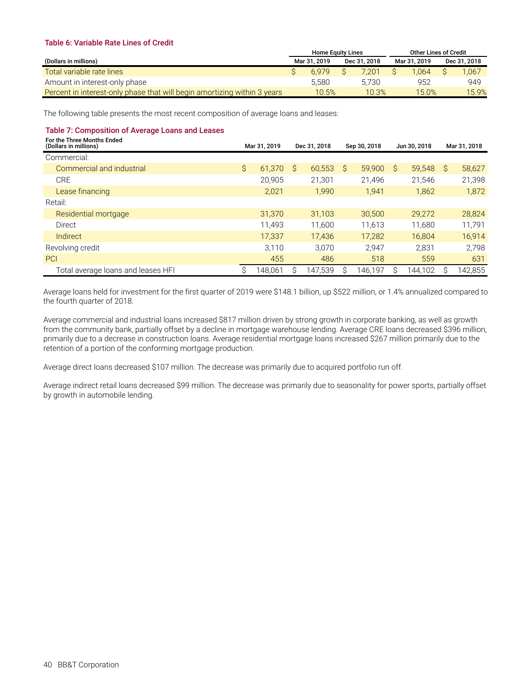#### **Table 6: Variable Rate Lines of Credit**

|                                                                          | <b>Home Equity Lines</b>     |       |  |              | <b>Other Lines of Credit</b> |              |       |
|--------------------------------------------------------------------------|------------------------------|-------|--|--------------|------------------------------|--------------|-------|
| (Dollars in millions)                                                    | Dec 31, 2018<br>Mar 31, 2019 |       |  | Mar 31, 2019 |                              | Dec 31, 2018 |       |
| Total variable rate lines                                                |                              | 6.979 |  | 7.201        | .064                         |              | 1.067 |
| Amount in interest-only phase                                            |                              | 5.580 |  | 5.730        | 952                          |              | 949   |
| Percent in interest-only phase that will begin amortizing within 3 years |                              | 10.5% |  | 10.3%        | 15.0%                        |              | 15.9% |

The following table presents the most recent composition of average loans and leases:

#### **Table 7: Composition of Average Loans and Leases**

| For the Three Months Ended<br>(Dollars in millions) |              | Mar 31, 2019<br>Dec 31, 2018 |   | Sep 30, 2018 |   | Jun 30, 2018 |   |        | Mar 31, 2018 |         |
|-----------------------------------------------------|--------------|------------------------------|---|--------------|---|--------------|---|--------|--------------|---------|
| Commercial:                                         |              |                              |   |              |   |              |   |        |              |         |
| Commercial and industrial                           | $\mathsf{S}$ | 61.370                       | Ŝ | 60,553       | S | 59,900       | Ŝ | 59.548 | <sub>S</sub> | 58,627  |
| CRE                                                 |              | 20.905                       |   | 21.301       |   | 21.496       |   | 21.546 |              | 21,398  |
| Lease financing                                     |              | 2,021                        |   | 1.990        |   | 1.941        |   | 1.862  |              | 1,872   |
| Retail:                                             |              |                              |   |              |   |              |   |        |              |         |
| Residential mortgage                                |              | 31.370                       |   | 31.103       |   | 30.500       |   | 29,272 |              | 28,824  |
| Direct                                              |              | 11.493                       |   | 11.600       |   | 11.613       |   | 11.680 |              | 11,791  |
| Indirect                                            |              | 17,337                       |   | 17.436       |   | 17.282       |   | 16.804 |              | 16,914  |
| Revolving credit                                    |              | 3.110                        |   | 3.070        |   | 2.947        |   | 2.831  |              | 2.798   |
| PCI                                                 |              | 455                          |   | 486          |   | 518          |   | 559    |              | 631     |
| Total average loans and leases HFI                  |              | 148.061                      |   | 147.539      |   | 146.197      |   | 44.102 |              | 142,855 |

Average loans held for investment for the first quarter of 2019 were \$148.1 billion, up \$522 million, or 1.4% annualized compared to the fourth quarter of 2018.

Average commercial and industrial loans increased \$817 million driven by strong growth in corporate banking, as well as growth from the community bank, partially offset by a decline in mortgage warehouse lending. Average CRE loans decreased \$396 million, primarily due to a decrease in construction loans. Average residential mortgage loans increased \$267 million primarily due to the retention of a portion of the conforming mortgage production.

Average direct loans decreased \$107 million. The decrease was primarily due to acquired portfolio run off.

Average indirect retail loans decreased \$99 million. The decrease was primarily due to seasonality for power sports, partially offset by growth in automobile lending.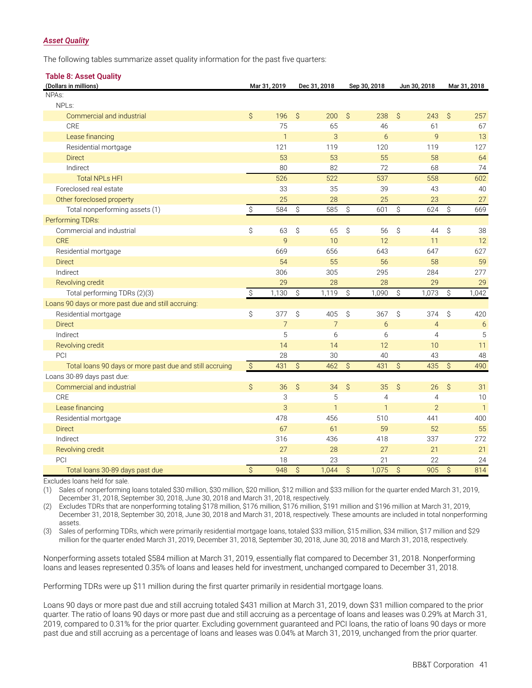#### *Asset Quality*

The following tables summarize asset quality information for the past five quarters:

| <b>Table 8: Asset Quality</b>                           |                          |                |              |                |              |                |               |                |                           |              |
|---------------------------------------------------------|--------------------------|----------------|--------------|----------------|--------------|----------------|---------------|----------------|---------------------------|--------------|
| (Dollars in millions)                                   |                          | Mar 31, 2019   |              | Dec 31, 2018   |              | Sep 30, 2018   |               | Jun 30, 2018   |                           | Mar 31, 2018 |
| NPAs:                                                   |                          |                |              |                |              |                |               |                |                           |              |
| NPLs:                                                   |                          |                |              |                |              |                |               |                |                           |              |
| Commercial and industrial                               | $\mathsf{S}$             | 196            | $\mathsf{S}$ | 200            | $\mathsf{S}$ | 238            | $\mathcal{S}$ | 243            | \$                        | 257          |
| <b>CRE</b>                                              |                          | 75             |              | 65             |              | 46             |               | 61             |                           | 67           |
| Lease financing                                         |                          | $\overline{1}$ |              | 3              |              | 6              |               | 9              |                           | 13           |
| Residential mortgage                                    |                          | 121            |              | 119            |              | 120            |               | 119            |                           | 127          |
| <b>Direct</b>                                           |                          | 53             |              | 53             |              | 55             |               | 58             |                           | 64           |
| Indirect                                                |                          | 80             |              | 82             |              | 72             |               | 68             |                           | 74           |
| <b>Total NPLs HFI</b>                                   |                          | 526            |              | 522            |              | 537            |               | 558            |                           | 602          |
| Foreclosed real estate                                  |                          | 33             |              | 35             |              | 39             |               | 43             |                           | 40           |
| Other foreclosed property                               |                          | 25             |              | 28             |              | 25             |               | 23             |                           | 27           |
| Total nonperforming assets (1)                          | $\overline{\mathcal{S}}$ | 584            | $\hat{S}$    | 585            | \$           | 601            | \$            | 624            | \$                        | 669          |
| Performing TDRs:                                        |                          |                |              |                |              |                |               |                |                           |              |
| Commercial and industrial                               | \$                       | 63             | Ŝ            | 65             | Ŝ            | 56             | Ŝ.            | 44             | $\boldsymbol{\mathsf{S}}$ | 38           |
| <b>CRE</b>                                              |                          | 9              |              | 10             |              | 12             |               | 11             |                           | 12           |
| Residential mortgage                                    |                          | 669            |              | 656            |              | 643            |               | 647            |                           | 627          |
| <b>Direct</b>                                           |                          | 54             |              | 55             |              | 56             |               | 58             |                           | 59           |
| Indirect                                                |                          | 306            |              | 305            |              | 295            |               | 284            |                           | 277          |
| Revolving credit                                        |                          | 29             |              | 28             |              | 28             |               | 29             |                           | 29           |
| Total performing TDRs (2)(3)                            | $\mathsf{S}$             | 1,130          | \$           | 1,119          | \$           | 1,090          | \$            | 1,073          | \$                        | 1,042        |
| Loans 90 days or more past due and still accruing:      |                          |                |              |                |              |                |               |                |                           |              |
| Residential mortgage                                    | \$                       | 377            | Ŝ            | 405            | \$           | 367            | Ŝ             | 374            | Ŝ                         | 420          |
| <b>Direct</b>                                           |                          | $\overline{7}$ |              | $\overline{7}$ |              | 6              |               | $\overline{4}$ |                           | 6            |
| Indirect                                                |                          | 5              |              | 6              |              | 6              |               | $\overline{4}$ |                           | 5            |
| Revolving credit                                        |                          | 14             |              | 14             |              | 12             |               | 10             |                           | 11           |
| PCI                                                     |                          | 28             |              | 30             |              | 40             |               | 43             |                           | 48           |
| Total loans 90 days or more past due and still accruing | $\mathcal{S}$            | 431            | $\hat{S}$    | 462            | $\hat{S}$    | 431            | \$            | 435            | \$                        | 490          |
| Loans 30-89 days past due:                              |                          |                |              |                |              |                |               |                |                           |              |
| Commercial and industrial                               | $\mathsf{S}$             | 36             | $\mathsf{S}$ | 34             | $\mathsf{S}$ | 35             | $\mathsf{S}$  | 26             | $\mathsf{S}$              | 31           |
| CRE                                                     |                          | 3              |              | 5              |              | $\overline{4}$ |               | $\overline{4}$ |                           | 10           |
| Lease financing                                         |                          | 3              |              | $\mathbf{1}$   |              | $\mathbf{1}$   |               | $\overline{2}$ |                           | $\mathbf{1}$ |
| Residential mortgage                                    |                          | 478            |              | 456            |              | 510            |               | 441            |                           | 400          |
| <b>Direct</b>                                           |                          | 67             |              | 61             |              | 59             |               | 52             |                           | 55           |
| Indirect                                                |                          | 316            |              | 436            |              | 418            |               | 337            |                           | 272          |
| Revolving credit                                        |                          | 27             |              | 28             |              | 27             |               | 21             |                           | 21           |
| PCI                                                     |                          | 18             |              | 23             |              | 21             |               | 22             |                           | 24           |
| Total loans 30-89 days past due                         | $\mathsf{S}$             | 948            | $\mathsf{S}$ | 1,044          | $\hat{S}$    | 1,075          | \$            | 905            | \$                        | 814          |

Excludes loans held for sale.

(1) Sales of nonperforming loans totaled \$30 million, \$30 million, \$20 million, \$12 million and \$33 million for the quarter ended March 31, 2019, December 31, 2018, September 30, 2018, June 30, 2018 and March 31, 2018, respectively.

(2) Excludes TDRs that are nonperforming totaling \$178 million, \$176 million, \$176 million, \$191 million and \$196 million at March 31, 2019, December 31, 2018, September 30, 2018, June 30, 2018 and March 31, 2018, respectively. These amounts are included in total nonperforming assets.

(3) Sales of performing TDRs, which were primarily residential mortgage loans, totaled \$33 million, \$15 million, \$34 million, \$17 million and \$29 million for the quarter ended March 31, 2019, December 31, 2018, September 30, 2018, June 30, 2018 and March 31, 2018, respectively.

Nonperforming assets totaled \$584 million at March 31, 2019, essentially flat compared to December 31, 2018. Nonperforming loans and leases represented 0.35% of loans and leases held for investment, unchanged compared to December 31, 2018.

Performing TDRs were up \$11 million during the first quarter primarily in residential mortgage loans.

Loans 90 days or more past due and still accruing totaled \$431 million at March 31, 2019, down \$31 million compared to the prior quarter. The ratio of loans 90 days or more past due and still accruing as a percentage of loans and leases was 0.29% at March 31, 2019, compared to 0.31% for the prior quarter. Excluding government guaranteed and PCI loans, the ratio of loans 90 days or more past due and still accruing as a percentage of loans and leases was 0.04% at March 31, 2019, unchanged from the prior quarter.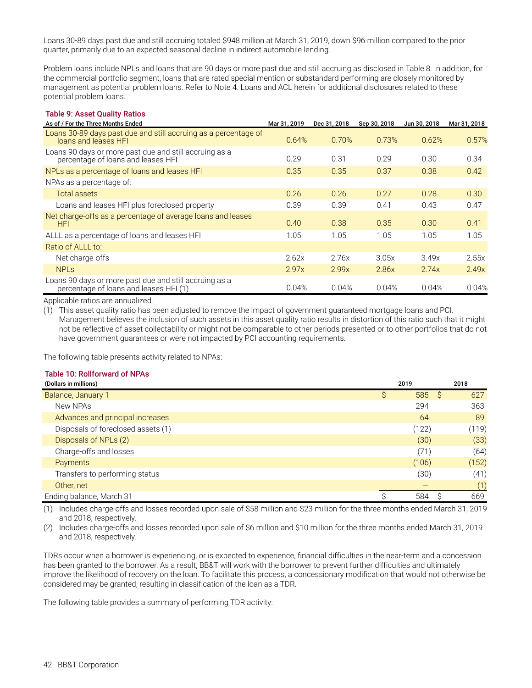Loans 30-89 days past due and still accruing totaled \$948 million at March 31, 2019, down \$96 million compared to the prior quarter, primarily due to an expected seasonal decline in indirect automobile lending.

Problem loans include NPLs and loans that are 90 days or more past due and still accruing as disclosed in Table 8. In addition, for the commercial portfolio segment, loans that are rated special mention or substandard performing are closely monitored by management as potential problem loans. Refer to Note 4. Loans and ACL herein for additional disclosures related to these potential problem loans.

| <b>Table 9: Asset Quality Ratios</b>                                                             |              |              |              |              |              |
|--------------------------------------------------------------------------------------------------|--------------|--------------|--------------|--------------|--------------|
| As of / For the Three Months Ended                                                               | Mar 31, 2019 | Dec 31, 2018 | Sep 30, 2018 | Jun 30, 2018 | Mar 31, 2018 |
| Loans 30-89 days past due and still accruing as a percentage of<br>loans and leases HFI          | 0.64%        | 0.70%        | 0.73%        | 0.62%        | 0.57%        |
| Loans 90 days or more past due and still accruing as a<br>percentage of loans and leases HFI     | 0.29         | 0.31         | 0.29         | 0.30         | 0.34         |
| NPLs as a percentage of loans and leases HFI                                                     | 0.35         | 0.35         | 0.37         | 0.38         | 0.42         |
| NPAs as a percentage of:                                                                         |              |              |              |              |              |
| <b>Total assets</b>                                                                              | 0.26         | 0.26         | 0.27         | 0.28         | 0.30         |
| Loans and leases HFI plus foreclosed property                                                    | 0.39         | 0.39         | 0.41         | 0.43         | 0.47         |
| Net charge-offs as a percentage of average loans and leases<br>HEI                               | 0.40         | 0.38         | 0.35         | 0.30         | 0.41         |
| ALLL as a percentage of loans and leases HFI                                                     | 1.05         | 1.05         | 1.05         | 1.05         | 1.05         |
| Ratio of ALLL to:                                                                                |              |              |              |              |              |
| Net charge-offs                                                                                  | 2.62x        | 2.76x        | 3.05x        | 3.49x        | 2.55x        |
| <b>NPL<sub>s</sub></b>                                                                           | 2.97x        | 2.99x        | 2.86x        | 2.74x        | 2.49x        |
| Loans 90 days or more past due and still accruing as a<br>percentage of loans and leases HFI (1) | 0.04%        | 0.04%        | 0.04%        | 0.04%        | 0.04%        |

Applicable ratios are annualized.

(1) This asset quality ratio has been adjusted to remove the impact of government guaranteed mortgage loans and PCI. Management believes the inclusion of such assets in this asset quality ratio results in distortion of this ratio such that it might not be reflective of asset collectability or might not be comparable to other periods presented or to other portfolios that do not have government guarantees or were not impacted by PCI accounting requirements.

The following table presents activity related to NPAs:

## **Table 10: Rollforward of NPAs**

| (Dollars in millions)              | 2019     | 2018       |
|------------------------------------|----------|------------|
| Balance, January 1                 | 585<br>S | 627<br>- S |
| New NPAs                           | 294      | 363        |
| Advances and principal increases   | 64       | 89         |
| Disposals of foreclosed assets (1) | (122)    | (119)      |
| Disposals of NPLs (2)              | (30)     | (33)       |
| Charge-offs and losses             | (71)     | (64)       |
| Payments                           | (106)    | (152)      |
| Transfers to performing status     | (30)     | (41)       |
| Other, net                         |          | (1)        |
| Ending balance, March 31           | 584      | 669        |

(1) Includes charge-offs and losses recorded upon sale of \$58 million and \$23 million for the three months ended March 31, 2019 and 2018, respectively.

(2) Includes charge-offs and losses recorded upon sale of \$6 million and \$10 million for the three months ended March 31, 2019 and 2018, respectively.

TDRs occur when a borrower is experiencing, or is expected to experience, financial difficulties in the near-term and a concession has been granted to the borrower. As a result, BB&T will work with the borrower to prevent further difficulties and ultimately improve the likelihood of recovery on the loan. To facilitate this process, a concessionary modification that would not otherwise be considered may be granted, resulting in classification of the loan as a TDR.

The following table provides a summary of performing TDR activity: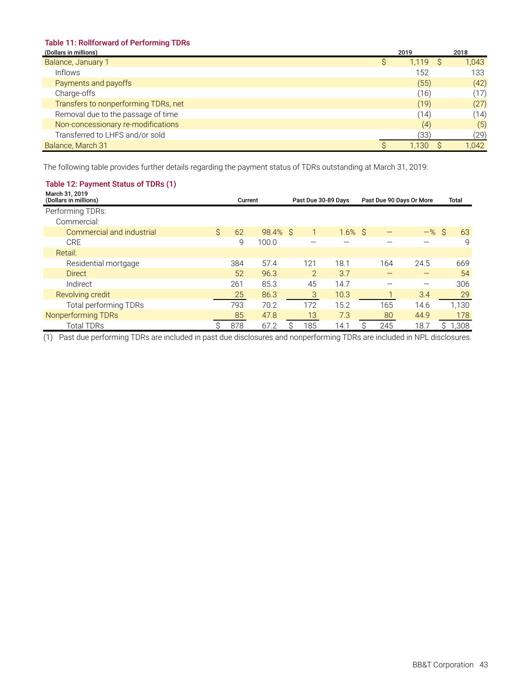#### **Table 11: Rollforward of Performing TDRs**

| (Dollars in millions) |  |  |
|-----------------------|--|--|

| (Dollars in millions)                | 2019  | 2018  |
|--------------------------------------|-------|-------|
| Balance, January 1                   | 1,119 | 1,043 |
| <b>Inflows</b>                       | 152   | 133   |
| Payments and payoffs                 | (55)  | (42)  |
| Charge-offs                          | (16)  | (17)  |
| Transfers to nonperforming TDRs, net | (19)  | (27)  |
| Removal due to the passage of time   | (14)  | (14)  |
| Non-concessionary re-modifications   | (4)   | (5)   |
| Transferred to LHFS and/or sold      | (33)  | (29)  |
| Balance, March 31                    | 1.130 | 1.042 |

The following table provides further details regarding the payment status of TDRs outstanding at March 31, 2019:

## **Table 12: Payment Status of TDRs (1)**

| March 31, 2019<br>(Dollars in millions) |    | Current |          |  | Past Due 30-89 Days |            |  | Past Due 90 Days Or More | <b>Total</b> |  |       |
|-----------------------------------------|----|---------|----------|--|---------------------|------------|--|--------------------------|--------------|--|-------|
| Performing TDRs:                        |    |         |          |  |                     |            |  |                          |              |  |       |
| Commercial:                             |    |         |          |  |                     |            |  |                          |              |  |       |
| Commercial and industrial               | \$ | 62      | 98.4% \$ |  |                     | $1.6\%$ \$ |  |                          | $-$ % \$     |  | 63    |
| <b>CRE</b>                              |    | 9       | 100.0    |  |                     |            |  |                          |              |  | 9     |
| Retail:                                 |    |         |          |  |                     |            |  |                          |              |  |       |
| Residential mortgage                    |    | 384     | 57.4     |  | 121                 | 18.1       |  | 164                      | 24.5         |  | 669   |
| <b>Direct</b>                           |    | 52      | 96.3     |  | $\overline{2}$      | 3.7        |  | —                        | _            |  | 54    |
| Indirect                                |    | 261     | 85.3     |  | 45                  | 14.7       |  |                          |              |  | 306   |
| Revolving credit                        |    | 25      | 86.3     |  | 3                   | 10.3       |  |                          | 3.4          |  | 29    |
| Total performing TDRs                   |    | 793     | 70.2     |  | 172                 | 15.2       |  | 165                      | 14.6         |  | 1,130 |
| Nonperforming TDRs                      |    | 85      | 47.8     |  | 13                  | 7.3        |  | 80                       | 44.9         |  | 178   |
| <b>Total TDRs</b>                       | ς  | 878     | 67.2     |  | 185                 | 14.1       |  | 245                      | 18.7         |  | ,308  |

(1) Past due performing TDRs are included in past due disclosures and nonperforming TDRs are included in NPL disclosures.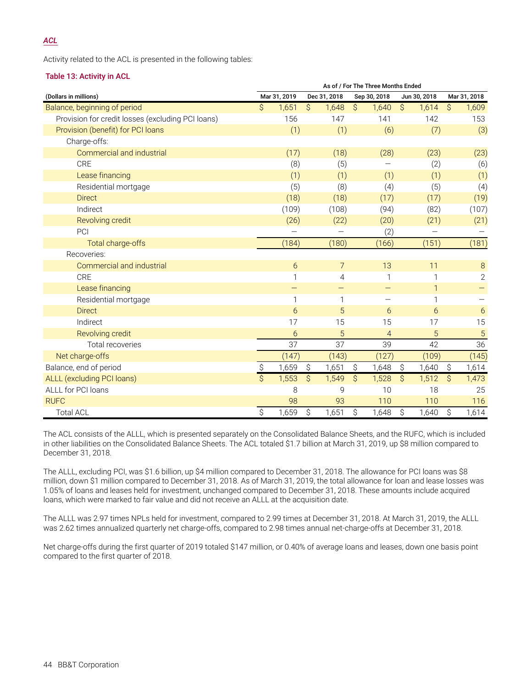#### *ACL*

Activity related to the ACL is presented in the following tables:

#### **Table 13: Activity in ACL**

|                                                   | As of / For The Three Months Ended |                 |                       |                |                       |                |  |  |  |
|---------------------------------------------------|------------------------------------|-----------------|-----------------------|----------------|-----------------------|----------------|--|--|--|
| (Dollars in millions)                             |                                    | Mar 31, 2019    | Dec 31, 2018          | Sep 30, 2018   | Jun 30, 2018          | Mar 31, 2018   |  |  |  |
| Balance, beginning of period                      | Ś.                                 | 1,651           | Ŝ.<br>1,648           | 1,640<br>Ŝ.    | \$<br>1,614           | \$<br>1,609    |  |  |  |
| Provision for credit losses (excluding PCI loans) |                                    | 156             | 147                   | 141            | 142                   | 153            |  |  |  |
| Provision (benefit) for PCI loans                 |                                    | (1)             | (1)                   | (6)            | (7)                   | (3)            |  |  |  |
| Charge-offs:                                      |                                    |                 |                       |                |                       |                |  |  |  |
| Commercial and industrial                         |                                    | (17)            | (18)                  | (28)           | (23)                  | (23)           |  |  |  |
| <b>CRE</b>                                        |                                    | (8)             | (5)                   |                | (2)                   | (6)            |  |  |  |
| Lease financing                                   |                                    | (1)             | (1)                   | (1)            | (1)                   | (1)            |  |  |  |
| Residential mortgage                              |                                    | (5)             | (8)                   | (4)            | (5)                   | (4)            |  |  |  |
| <b>Direct</b>                                     |                                    | (18)            | (18)                  | (17)           | (17)                  | (19)           |  |  |  |
| Indirect                                          |                                    | (109)           | (108)                 | (94)           | (82)                  | (107)          |  |  |  |
| Revolving credit                                  |                                    | (26)            | (22)                  | (20)           | (21)                  | (21)           |  |  |  |
| PCI                                               |                                    |                 |                       | (2)            |                       |                |  |  |  |
| Total charge-offs                                 |                                    | (184)           | (180)                 | (166)          | (151)                 | (181)          |  |  |  |
| Recoveries:                                       |                                    |                 |                       |                |                       |                |  |  |  |
| Commercial and industrial                         |                                    | $6\phantom{1}6$ | $\overline{7}$        | 13             | 11                    | $\mathbf{8}$   |  |  |  |
| CRE                                               |                                    | 1               | 4                     | 1              | 1                     | $\overline{2}$ |  |  |  |
| Lease financing                                   |                                    |                 | —                     | -              | $\mathbf{1}$          |                |  |  |  |
| Residential mortgage                              |                                    | 1               | 1                     |                | 1                     |                |  |  |  |
| <b>Direct</b>                                     |                                    | 6               | 5                     | 6              | 6                     | 6              |  |  |  |
| Indirect                                          |                                    | 17              | 15                    | 15             | 17                    | 15             |  |  |  |
| Revolving credit                                  |                                    | 6               | 5                     | $\overline{4}$ | 5                     | 5              |  |  |  |
| Total recoveries                                  |                                    | 37              | 37                    | 39             | 42                    | 36             |  |  |  |
| Net charge-offs                                   |                                    | (147)           | (143)                 | (127)          | (109)                 | (145)          |  |  |  |
| Balance, end of period                            | \$                                 | 1,659           | \$<br>1,651           | \$<br>1,648    | \$<br>1,640           | \$<br>1,614    |  |  |  |
| ALLL (excluding PCI loans)                        | $\overline{\mathsf{S}}$            | 1,553           | $\mathsf{S}$<br>1,549 | \$<br>1,528    | $\mathsf{S}$<br>1,512 | \$<br>1,473    |  |  |  |
| ALLL for PCI loans                                |                                    | 8               | 9                     | 10             | 18                    | 25             |  |  |  |
| <b>RUFC</b>                                       |                                    | 98              | 93                    | 110            | 110                   | 116            |  |  |  |
| <b>Total ACL</b>                                  | $\hat{\mathcal{S}}$                | 1,659           | 1,651<br>\$           | \$<br>1,648    | \$<br>1,640           | \$<br>1,614    |  |  |  |

The ACL consists of the ALLL, which is presented separately on the Consolidated Balance Sheets, and the RUFC, which is included in other liabilities on the Consolidated Balance Sheets. The ACL totaled \$1.7 billion at March 31, 2019, up \$8 million compared to December 31, 2018.

The ALLL, excluding PCI, was \$1.6 billion, up \$4 million compared to December 31, 2018. The allowance for PCI loans was \$8 million, down \$1 million compared to December 31, 2018. As of March 31, 2019, the total allowance for loan and lease losses was 1.05% of loans and leases held for investment, unchanged compared to December 31, 2018. These amounts include acquired loans, which were marked to fair value and did not receive an ALLL at the acquisition date.

The ALLL was 2.97 times NPLs held for investment, compared to 2.99 times at December 31, 2018. At March 31, 2019, the ALLL was 2.62 times annualized quarterly net charge-offs, compared to 2.98 times annual net-charge-offs at December 31, 2018.

Net charge-offs during the first quarter of 2019 totaled \$147 million, or 0.40% of average loans and leases, down one basis point compared to the first quarter of 2018.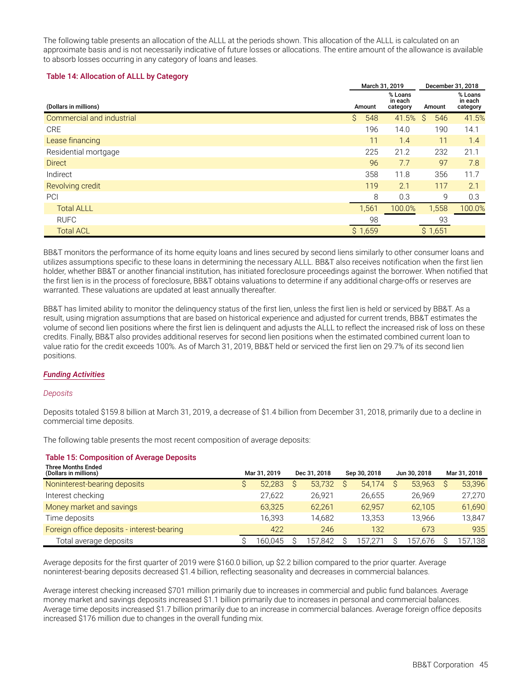The following table presents an allocation of the ALLL at the periods shown. This allocation of the ALLL is calculated on an approximate basis and is not necessarily indicative of future losses or allocations. The entire amount of the allowance is available to absorb losses occurring in any category of loans and leases.

#### **Table 14: Allocation of ALLL by Category**

|                           | March 31, 2019 |       |                                |          | December 31, 2018              |
|---------------------------|----------------|-------|--------------------------------|----------|--------------------------------|
| (Dollars in millions)     | Amount         |       | % Loans<br>in each<br>category | Amount   | % Loans<br>in each<br>category |
| Commercial and industrial | \$             | 548   | 41.5%                          | 546<br>S | 41.5%                          |
| <b>CRE</b>                |                | 196   | 14.0                           | 190      | 14.1                           |
| Lease financing           |                | 11    | 1.4                            | 11       | 1.4                            |
| Residential mortgage      |                | 225   | 21.2                           | 232      | 21.1                           |
| <b>Direct</b>             |                | 96    | 7.7                            | 97       | 7.8                            |
| Indirect                  |                | 358   | 11.8                           | 356      | 11.7                           |
| Revolving credit          |                | 119   | 2.1                            | 117      | 2.1                            |
| PCI                       |                | 8     | 0.3                            | 9        | 0.3                            |
| <b>Total ALLL</b>         |                | 1,561 | 100.0%                         | 1,558    | 100.0%                         |
| <b>RUFC</b>               |                | 98    |                                | 93       |                                |
| <b>Total ACL</b>          | \$1,659        |       |                                | \$1,651  |                                |

BB&T monitors the performance of its home equity loans and lines secured by second liens similarly to other consumer loans and utilizes assumptions specific to these loans in determining the necessary ALLL. BB&T also receives notification when the first lien holder, whether BB&T or another financial institution, has initiated foreclosure proceedings against the borrower. When notified that the first lien is in the process of foreclosure, BB&T obtains valuations to determine if any additional charge-offs or reserves are warranted. These valuations are updated at least annually thereafter.

BB&T has limited ability to monitor the delinquency status of the first lien, unless the first lien is held or serviced by BB&T. As a result, using migration assumptions that are based on historical experience and adjusted for current trends, BB&T estimates the volume of second lien positions where the first lien is delinquent and adjusts the ALLL to reflect the increased risk of loss on these credits. Finally, BB&T also provides additional reserves for second lien positions when the estimated combined current loan to value ratio for the credit exceeds 100%. As of March 31, 2019, BB&T held or serviced the first lien on 29.7% of its second lien positions.

#### *Funding Activities*

#### *Deposits*

Deposits totaled \$159.8 billion at March 31, 2019, a decrease of \$1.4 billion from December 31, 2018, primarily due to a decline in commercial time deposits.

The following table presents the most recent composition of average deposits:

#### **Table 15: Composition of Average Deposits**

| Three Months Ended<br>(Dollars in millions) | Mar 31, 2019 | Dec 31, 2018 |         |  |         | Sep 30, 2018 |         | Jun 30, 2018 |  | Mar 31, 2018 |  |
|---------------------------------------------|--------------|--------------|---------|--|---------|--------------|---------|--------------|--|--------------|--|
| Noninterest-bearing deposits                | 52,283       |              | 53.732  |  | 54.174  |              | 53.963  | 53,396       |  |              |  |
| Interest checking                           | 27,622       |              | 26.921  |  | 26.655  |              | 26.969  | 27,270       |  |              |  |
| Money market and savings                    | 63.325       |              | 62.261  |  | 62.957  |              | 62.105  | 61,690       |  |              |  |
| Time deposits                               | 16.393       |              | 14.682  |  | 13.353  |              | 13.966  | 13,847       |  |              |  |
| Foreign office deposits - interest-bearing  | 422          |              | 246     |  | 132     |              | 673     | 935          |  |              |  |
| Total average deposits                      | 160.045      |              | 157.842 |  | 157.271 |              | 157.676 | 57.138       |  |              |  |

Average deposits for the first quarter of 2019 were \$160.0 billion, up \$2.2 billion compared to the prior quarter. Average noninterest-bearing deposits decreased \$1.4 billion, reflecting seasonality and decreases in commercial balances.

Average interest checking increased \$701 million primarily due to increases in commercial and public fund balances. Average money market and savings deposits increased \$1.1 billion primarily due to increases in personal and commercial balances. Average time deposits increased \$1.7 billion primarily due to an increase in commercial balances. Average foreign office deposits increased \$176 million due to changes in the overall funding mix.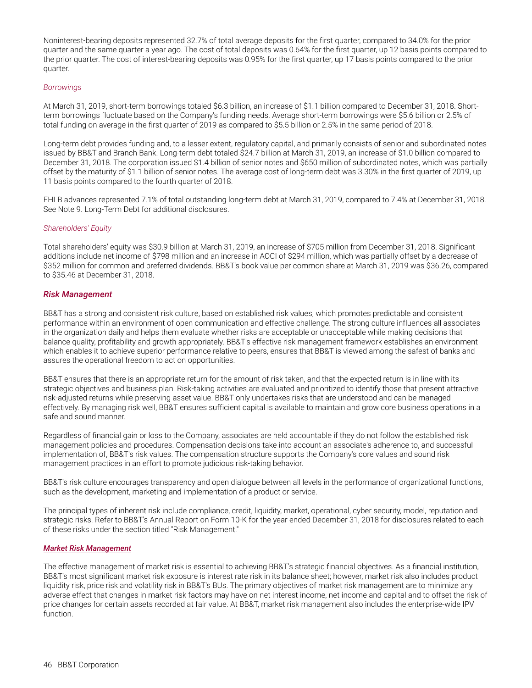<span id="page-47-0"></span>Noninterest-bearing deposits represented 32.7% of total average deposits for the first quarter, compared to 34.0% for the prior quarter and the same quarter a year ago. The cost of total deposits was 0.64% for the first quarter, up 12 basis points compared to the prior quarter. The cost of interest-bearing deposits was 0.95% for the first quarter, up 17 basis points compared to the prior quarter.

#### *Borrowings*

At March 31, 2019, short-term borrowings totaled \$6.3 billion, an increase of \$1.1 billion compared to December 31, 2018. Shortterm borrowings fluctuate based on the Company's funding needs. Average short-term borrowings were \$5.6 billion or 2.5% of total funding on average in the first quarter of 2019 as compared to \$5.5 billion or 2.5% in the same period of 2018.

Long-term debt provides funding and, to a lesser extent, regulatory capital, and primarily consists of senior and subordinated notes issued by BB&T and Branch Bank. Long-term debt totaled \$24.7 billion at March 31, 2019, an increase of \$1.0 billion compared to December 31, 2018. The corporation issued \$1.4 billion of senior notes and \$650 million of subordinated notes, which was partially offset by the maturity of \$1.1 billion of senior notes. The average cost of long-term debt was 3.30% in the first quarter of 2019, up 11 basis points compared to the fourth quarter of 2018.

FHLB advances represented 7.1% of total outstanding long-term debt at March 31, 2019, compared to 7.4% at December 31, 2018. See Note 9. Long-Term Debt for additional disclosures.

#### *Shareholders' Equity*

Total shareholders' equity was \$30.9 billion at March 31, 2019, an increase of \$705 million from December 31, 2018. Significant additions include net income of \$798 million and an increase in AOCI of \$294 million, which was partially offset by a decrease of \$352 million for common and preferred dividends. BB&T's book value per common share at March 31, 2019 was \$36.26, compared to \$35.46 at December 31, 2018.

#### *Risk Management*

BB&T has a strong and consistent risk culture, based on established risk values, which promotes predictable and consistent performance within an environment of open communication and effective challenge. The strong culture influences all associates in the organization daily and helps them evaluate whether risks are acceptable or unacceptable while making decisions that balance quality, profitability and growth appropriately. BB&T's effective risk management framework establishes an environment which enables it to achieve superior performance relative to peers, ensures that BB&T is viewed among the safest of banks and assures the operational freedom to act on opportunities.

BB&T ensures that there is an appropriate return for the amount of risk taken, and that the expected return is in line with its strategic objectives and business plan. Risk-taking activities are evaluated and prioritized to identify those that present attractive risk-adjusted returns while preserving asset value. BB&T only undertakes risks that are understood and can be managed effectively. By managing risk well, BB&T ensures sufficient capital is available to maintain and grow core business operations in a safe and sound manner.

Regardless of financial gain or loss to the Company, associates are held accountable if they do not follow the established risk management policies and procedures. Compensation decisions take into account an associate's adherence to, and successful implementation of, BB&T's risk values. The compensation structure supports the Company's core values and sound risk management practices in an effort to promote judicious risk-taking behavior.

BB&T's risk culture encourages transparency and open dialogue between all levels in the performance of organizational functions, such as the development, marketing and implementation of a product or service.

The principal types of inherent risk include compliance, credit, liquidity, market, operational, cyber security, model, reputation and strategic risks. Refer to BB&T's Annual Report on Form 10-K for the year ended December 31, 2018 for disclosures related to each of these risks under the section titled "Risk Management."

#### *Market Risk Management*

The effective management of market risk is essential to achieving BB&T's strategic financial objectives. As a financial institution, BB&T's most significant market risk exposure is interest rate risk in its balance sheet; however, market risk also includes product liquidity risk, price risk and volatility risk in BB&T's BUs. The primary objectives of market risk management are to minimize any adverse effect that changes in market risk factors may have on net interest income, net income and capital and to offset the risk of price changes for certain assets recorded at fair value. At BB&T, market risk management also includes the enterprise-wide IPV function.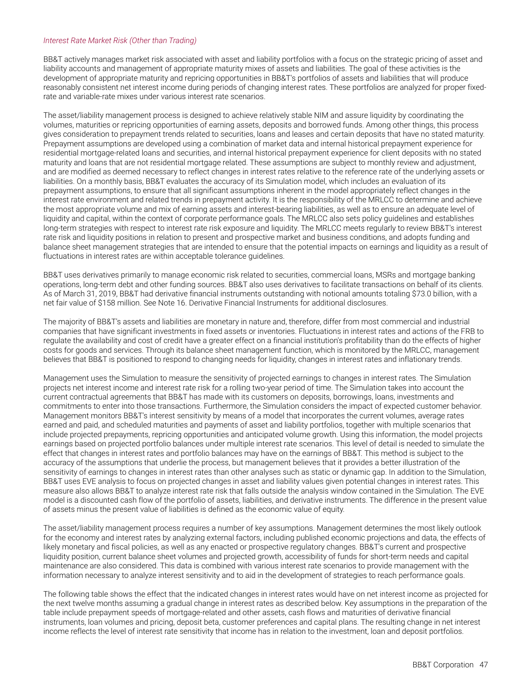#### *Interest Rate Market Risk (Other than Trading)*

BB&T actively manages market risk associated with asset and liability portfolios with a focus on the strategic pricing of asset and liability accounts and management of appropriate maturity mixes of assets and liabilities. The goal of these activities is the development of appropriate maturity and repricing opportunities in BB&T's portfolios of assets and liabilities that will produce reasonably consistent net interest income during periods of changing interest rates. These portfolios are analyzed for proper fixedrate and variable-rate mixes under various interest rate scenarios.

The asset/liability management process is designed to achieve relatively stable NIM and assure liquidity by coordinating the volumes, maturities or repricing opportunities of earning assets, deposits and borrowed funds. Among other things, this process gives consideration to prepayment trends related to securities, loans and leases and certain deposits that have no stated maturity. Prepayment assumptions are developed using a combination of market data and internal historical prepayment experience for residential mortgage-related loans and securities, and internal historical prepayment experience for client deposits with no stated maturity and loans that are not residential mortgage related. These assumptions are subject to monthly review and adjustment, and are modified as deemed necessary to reflect changes in interest rates relative to the reference rate of the underlying assets or liabilities. On a monthly basis, BB&T evaluates the accuracy of its Simulation model, which includes an evaluation of its prepayment assumptions, to ensure that all significant assumptions inherent in the model appropriately reflect changes in the interest rate environment and related trends in prepayment activity. It is the responsibility of the MRLCC to determine and achieve the most appropriate volume and mix of earning assets and interest-bearing liabilities, as well as to ensure an adequate level of liquidity and capital, within the context of corporate performance goals. The MRLCC also sets policy guidelines and establishes long-term strategies with respect to interest rate risk exposure and liquidity. The MRLCC meets regularly to review BB&T's interest rate risk and liquidity positions in relation to present and prospective market and business conditions, and adopts funding and balance sheet management strategies that are intended to ensure that the potential impacts on earnings and liquidity as a result of fluctuations in interest rates are within acceptable tolerance guidelines.

BB&T uses derivatives primarily to manage economic risk related to securities, commercial loans, MSRs and mortgage banking operations, long-term debt and other funding sources. BB&T also uses derivatives to facilitate transactions on behalf of its clients. As of March 31, 2019, BB&T had derivative financial instruments outstanding with notional amounts totaling \$73.0 billion, with a net fair value of \$158 million. See Note 16. Derivative Financial Instruments for additional disclosures.

The majority of BB&T's assets and liabilities are monetary in nature and, therefore, differ from most commercial and industrial companies that have significant investments in fixed assets or inventories. Fluctuations in interest rates and actions of the FRB to regulate the availability and cost of credit have a greater effect on a financial institution's profitability than do the effects of higher costs for goods and services. Through its balance sheet management function, which is monitored by the MRLCC, management believes that BB&T is positioned to respond to changing needs for liquidity, changes in interest rates and inflationary trends.

Management uses the Simulation to measure the sensitivity of projected earnings to changes in interest rates. The Simulation projects net interest income and interest rate risk for a rolling two-year period of time. The Simulation takes into account the current contractual agreements that BB&T has made with its customers on deposits, borrowings, loans, investments and commitments to enter into those transactions. Furthermore, the Simulation considers the impact of expected customer behavior. Management monitors BB&T's interest sensitivity by means of a model that incorporates the current volumes, average rates earned and paid, and scheduled maturities and payments of asset and liability portfolios, together with multiple scenarios that include projected prepayments, repricing opportunities and anticipated volume growth. Using this information, the model projects earnings based on projected portfolio balances under multiple interest rate scenarios. This level of detail is needed to simulate the effect that changes in interest rates and portfolio balances may have on the earnings of BB&T. This method is subject to the accuracy of the assumptions that underlie the process, but management believes that it provides a better illustration of the sensitivity of earnings to changes in interest rates than other analyses such as static or dynamic gap. In addition to the Simulation, BB&T uses EVE analysis to focus on projected changes in asset and liability values given potential changes in interest rates. This measure also allows BB&T to analyze interest rate risk that falls outside the analysis window contained in the Simulation. The EVE model is a discounted cash flow of the portfolio of assets, liabilities, and derivative instruments. The difference in the present value of assets minus the present value of liabilities is defined as the economic value of equity.

The asset/liability management process requires a number of key assumptions. Management determines the most likely outlook for the economy and interest rates by analyzing external factors, including published economic projections and data, the effects of likely monetary and fiscal policies, as well as any enacted or prospective regulatory changes. BB&T's current and prospective liquidity position, current balance sheet volumes and projected growth, accessibility of funds for short-term needs and capital maintenance are also considered. This data is combined with various interest rate scenarios to provide management with the information necessary to analyze interest sensitivity and to aid in the development of strategies to reach performance goals.

The following table shows the effect that the indicated changes in interest rates would have on net interest income as projected for the next twelve months assuming a gradual change in interest rates as described below. Key assumptions in the preparation of the table include prepayment speeds of mortgage-related and other assets, cash flows and maturities of derivative financial instruments, loan volumes and pricing, deposit beta, customer preferences and capital plans. The resulting change in net interest income reflects the level of interest rate sensitivity that income has in relation to the investment, loan and deposit portfolios.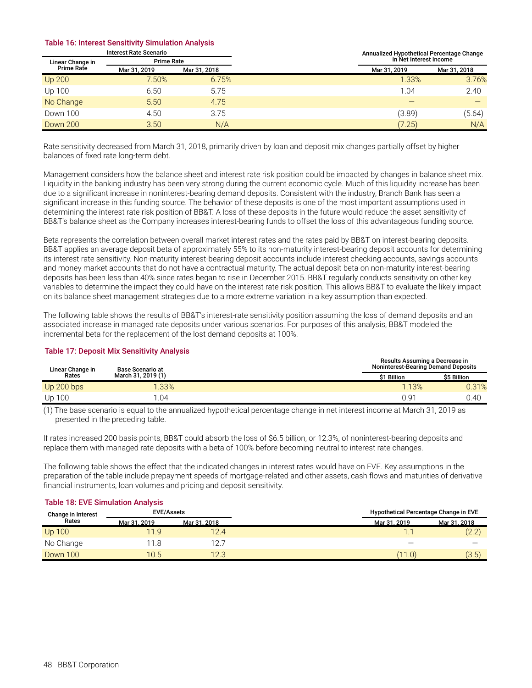#### **Table 16: Interest Sensitivity Simulation Analysis**

| <b>Interest Rate Scenario</b> |                                                   |       | Annualized Hypothetical Percentage Change |                        |  |  |  |
|-------------------------------|---------------------------------------------------|-------|-------------------------------------------|------------------------|--|--|--|
| Linear Change in              | <b>Prime Rate</b><br>Mar 31, 2019<br>Mar 31, 2018 |       |                                           | in Net Interest Income |  |  |  |
| <b>Prime Rate</b>             |                                                   |       | Mar 31, 2019                              | Mar 31, 2018           |  |  |  |
| <b>Up 200</b>                 | 7.50%                                             | 6.75% | 1.33%                                     | 3.76%                  |  |  |  |
| Up 100                        | 6.50                                              | 5.75  | 1.04                                      | 2.40                   |  |  |  |
| No Change                     | 5.50                                              | 4.75  |                                           |                        |  |  |  |
| Down 100                      | 4.50                                              | 3.75  | (3.89)                                    | (5.64)                 |  |  |  |
| <b>Down 200</b>               | 3.50                                              | N/A   | (7.25)                                    | N/A                    |  |  |  |

Rate sensitivity decreased from March 31, 2018, primarily driven by loan and deposit mix changes partially offset by higher balances of fixed rate long-term debt.

Management considers how the balance sheet and interest rate risk position could be impacted by changes in balance sheet mix. Liquidity in the banking industry has been very strong during the current economic cycle. Much of this liquidity increase has been due to a significant increase in noninterest-bearing demand deposits. Consistent with the industry, Branch Bank has seen a significant increase in this funding source. The behavior of these deposits is one of the most important assumptions used in determining the interest rate risk position of BB&T. A loss of these deposits in the future would reduce the asset sensitivity of BB&T's balance sheet as the Company increases interest-bearing funds to offset the loss of this advantageous funding source.

Beta represents the correlation between overall market interest rates and the rates paid by BB&T on interest-bearing deposits. BB&T applies an average deposit beta of approximately 55% to its non-maturity interest-bearing deposit accounts for determining its interest rate sensitivity. Non-maturity interest-bearing deposit accounts include interest checking accounts, savings accounts and money market accounts that do not have a contractual maturity. The actual deposit beta on non-maturity interest-bearing deposits has been less than 40% since rates began to rise in December 2015. BB&T regularly conducts sensitivity on other key variables to determine the impact they could have on the interest rate risk position. This allows BB&T to evaluate the likely impact on its balance sheet management strategies due to a more extreme variation in a key assumption than expected.

The following table shows the results of BB&T's interest-rate sensitivity position assuming the loss of demand deposits and an associated increase in managed rate deposits under various scenarios. For purposes of this analysis, BB&T modeled the incremental beta for the replacement of the lost demand deposits at 100%.

#### **Table 17: Deposit Mix Sensitivity Analysis**

| Linear Change in | <b>Base Scenario at</b> |             | Results Assuming a Decrease in<br><b>Noninterest-Bearing Demand Deposits</b> |  |  |  |
|------------------|-------------------------|-------------|------------------------------------------------------------------------------|--|--|--|
| Rates            | March 31, 2019 (1)      | \$1 Billion | \$5 Billion                                                                  |  |  |  |
| Up 200 bps       | $1.33\%$                | 1.13%       | 0.31%                                                                        |  |  |  |
| Up 100           | 0.04                    | 91 (،       | 0.40                                                                         |  |  |  |

(1) The base scenario is equal to the annualized hypothetical percentage change in net interest income at March 31, 2019 as presented in the preceding table.

If rates increased 200 basis points, BB&T could absorb the loss of \$6.5 billion, or 12.3%, of noninterest-bearing deposits and replace them with managed rate deposits with a beta of 100% before becoming neutral to interest rate changes.

The following table shows the effect that the indicated changes in interest rates would have on EVE. Key assumptions in the preparation of the table include prepayment speeds of mortgage-related and other assets, cash flows and maturities of derivative financial instruments, loan volumes and pricing and deposit sensitivity.

#### **Table 18: EVE Simulation Analysis**

| Change in Interest | <b>EVE/Assets</b> |              |              | Hypothetical Percentage Change in EVE |  |  |
|--------------------|-------------------|--------------|--------------|---------------------------------------|--|--|
| Rates              | Mar 31, 2019      | Mar 31, 2018 | Mar 31, 2019 | Mar 31, 2018                          |  |  |
| <b>Up 100</b>      | 11.9              | 12.4         |              | (2.2)                                 |  |  |
| No Change          | 11.8              | 1つ フ         |              |                                       |  |  |
| Down 100           | 10.5              | 12.3         | (1.0)        | (3.5                                  |  |  |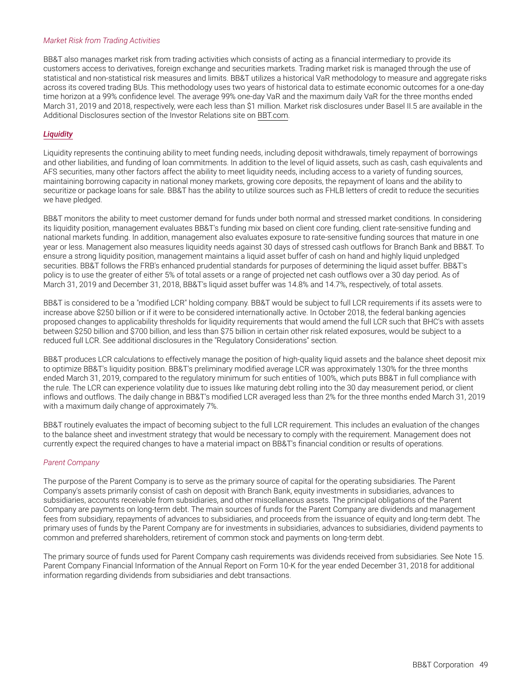#### *Market Risk from Trading Activities*

BB&T also manages market risk from trading activities which consists of acting as a financial intermediary to provide its customers access to derivatives, foreign exchange and securities markets. Trading market risk is managed through the use of statistical and non-statistical risk measures and limits. BB&T utilizes a historical VaR methodology to measure and aggregate risks across its covered trading BUs. This methodology uses two years of historical data to estimate economic outcomes for a one-day time horizon at a 99% confidence level. The average 99% one-day VaR and the maximum daily VaR for the three months ended March 31, 2019 and 2018, respectively, were each less than \$1 million. Market risk disclosures under Basel II.5 are available in the Additional Disclosures section of the Investor Relations site on BBT.com.

#### *Liquidity*

Liquidity represents the continuing ability to meet funding needs, including deposit withdrawals, timely repayment of borrowings and other liabilities, and funding of loan commitments. In addition to the level of liquid assets, such as cash, cash equivalents and AFS securities, many other factors affect the ability to meet liquidity needs, including access to a variety of funding sources, maintaining borrowing capacity in national money markets, growing core deposits, the repayment of loans and the ability to securitize or package loans for sale. BB&T has the ability to utilize sources such as FHLB letters of credit to reduce the securities we have pledged.

BB&T monitors the ability to meet customer demand for funds under both normal and stressed market conditions. In considering its liquidity position, management evaluates BB&T's funding mix based on client core funding, client rate-sensitive funding and national markets funding. In addition, management also evaluates exposure to rate-sensitive funding sources that mature in one year or less. Management also measures liquidity needs against 30 days of stressed cash outflows for Branch Bank and BB&T. To ensure a strong liquidity position, management maintains a liquid asset buffer of cash on hand and highly liquid unpledged securities. BB&T follows the FRB's enhanced prudential standards for purposes of determining the liquid asset buffer. BB&T's policy is to use the greater of either 5% of total assets or a range of projected net cash outflows over a 30 day period. As of March 31, 2019 and December 31, 2018, BB&T's liquid asset buffer was 14.8% and 14.7%, respectively, of total assets.

BB&T is considered to be a "modified LCR" holding company. BB&T would be subject to full LCR requirements if its assets were to increase above \$250 billion or if it were to be considered internationally active. In October 2018, the federal banking agencies proposed changes to applicability thresholds for liquidity requirements that would amend the full LCR such that BHC's with assets between \$250 billion and \$700 billion, and less than \$75 billion in certain other risk related exposures, would be subject to a reduced full LCR. See additional disclosures in the "Regulatory Considerations" section.

BB&T produces LCR calculations to effectively manage the position of high-quality liquid assets and the balance sheet deposit mix to optimize BB&T's liquidity position. BB&T's preliminary modified average LCR was approximately 130% for the three months ended March 31, 2019, compared to the regulatory minimum for such entities of 100%, which puts BB&T in full compliance with the rule. The LCR can experience volatility due to issues like maturing debt rolling into the 30 day measurement period, or client inflows and outflows. The daily change in BB&T's modified LCR averaged less than 2% for the three months ended March 31, 2019 with a maximum daily change of approximately 7%.

BB&T routinely evaluates the impact of becoming subject to the full LCR requirement. This includes an evaluation of the changes to the balance sheet and investment strategy that would be necessary to comply with the requirement. Management does not currently expect the required changes to have a material impact on BB&T's financial condition or results of operations.

#### *Parent Company*

The purpose of the Parent Company is to serve as the primary source of capital for the operating subsidiaries. The Parent Company's assets primarily consist of cash on deposit with Branch Bank, equity investments in subsidiaries, advances to subsidiaries, accounts receivable from subsidiaries, and other miscellaneous assets. The principal obligations of the Parent Company are payments on long-term debt. The main sources of funds for the Parent Company are dividends and management fees from subsidiary, repayments of advances to subsidiaries, and proceeds from the issuance of equity and long-term debt. The primary uses of funds by the Parent Company are for investments in subsidiaries, advances to subsidiaries, dividend payments to common and preferred shareholders, retirement of common stock and payments on long-term debt.

The primary source of funds used for Parent Company cash requirements was dividends received from subsidiaries. See Note 15. Parent Company Financial Information of the Annual Report on Form 10-K for the year ended December 31, 2018 for additional information regarding dividends from subsidiaries and debt transactions.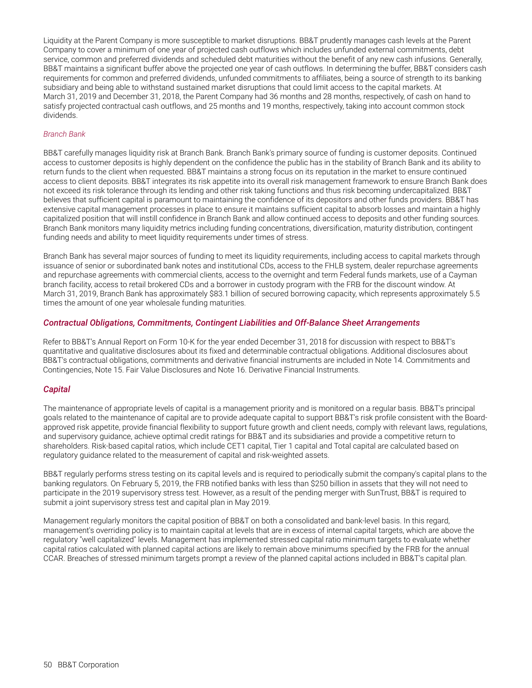Liquidity at the Parent Company is more susceptible to market disruptions. BB&T prudently manages cash levels at the Parent Company to cover a minimum of one year of projected cash outflows which includes unfunded external commitments, debt service, common and preferred dividends and scheduled debt maturities without the benefit of any new cash infusions. Generally, BB&T maintains a significant buffer above the projected one year of cash outflows. In determining the buffer, BB&T considers cash requirements for common and preferred dividends, unfunded commitments to affiliates, being a source of strength to its banking subsidiary and being able to withstand sustained market disruptions that could limit access to the capital markets. At March 31, 2019 and December 31, 2018, the Parent Company had 36 months and 28 months, respectively, of cash on hand to satisfy projected contractual cash outflows, and 25 months and 19 months, respectively, taking into account common stock dividends.

#### *Branch Bank*

BB&T carefully manages liquidity risk at Branch Bank. Branch Bank's primary source of funding is customer deposits. Continued access to customer deposits is highly dependent on the confidence the public has in the stability of Branch Bank and its ability to return funds to the client when requested. BB&T maintains a strong focus on its reputation in the market to ensure continued access to client deposits. BB&T integrates its risk appetite into its overall risk management framework to ensure Branch Bank does not exceed its risk tolerance through its lending and other risk taking functions and thus risk becoming undercapitalized. BB&T believes that sufficient capital is paramount to maintaining the confidence of its depositors and other funds providers. BB&T has extensive capital management processes in place to ensure it maintains sufficient capital to absorb losses and maintain a highly capitalized position that will instill confidence in Branch Bank and allow continued access to deposits and other funding sources. Branch Bank monitors many liquidity metrics including funding concentrations, diversification, maturity distribution, contingent funding needs and ability to meet liquidity requirements under times of stress.

Branch Bank has several major sources of funding to meet its liquidity requirements, including access to capital markets through issuance of senior or subordinated bank notes and institutional CDs, access to the FHLB system, dealer repurchase agreements and repurchase agreements with commercial clients, access to the overnight and term Federal funds markets, use of a Cayman branch facility, access to retail brokered CDs and a borrower in custody program with the FRB for the discount window. At March 31, 2019, Branch Bank has approximately \$83.1 billion of secured borrowing capacity, which represents approximately 5.5 times the amount of one year wholesale funding maturities.

#### *Contractual Obligations, Commitments, Contingent Liabilities and Off-Balance Sheet Arrangements*

Refer to BB&T's Annual Report on Form 10-K for the year ended December 31, 2018 for discussion with respect to BB&T's quantitative and qualitative disclosures about its fixed and determinable contractual obligations. Additional disclosures about BB&T's contractual obligations, commitments and derivative financial instruments are included in Note 14. Commitments and Contingencies, Note 15. Fair Value Disclosures and Note 16. Derivative Financial Instruments.

#### *Capital*

The maintenance of appropriate levels of capital is a management priority and is monitored on a regular basis. BB&T's principal goals related to the maintenance of capital are to provide adequate capital to support BB&T's risk profile consistent with the Boardapproved risk appetite, provide financial flexibility to support future growth and client needs, comply with relevant laws, regulations, and supervisory guidance, achieve optimal credit ratings for BB&T and its subsidiaries and provide a competitive return to shareholders. Risk-based capital ratios, which include CET1 capital, Tier 1 capital and Total capital are calculated based on regulatory guidance related to the measurement of capital and risk-weighted assets.

BB&T regularly performs stress testing on its capital levels and is required to periodically submit the company's capital plans to the banking regulators. On February 5, 2019, the FRB notified banks with less than \$250 billion in assets that they will not need to participate in the 2019 supervisory stress test. However, as a result of the pending merger with SunTrust, BB&T is required to submit a joint supervisory stress test and capital plan in May 2019.

Management regularly monitors the capital position of BB&T on both a consolidated and bank-level basis. In this regard, management's overriding policy is to maintain capital at levels that are in excess of internal capital targets, which are above the regulatory "well capitalized" levels. Management has implemented stressed capital ratio minimum targets to evaluate whether capital ratios calculated with planned capital actions are likely to remain above minimums specified by the FRB for the annual CCAR. Breaches of stressed minimum targets prompt a review of the planned capital actions included in BB&T's capital plan.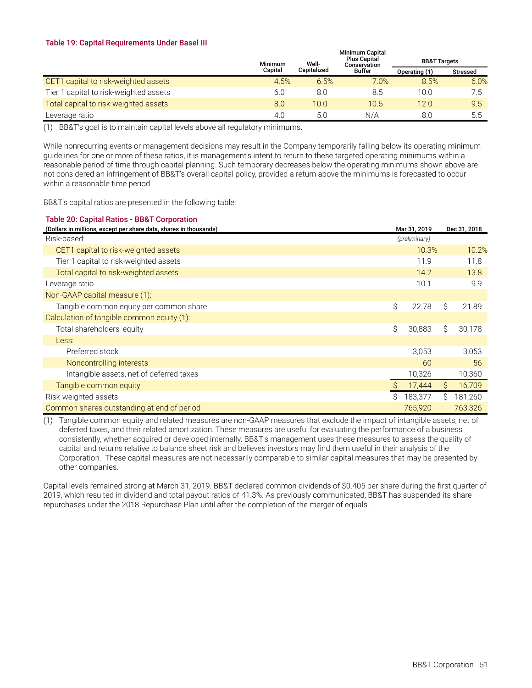#### **Table 19: Capital Requirements Under Basel III**

|                                        | <b>Minimum</b><br>Well- |             | <b>Minimum Capital</b><br><b>Plus Capital</b><br>Conservation | <b>BB&amp;T Targets</b> |                 |
|----------------------------------------|-------------------------|-------------|---------------------------------------------------------------|-------------------------|-----------------|
|                                        | Capital                 | Capitalized | <b>Buffer</b>                                                 | Operating (1)           | <b>Stressed</b> |
| CET1 capital to risk-weighted assets   | 4.5%                    | 6.5%        | 7.0%                                                          | 8.5%                    | 6.0%            |
| Tier 1 capital to risk-weighted assets | 6.0                     | 8.0         | 8.5                                                           | 10.0                    | 7.5             |
| Total capital to risk-weighted assets  | 8.0                     | 10.0        | 10.5                                                          | 12.0                    | 9.5             |
| Leverage ratio                         | 4.0                     | 5.C         | N/A                                                           | 8.0                     | 5.5             |

(1) BB&T's goal is to maintain capital levels above all regulatory minimums.

While nonrecurring events or management decisions may result in the Company temporarily falling below its operating minimum guidelines for one or more of these ratios, it is management's intent to return to these targeted operating minimums within a reasonable period of time through capital planning. Such temporary decreases below the operating minimums shown above are not considered an infringement of BB&T's overall capital policy, provided a return above the minimums is forecasted to occur within a reasonable time period.

BB&T's capital ratios are presented in the following table:

| Table 20: Capital Ratios - BB&T Corporation                       |    |               |    |              |
|-------------------------------------------------------------------|----|---------------|----|--------------|
| (Dollars in millions, except per share data, shares in thousands) |    | Mar 31, 2019  |    | Dec 31, 2018 |
| Risk-based:                                                       |    | (preliminary) |    |              |
| CET1 capital to risk-weighted assets                              |    | 10.3%         |    | 10.2%        |
| Tier 1 capital to risk-weighted assets                            |    | 11.9          |    | 11.8         |
| Total capital to risk-weighted assets                             |    | 14.2          |    | 13.8         |
| Leverage ratio                                                    |    | 10.1          |    | 9.9          |
| Non-GAAP capital measure (1):                                     |    |               |    |              |
| Tangible common equity per common share                           | \$ | 22.78         | Ŝ. | 21.89        |
| Calculation of tangible common equity (1):                        |    |               |    |              |
| Total shareholders' equity                                        | Ŝ  | 30,883        | Ŝ  | 30,178       |
| Less:                                                             |    |               |    |              |
| Preferred stock                                                   |    | 3,053         |    | 3,053        |
| Noncontrolling interests                                          |    | 60            |    | 56           |
| Intangible assets, net of deferred taxes                          |    | 10,326        |    | 10,360       |
| Tangible common equity                                            |    | 17,444        | S. | 16,709       |
| Risk-weighted assets                                              | Ś. | 183,377       | Ŝ  | 181,260      |
| Common shares outstanding at end of period                        |    | 765.920       |    | 763,326      |

(1) Tangible common equity and related measures are non-GAAP measures that exclude the impact of intangible assets, net of deferred taxes, and their related amortization. These measures are useful for evaluating the performance of a business consistently, whether acquired or developed internally. BB&T's management uses these measures to assess the quality of capital and returns relative to balance sheet risk and believes investors may find them useful in their analysis of the Corporation. These capital measures are not necessarily comparable to similar capital measures that may be presented by other companies.

Capital levels remained strong at March 31, 2019. BB&T declared common dividends of \$0.405 per share during the first quarter of 2019, which resulted in dividend and total payout ratios of 41.3%. As previously communicated, BB&T has suspended its share repurchases under the 2018 Repurchase Plan until after the completion of the merger of equals.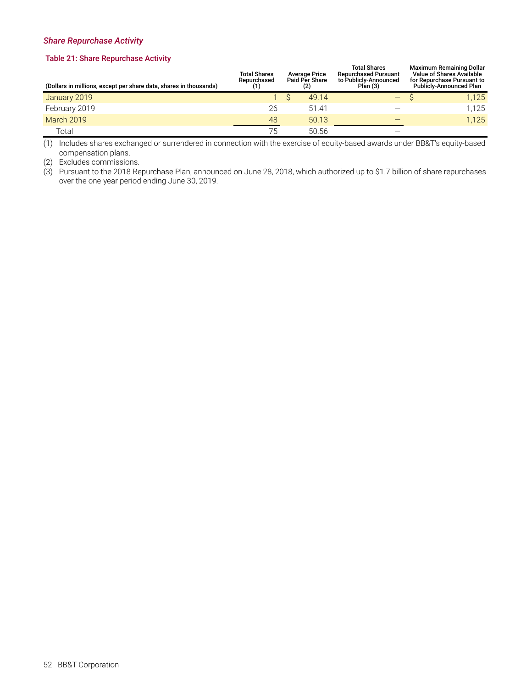## *Share Repurchase Activity*

#### **Table 21: Share Repurchase Activity**

| (Dollars in millions, except per share data, shares in thousands) | <b>Total Shares</b><br>Repurchased | <b>Average Price</b><br><b>Paid Per Share</b> | <b>Total Shares</b><br><b>Repurchased Pursuant</b><br>to Publicly-Announced<br>Plan(3) | Maximum Remaining Dollar<br><b>Value of Shares Available</b><br>for Repurchase Pursuant to<br><b>Publicly-Announced Plan</b> |
|-------------------------------------------------------------------|------------------------------------|-----------------------------------------------|----------------------------------------------------------------------------------------|------------------------------------------------------------------------------------------------------------------------------|
| January 2019                                                      |                                    | 49.14                                         |                                                                                        | 1,125                                                                                                                        |
| February 2019                                                     | 26                                 | 51.41                                         |                                                                                        | 1,125                                                                                                                        |
| March 2019                                                        | 48                                 | 50.13                                         |                                                                                        | 1,125                                                                                                                        |
| Total                                                             | 75                                 | 50.56                                         |                                                                                        |                                                                                                                              |

(1) Includes shares exchanged or surrendered in connection with the exercise of equity-based awards under BB&T's equity-based compensation plans.

(2) Excludes commissions.

(3) Pursuant to the 2018 Repurchase Plan, announced on June 28, 2018, which authorized up to \$1.7 billion of share repurchases over the one-year period ending June 30, 2019.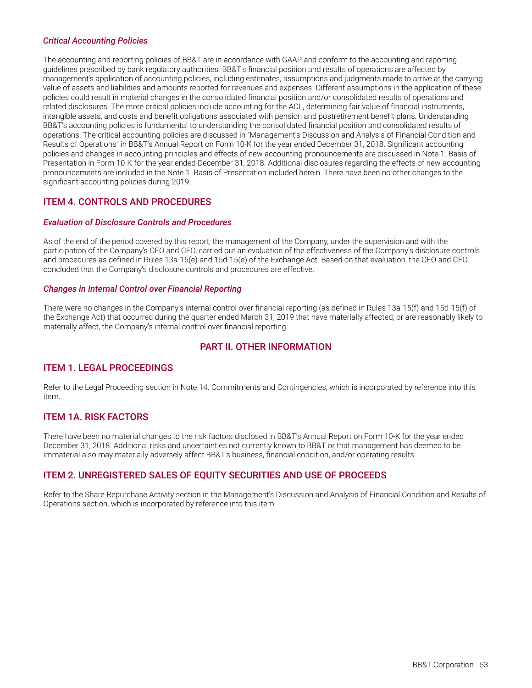#### <span id="page-54-0"></span>*Critical Accounting Policies*

The accounting and reporting policies of BB&T are in accordance with GAAP and conform to the accounting and reporting guidelines prescribed by bank regulatory authorities. BB&T's financial position and results of operations are affected by management's application of accounting policies, including estimates, assumptions and judgments made to arrive at the carrying value of assets and liabilities and amounts reported for revenues and expenses. Different assumptions in the application of these policies could result in material changes in the consolidated financial position and/or consolidated results of operations and related disclosures. The more critical policies include accounting for the ACL, determining fair value of financial instruments, intangible assets, and costs and benefit obligations associated with pension and postretirement benefit plans. Understanding BB&T's accounting policies is fundamental to understanding the consolidated financial position and consolidated results of operations. The critical accounting policies are discussed in "Management's Discussion and Analysis of Financial Condition and Results of Operations" in BB&T's Annual Report on Form 10-K for the year ended December 31, 2018. Significant accounting policies and changes in accounting principles and effects of new accounting pronouncements are discussed in Note 1. Basis of Presentation in Form 10-K for the year ended December 31, 2018. Additional disclosures regarding the effects of new accounting pronouncements are included in the Note 1. Basis of Presentation included herein. There have been no other changes to the significant accounting policies during 2019.

## **ITEM 4. CONTROLS AND PROCEDURES**

#### *Evaluation of Disclosure Controls and Procedures*

As of the end of the period covered by this report, the management of the Company, under the supervision and with the participation of the Company's CEO and CFO, carried out an evaluation of the effectiveness of the Company's disclosure controls and procedures as defined in Rules 13a-15(e) and 15d-15(e) of the Exchange Act. Based on that evaluation, the CEO and CFO concluded that the Company's disclosure controls and procedures are effective.

#### *Changes in Internal Control over Financial Reporting*

There were no changes in the Company's internal control over financial reporting (as defined in Rules 13a-15(f) and 15d-15(f) of the Exchange Act) that occurred during the quarter ended March 31, 2019 that have materially affected, or are reasonably likely to materially affect, the Company's internal control over financial reporting.

## **PART II. OTHER INFORMATION**

## **ITEM 1. LEGAL PROCEEDINGS**

Refer to the Legal Proceeding section in Note 14. Commitments and Contingencies, which is incorporated by reference into this item.

## **ITEM 1A. RISK FACTORS**

There have been no material changes to the risk factors disclosed in BB&T's Annual Report on Form 10-K for the year ended December 31, 2018. Additional risks and uncertainties not currently known to BB&T or that management has deemed to be immaterial also may materially adversely affect BB&T's business, financial condition, and/or operating results.

## **ITEM 2. UNREGISTERED SALES OF EQUITY SECURITIES AND USE OF PROCEEDS**

Refer to the Share Repurchase Activity section in the Management's Discussion and Analysis of Financial Condition and Results of Operations section, which is incorporated by reference into this item.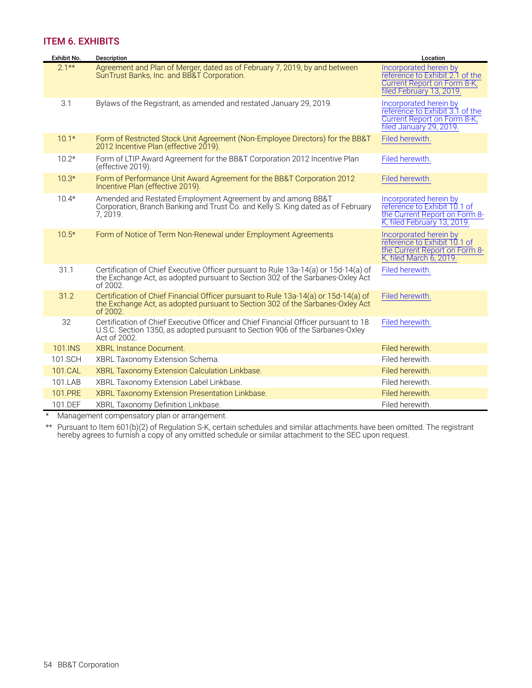## <span id="page-55-0"></span>**ITEM 6. EXHIBITS**

| Exhibit No. | <b>Description</b>                                                                                                                                                                   | Location                                                                                                               |
|-------------|--------------------------------------------------------------------------------------------------------------------------------------------------------------------------------------|------------------------------------------------------------------------------------------------------------------------|
| $21**$      | Agreement and Plan of Merger, dated as of February 7, 2019, by and between<br>SunTrust Banks, Inc. and BB&T Corporation.                                                             | Incorporated herein by<br>reference to Exhibit 2.1 of the<br>Current Report on Form 8-K,<br>filed February 13, 2019.   |
| 3.1         | Bylaws of the Registrant, as amended and restated January 29, 2019.                                                                                                                  | Incorporated herein by<br>reference to Exhibit 3.1 of the<br>Current Report on Form 8-K,<br>filed January 29, 2019.    |
| $10.1*$     | Form of Restricted Stock Unit Agreement (Non-Employee Directors) for the BB&T<br>2012 Incentive Plan (effective 2019).                                                               | Filed herewith.                                                                                                        |
| $10.2*$     | Form of LTIP Award Agreement for the BB&T Corporation 2012 Incentive Plan<br>(effective 2019).                                                                                       | Filed herewith.                                                                                                        |
| $10.3*$     | Form of Performance Unit Award Agreement for the BB&T Corporation 2012<br>Incentive Plan (effective 2019).                                                                           | Filed herewith.                                                                                                        |
| $10.4*$     | Amended and Restated Employment Agreement by and among BB&T<br>Corporation, Branch Banking and Trust Co. and Kelly S. King dated as of February<br>7, 2019.                          | Incorporated herein by<br>reference to Exhibit 10.1 of<br>the Current Report on Form 8-<br>K, filed February 13, 2019. |
| $10.5*$     | Form of Notice of Term Non-Renewal under Employment Agreements                                                                                                                       | Incorporated herein by<br>reference to Exhibit 10.1 of<br>the Current Report on Form 8-<br>K, filed March 6, 2019.     |
| 31.1        | Certification of Chief Executive Officer pursuant to Rule 13a-14(a) or 15d-14(a) of<br>the Exchange Act, as adopted pursuant to Section 302 of the Sarbanes-Oxley Act<br>of 2002.    | Filed herewith.                                                                                                        |
| 31.2        | Certification of Chief Financial Officer pursuant to Rule 13a-14(a) or 15d-14(a) of<br>the Exchange Act, as adopted pursuant to Section 302 of the Sarbanes-Oxley Act<br>of 2002.    | Filed herewith.                                                                                                        |
| 32          | Certification of Chief Executive Officer and Chief Financial Officer pursuant to 18<br>U.S.C. Section 1350, as adopted pursuant to Section 906 of the Sarbanes-Oxley<br>Act of 2002. | Filed herewith.                                                                                                        |
| 101.INS     | <b>XBRL Instance Document.</b>                                                                                                                                                       | Filed herewith.                                                                                                        |
| 101.SCH     | XBRL Taxonomy Extension Schema.                                                                                                                                                      | Filed herewith.                                                                                                        |
| 101.CAL     | XBRL Taxonomy Extension Calculation Linkbase.                                                                                                                                        | Filed herewith.                                                                                                        |
| 101.LAB     | XBRL Taxonomy Extension Label Linkbase.                                                                                                                                              | Filed herewith.                                                                                                        |
| 101.PRE     | <b>XBRL Taxonomy Extension Presentation Linkbase.</b>                                                                                                                                | Filed herewith.                                                                                                        |
| 101.DEF     | XBRL Taxonomy Definition Linkbase.                                                                                                                                                   | Filed herewith.                                                                                                        |

\* Management compensatory plan or arrangement.

\*\* Pursuant to Item 601(b)(2) of Regulation S-K, certain schedules and similar attachments have been omitted. The registrant hereby agrees to furnish a copy of any omitted schedule or similar attachment to the SEC upon request.